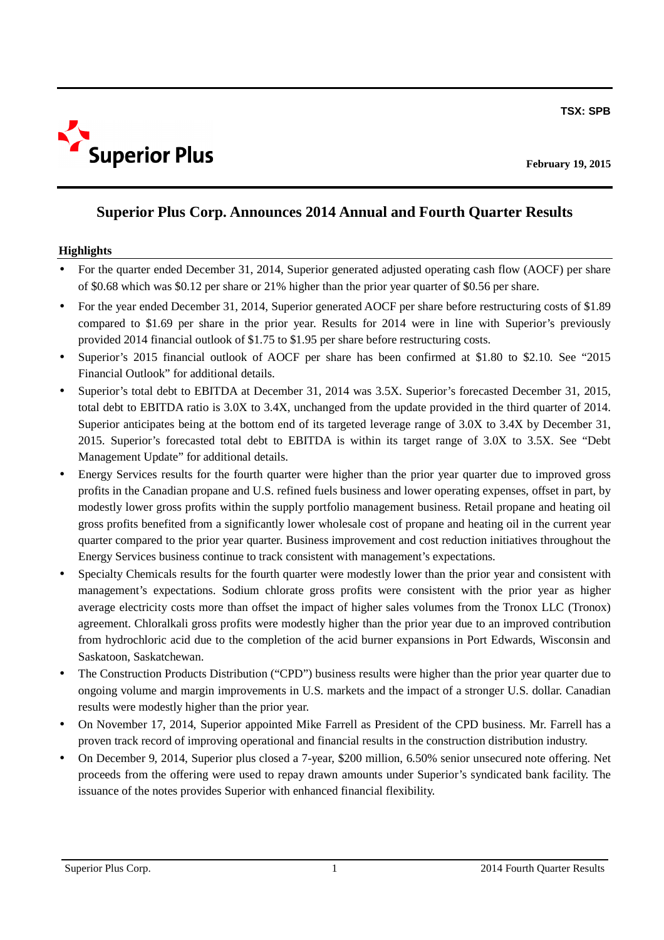

# **Superior Plus Corp. Announces 2014 Annual and Fourth Quarter Results**

# **Highlights**

- For the quarter ended December 31, 2014, Superior generated adjusted operating cash flow (AOCF) per share of \$0.68 which was \$0.12 per share or 21% higher than the prior year quarter of \$0.56 per share.
- For the year ended December 31, 2014, Superior generated AOCF per share before restructuring costs of \$1.89 compared to \$1.69 per share in the prior year. Results for 2014 were in line with Superior's previously provided 2014 financial outlook of \$1.75 to \$1.95 per share before restructuring costs.
- Superior's 2015 financial outlook of AOCF per share has been confirmed at \$1.80 to \$2.10. See "2015 Financial Outlook" for additional details.
- Superior's total debt to EBITDA at December 31, 2014 was 3.5X. Superior's forecasted December 31, 2015, total debt to EBITDA ratio is 3.0X to 3.4X, unchanged from the update provided in the third quarter of 2014. Superior anticipates being at the bottom end of its targeted leverage range of 3.0X to 3.4X by December 31, 2015. Superior's forecasted total debt to EBITDA is within its target range of 3.0X to 3.5X. See "Debt Management Update" for additional details.
- Energy Services results for the fourth quarter were higher than the prior year quarter due to improved gross profits in the Canadian propane and U.S. refined fuels business and lower operating expenses, offset in part, by modestly lower gross profits within the supply portfolio management business. Retail propane and heating oil gross profits benefited from a significantly lower wholesale cost of propane and heating oil in the current year quarter compared to the prior year quarter. Business improvement and cost reduction initiatives throughout the Energy Services business continue to track consistent with management's expectations.
- Specialty Chemicals results for the fourth quarter were modestly lower than the prior year and consistent with management's expectations. Sodium chlorate gross profits were consistent with the prior year as higher average electricity costs more than offset the impact of higher sales volumes from the Tronox LLC (Tronox) agreement. Chloralkali gross profits were modestly higher than the prior year due to an improved contribution from hydrochloric acid due to the completion of the acid burner expansions in Port Edwards, Wisconsin and Saskatoon, Saskatchewan.
- The Construction Products Distribution ("CPD") business results were higher than the prior year quarter due to ongoing volume and margin improvements in U.S. markets and the impact of a stronger U.S. dollar. Canadian results were modestly higher than the prior year.
- On November 17, 2014, Superior appointed Mike Farrell as President of the CPD business. Mr. Farrell has a proven track record of improving operational and financial results in the construction distribution industry.
- On December 9, 2014, Superior plus closed a 7-year, \$200 million, 6.50% senior unsecured note offering. Net proceeds from the offering were used to repay drawn amounts under Superior's syndicated bank facility. The issuance of the notes provides Superior with enhanced financial flexibility.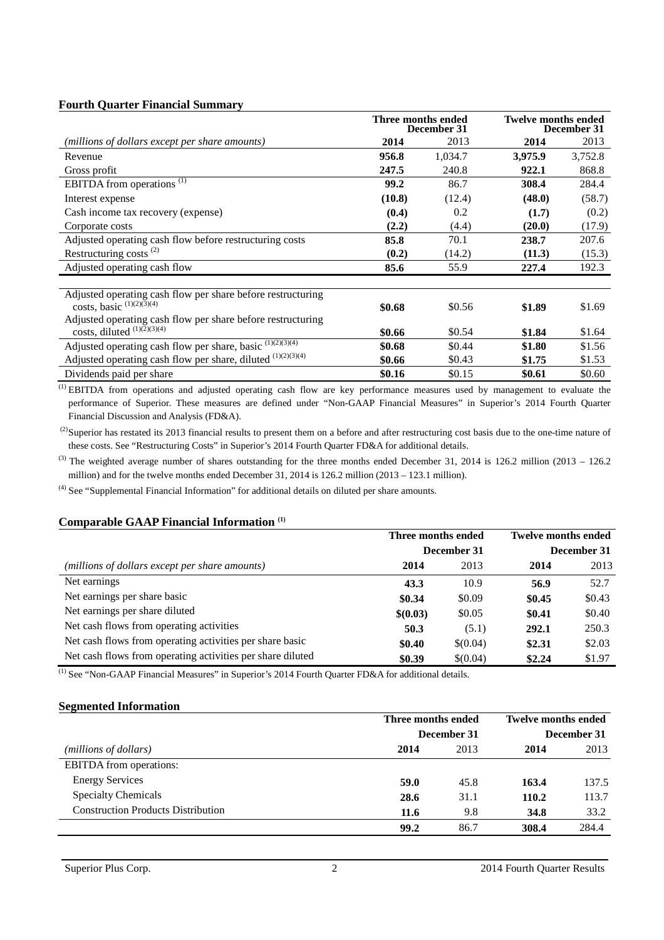#### **Fourth Quarter Financial Summary**

|                                                                                                 | Three months ended<br>December 31 |         | Twelve months ended<br>December 31 |         |
|-------------------------------------------------------------------------------------------------|-----------------------------------|---------|------------------------------------|---------|
| (millions of dollars except per share amounts)                                                  | 2014                              | 2013    | 2014                               | 2013    |
| Revenue                                                                                         | 956.8                             | 1,034.7 | 3,975.9                            | 3,752.8 |
| Gross profit                                                                                    | 247.5                             | 240.8   | 922.1                              | 868.8   |
| EBITDA from operations <sup>(1)</sup>                                                           | 99.2                              | 86.7    | 308.4                              | 284.4   |
| Interest expense                                                                                | (10.8)                            | (12.4)  | (48.0)                             | (58.7)  |
| Cash income tax recovery (expense)                                                              | (0.4)                             | 0.2     | (1.7)                              | (0.2)   |
| Corporate costs                                                                                 | (2.2)                             | (4.4)   | (20.0)                             | (17.9)  |
| Adjusted operating cash flow before restructuring costs                                         | 85.8                              | 70.1    | 238.7                              | 207.6   |
| Restructuring costs $^{(2)}$                                                                    | (0.2)                             | (14.2)  | (11.3)                             | (15.3)  |
| Adjusted operating cash flow                                                                    | 85.6                              | 55.9    | 227.4                              | 192.3   |
|                                                                                                 |                                   |         |                                    |         |
| Adjusted operating cash flow per share before restructuring<br>costs, basic $^{(1)(2)(3)(4)}$   | \$0.68                            | \$0.56  | \$1.89                             | \$1.69  |
| Adjusted operating cash flow per share before restructuring<br>costs, diluted $^{(1)(2)(3)(4)}$ | \$0.66                            | \$0.54  | \$1.84                             | \$1.64  |
| Adjusted operating cash flow per share, basic $\frac{(1)(2)(3)(4)}{(1)(2)(3)(4)}$               | \$0.68                            | \$0.44  | \$1.80                             | \$1.56  |
| Adjusted operating cash flow per share, diluted $^{(1)(2)(3)(4)}$                               | \$0.66                            | \$0.43  | \$1.75                             | \$1.53  |
| Dividends paid per share                                                                        | \$0.16                            | \$0.15  | \$0.61                             | \$0.60  |

(1) EBITDA from operations and adjusted operating cash flow are key performance measures used by management to evaluate the performance of Superior. These measures are defined under "Non-GAAP Financial Measures" in Superior's 2014 Fourth Quarter Financial Discussion and Analysis (FD&A).

 $^{(2)}$ Superior has restated its 2013 financial results to present them on a before and after restructuring cost basis due to the one-time nature of these costs. See "Restructuring Costs" in Superior's 2014 Fourth Quarter FD&A for additional details.

(3) The weighted average number of shares outstanding for the three months ended December 31, 2014 is 126.2 million (2013 – 126.2) million) and for the twelve months ended December 31, 2014 is 126.2 million (2013 – 123.1 million).

(4) See "Supplemental Financial Information" for additional details on diluted per share amounts.

#### **Comparable GAAP Financial Information (1)**

|                                                            | Three months ended |          | <b>Twelve months ended</b> |        |
|------------------------------------------------------------|--------------------|----------|----------------------------|--------|
|                                                            | December 31        |          | December 31                |        |
| (millions of dollars except per share amounts)             | 2014               | 2013     | 2014                       | 2013   |
| Net earnings                                               | 43.3               | 10.9     | 56.9                       | 52.7   |
| Net earnings per share basic                               | \$0.34             | \$0.09   | \$0.45                     | \$0.43 |
| Net earnings per share diluted                             | \$(0.03)           | \$0.05   | \$0.41                     | \$0.40 |
| Net cash flows from operating activities                   | 50.3               | (5.1)    | 292.1                      | 250.3  |
| Net cash flows from operating activities per share basic   | \$0.40             | \$(0.04) | \$2.31                     | \$2.03 |
| Net cash flows from operating activities per share diluted | \$0.39             | \$(0.04) | \$2.24                     | \$1.97 |

(1) See "Non-GAAP Financial Measures" in Superior's 2014 Fourth Quarter FD&A for additional details.

#### **Segmented Information**

|                                           |             | Three months ended | <b>Twelve months ended</b> |       |
|-------------------------------------------|-------------|--------------------|----------------------------|-------|
|                                           | December 31 |                    | December 31                |       |
| (millions of dollars)                     | 2014        | 2013               | 2014                       | 2013  |
| <b>EBITDA</b> from operations:            |             |                    |                            |       |
| <b>Energy Services</b>                    | 59.0        | 45.8               | 163.4                      | 137.5 |
| <b>Specialty Chemicals</b>                | 28.6        | 31.1               | 110.2                      | 113.7 |
| <b>Construction Products Distribution</b> | 11.6        | 9.8                | 34.8                       | 33.2  |
|                                           | 99.2        | 86.7               | 308.4                      | 284.4 |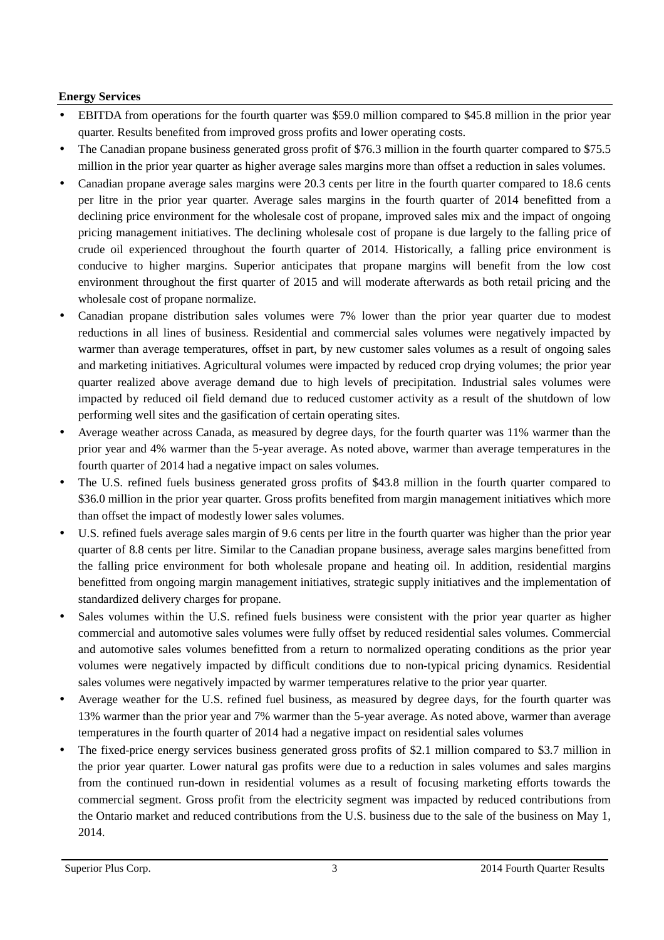# **Energy Services**

- EBITDA from operations for the fourth quarter was \$59.0 million compared to \$45.8 million in the prior year quarter. Results benefited from improved gross profits and lower operating costs.
- The Canadian propane business generated gross profit of \$76.3 million in the fourth quarter compared to \$75.5 million in the prior year quarter as higher average sales margins more than offset a reduction in sales volumes.
- Canadian propane average sales margins were 20.3 cents per litre in the fourth quarter compared to 18.6 cents per litre in the prior year quarter. Average sales margins in the fourth quarter of 2014 benefitted from a declining price environment for the wholesale cost of propane, improved sales mix and the impact of ongoing pricing management initiatives. The declining wholesale cost of propane is due largely to the falling price of crude oil experienced throughout the fourth quarter of 2014. Historically, a falling price environment is conducive to higher margins. Superior anticipates that propane margins will benefit from the low cost environment throughout the first quarter of 2015 and will moderate afterwards as both retail pricing and the wholesale cost of propane normalize.
- Canadian propane distribution sales volumes were 7% lower than the prior year quarter due to modest reductions in all lines of business. Residential and commercial sales volumes were negatively impacted by warmer than average temperatures, offset in part, by new customer sales volumes as a result of ongoing sales and marketing initiatives. Agricultural volumes were impacted by reduced crop drying volumes; the prior year quarter realized above average demand due to high levels of precipitation. Industrial sales volumes were impacted by reduced oil field demand due to reduced customer activity as a result of the shutdown of low performing well sites and the gasification of certain operating sites.
- Average weather across Canada, as measured by degree days, for the fourth quarter was 11% warmer than the prior year and 4% warmer than the 5-year average. As noted above, warmer than average temperatures in the fourth quarter of 2014 had a negative impact on sales volumes.
- The U.S. refined fuels business generated gross profits of \$43.8 million in the fourth quarter compared to \$36.0 million in the prior year quarter. Gross profits benefited from margin management initiatives which more than offset the impact of modestly lower sales volumes.
- U.S. refined fuels average sales margin of 9.6 cents per litre in the fourth quarter was higher than the prior year quarter of 8.8 cents per litre. Similar to the Canadian propane business, average sales margins benefitted from the falling price environment for both wholesale propane and heating oil. In addition, residential margins benefitted from ongoing margin management initiatives, strategic supply initiatives and the implementation of standardized delivery charges for propane.
- Sales volumes within the U.S. refined fuels business were consistent with the prior year quarter as higher commercial and automotive sales volumes were fully offset by reduced residential sales volumes. Commercial and automotive sales volumes benefitted from a return to normalized operating conditions as the prior year volumes were negatively impacted by difficult conditions due to non-typical pricing dynamics. Residential sales volumes were negatively impacted by warmer temperatures relative to the prior year quarter.
- Average weather for the U.S. refined fuel business, as measured by degree days, for the fourth quarter was 13% warmer than the prior year and 7% warmer than the 5-year average. As noted above, warmer than average temperatures in the fourth quarter of 2014 had a negative impact on residential sales volumes
- The fixed-price energy services business generated gross profits of \$2.1 million compared to \$3.7 million in the prior year quarter. Lower natural gas profits were due to a reduction in sales volumes and sales margins from the continued run-down in residential volumes as a result of focusing marketing efforts towards the commercial segment. Gross profit from the electricity segment was impacted by reduced contributions from the Ontario market and reduced contributions from the U.S. business due to the sale of the business on May 1, 2014.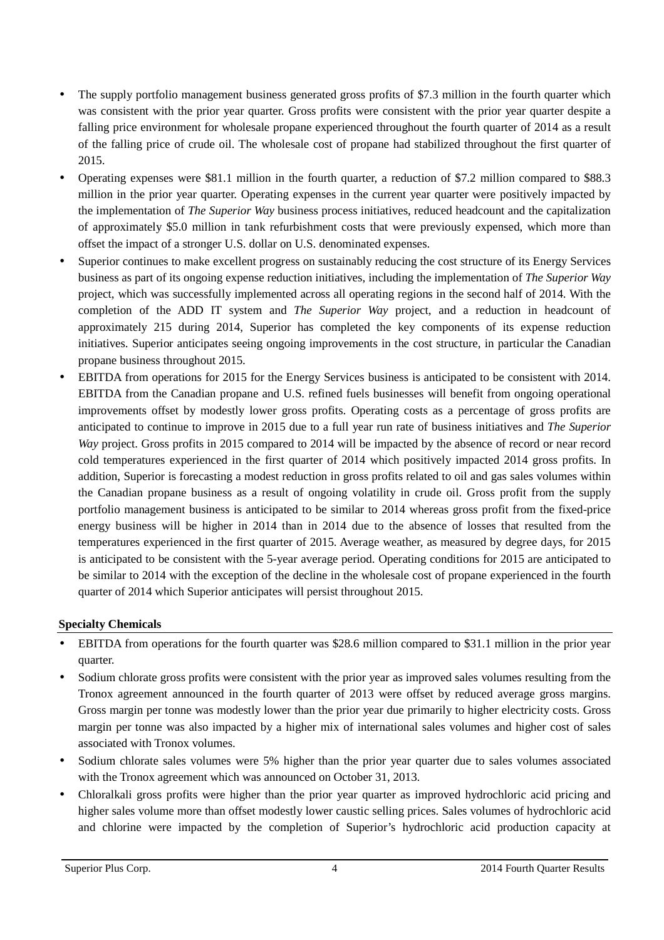- The supply portfolio management business generated gross profits of \$7.3 million in the fourth quarter which was consistent with the prior year quarter. Gross profits were consistent with the prior year quarter despite a falling price environment for wholesale propane experienced throughout the fourth quarter of 2014 as a result of the falling price of crude oil. The wholesale cost of propane had stabilized throughout the first quarter of 2015.
- Operating expenses were \$81.1 million in the fourth quarter, a reduction of \$7.2 million compared to \$88.3 million in the prior year quarter. Operating expenses in the current year quarter were positively impacted by the implementation of *The Superior Way* business process initiatives, reduced headcount and the capitalization of approximately \$5.0 million in tank refurbishment costs that were previously expensed, which more than offset the impact of a stronger U.S. dollar on U.S. denominated expenses.
- Superior continues to make excellent progress on sustainably reducing the cost structure of its Energy Services business as part of its ongoing expense reduction initiatives, including the implementation of *The Superior Way*  project, which was successfully implemented across all operating regions in the second half of 2014. With the completion of the ADD IT system and *The Superior Way* project, and a reduction in headcount of approximately 215 during 2014, Superior has completed the key components of its expense reduction initiatives. Superior anticipates seeing ongoing improvements in the cost structure, in particular the Canadian propane business throughout 2015.
- EBITDA from operations for 2015 for the Energy Services business is anticipated to be consistent with 2014. EBITDA from the Canadian propane and U.S. refined fuels businesses will benefit from ongoing operational improvements offset by modestly lower gross profits. Operating costs as a percentage of gross profits are anticipated to continue to improve in 2015 due to a full year run rate of business initiatives and *The Superior Way* project. Gross profits in 2015 compared to 2014 will be impacted by the absence of record or near record cold temperatures experienced in the first quarter of 2014 which positively impacted 2014 gross profits. In addition, Superior is forecasting a modest reduction in gross profits related to oil and gas sales volumes within the Canadian propane business as a result of ongoing volatility in crude oil. Gross profit from the supply portfolio management business is anticipated to be similar to 2014 whereas gross profit from the fixed-price energy business will be higher in 2014 than in 2014 due to the absence of losses that resulted from the temperatures experienced in the first quarter of 2015. Average weather, as measured by degree days, for 2015 is anticipated to be consistent with the 5-year average period. Operating conditions for 2015 are anticipated to be similar to 2014 with the exception of the decline in the wholesale cost of propane experienced in the fourth quarter of 2014 which Superior anticipates will persist throughout 2015.

# **Specialty Chemicals**

- EBITDA from operations for the fourth quarter was \$28.6 million compared to \$31.1 million in the prior year quarter.
- Sodium chlorate gross profits were consistent with the prior year as improved sales volumes resulting from the Tronox agreement announced in the fourth quarter of 2013 were offset by reduced average gross margins. Gross margin per tonne was modestly lower than the prior year due primarily to higher electricity costs. Gross margin per tonne was also impacted by a higher mix of international sales volumes and higher cost of sales associated with Tronox volumes.
- Sodium chlorate sales volumes were 5% higher than the prior year quarter due to sales volumes associated with the Tronox agreement which was announced on October 31, 2013.
- Chloralkali gross profits were higher than the prior year quarter as improved hydrochloric acid pricing and higher sales volume more than offset modestly lower caustic selling prices. Sales volumes of hydrochloric acid and chlorine were impacted by the completion of Superior's hydrochloric acid production capacity at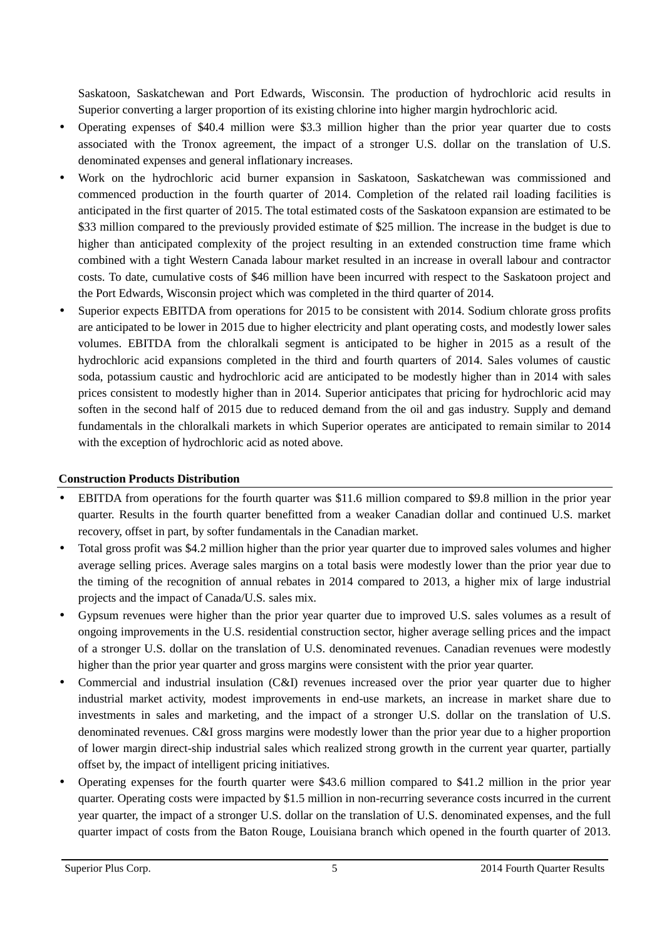Saskatoon, Saskatchewan and Port Edwards, Wisconsin. The production of hydrochloric acid results in Superior converting a larger proportion of its existing chlorine into higher margin hydrochloric acid.

- Operating expenses of \$40.4 million were \$3.3 million higher than the prior year quarter due to costs associated with the Tronox agreement, the impact of a stronger U.S. dollar on the translation of U.S. denominated expenses and general inflationary increases.
- Work on the hydrochloric acid burner expansion in Saskatoon, Saskatchewan was commissioned and commenced production in the fourth quarter of 2014. Completion of the related rail loading facilities is anticipated in the first quarter of 2015. The total estimated costs of the Saskatoon expansion are estimated to be \$33 million compared to the previously provided estimate of \$25 million. The increase in the budget is due to higher than anticipated complexity of the project resulting in an extended construction time frame which combined with a tight Western Canada labour market resulted in an increase in overall labour and contractor costs. To date, cumulative costs of \$46 million have been incurred with respect to the Saskatoon project and the Port Edwards, Wisconsin project which was completed in the third quarter of 2014.
- Superior expects EBITDA from operations for 2015 to be consistent with 2014. Sodium chlorate gross profits are anticipated to be lower in 2015 due to higher electricity and plant operating costs, and modestly lower sales volumes. EBITDA from the chloralkali segment is anticipated to be higher in 2015 as a result of the hydrochloric acid expansions completed in the third and fourth quarters of 2014. Sales volumes of caustic soda, potassium caustic and hydrochloric acid are anticipated to be modestly higher than in 2014 with sales prices consistent to modestly higher than in 2014. Superior anticipates that pricing for hydrochloric acid may soften in the second half of 2015 due to reduced demand from the oil and gas industry. Supply and demand fundamentals in the chloralkali markets in which Superior operates are anticipated to remain similar to 2014 with the exception of hydrochloric acid as noted above.

# **Construction Products Distribution**

- EBITDA from operations for the fourth quarter was \$11.6 million compared to \$9.8 million in the prior year quarter. Results in the fourth quarter benefitted from a weaker Canadian dollar and continued U.S. market recovery, offset in part, by softer fundamentals in the Canadian market.
- Total gross profit was \$4.2 million higher than the prior year quarter due to improved sales volumes and higher average selling prices. Average sales margins on a total basis were modestly lower than the prior year due to the timing of the recognition of annual rebates in 2014 compared to 2013, a higher mix of large industrial projects and the impact of Canada/U.S. sales mix.
- Gypsum revenues were higher than the prior year quarter due to improved U.S. sales volumes as a result of ongoing improvements in the U.S. residential construction sector, higher average selling prices and the impact of a stronger U.S. dollar on the translation of U.S. denominated revenues. Canadian revenues were modestly higher than the prior year quarter and gross margins were consistent with the prior year quarter.
- Commercial and industrial insulation (C&I) revenues increased over the prior year quarter due to higher industrial market activity, modest improvements in end-use markets, an increase in market share due to investments in sales and marketing, and the impact of a stronger U.S. dollar on the translation of U.S. denominated revenues. C&I gross margins were modestly lower than the prior year due to a higher proportion of lower margin direct-ship industrial sales which realized strong growth in the current year quarter, partially offset by, the impact of intelligent pricing initiatives.
- Operating expenses for the fourth quarter were \$43.6 million compared to \$41.2 million in the prior year quarter. Operating costs were impacted by \$1.5 million in non-recurring severance costs incurred in the current year quarter, the impact of a stronger U.S. dollar on the translation of U.S. denominated expenses, and the full quarter impact of costs from the Baton Rouge, Louisiana branch which opened in the fourth quarter of 2013.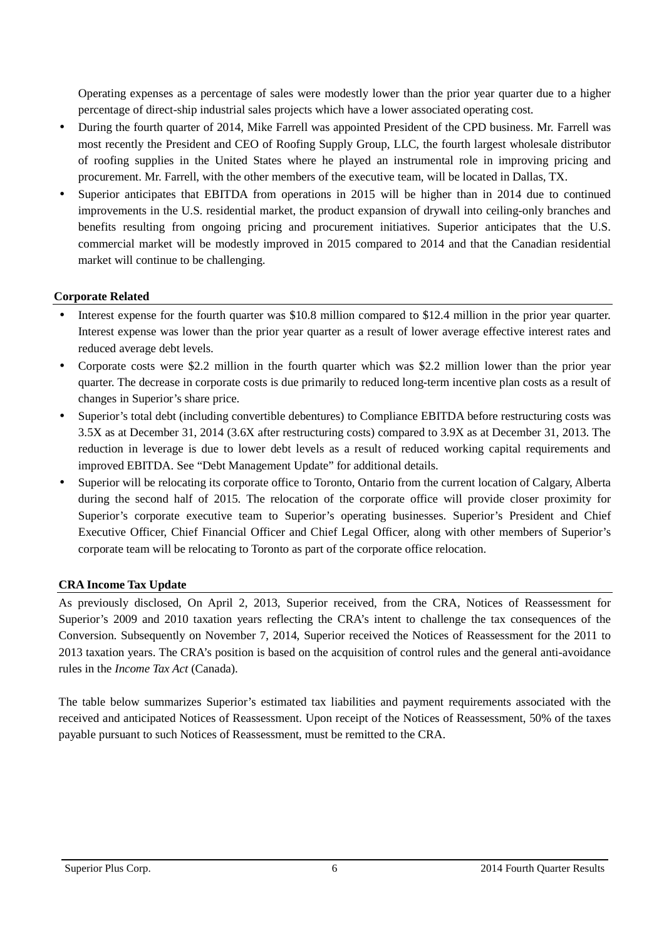Operating expenses as a percentage of sales were modestly lower than the prior year quarter due to a higher percentage of direct-ship industrial sales projects which have a lower associated operating cost.

- During the fourth quarter of 2014, Mike Farrell was appointed President of the CPD business. Mr. Farrell was most recently the President and CEO of Roofing Supply Group, LLC, the fourth largest wholesale distributor of roofing supplies in the United States where he played an instrumental role in improving pricing and procurement. Mr. Farrell, with the other members of the executive team, will be located in Dallas, TX.
- Superior anticipates that EBITDA from operations in 2015 will be higher than in 2014 due to continued improvements in the U.S. residential market, the product expansion of drywall into ceiling-only branches and benefits resulting from ongoing pricing and procurement initiatives. Superior anticipates that the U.S. commercial market will be modestly improved in 2015 compared to 2014 and that the Canadian residential market will continue to be challenging.

# **Corporate Related**

- Interest expense for the fourth quarter was \$10.8 million compared to \$12.4 million in the prior year quarter. Interest expense was lower than the prior year quarter as a result of lower average effective interest rates and reduced average debt levels.
- Corporate costs were \$2.2 million in the fourth quarter which was \$2.2 million lower than the prior year quarter. The decrease in corporate costs is due primarily to reduced long-term incentive plan costs as a result of changes in Superior's share price.
- Superior's total debt (including convertible debentures) to Compliance EBITDA before restructuring costs was 3.5X as at December 31, 2014 (3.6X after restructuring costs) compared to 3.9X as at December 31, 2013. The reduction in leverage is due to lower debt levels as a result of reduced working capital requirements and improved EBITDA. See "Debt Management Update" for additional details.
- Superior will be relocating its corporate office to Toronto, Ontario from the current location of Calgary, Alberta during the second half of 2015. The relocation of the corporate office will provide closer proximity for Superior's corporate executive team to Superior's operating businesses. Superior's President and Chief Executive Officer, Chief Financial Officer and Chief Legal Officer, along with other members of Superior's corporate team will be relocating to Toronto as part of the corporate office relocation.

#### **CRA Income Tax Update**

As previously disclosed, On April 2, 2013, Superior received, from the CRA, Notices of Reassessment for Superior's 2009 and 2010 taxation years reflecting the CRA's intent to challenge the tax consequences of the Conversion. Subsequently on November 7, 2014, Superior received the Notices of Reassessment for the 2011 to 2013 taxation years. The CRA's position is based on the acquisition of control rules and the general anti-avoidance rules in the *Income Tax Act* (Canada).

The table below summarizes Superior's estimated tax liabilities and payment requirements associated with the received and anticipated Notices of Reassessment. Upon receipt of the Notices of Reassessment, 50% of the taxes payable pursuant to such Notices of Reassessment, must be remitted to the CRA.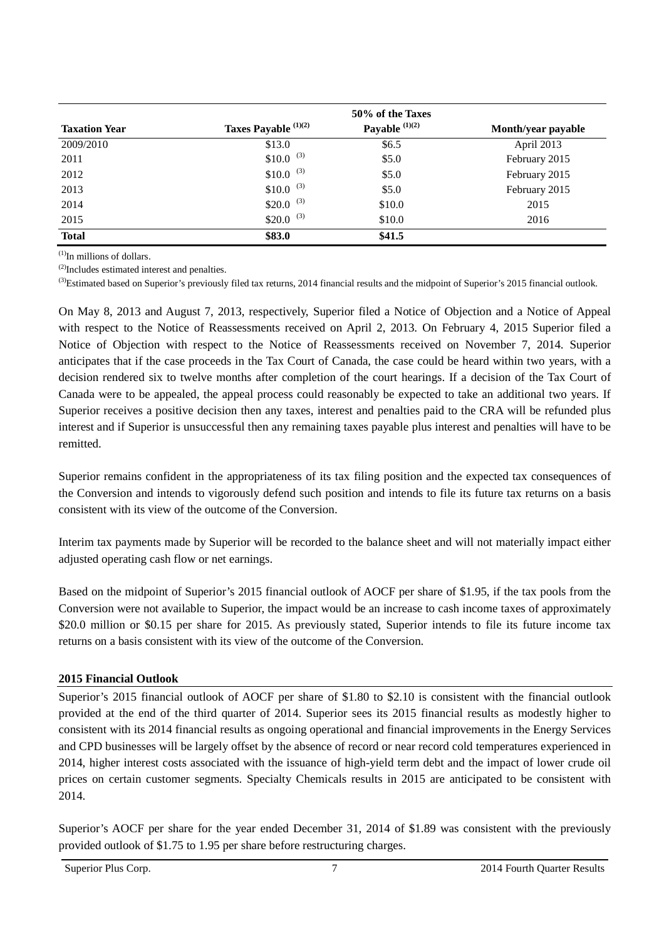|                      |                        | 50% of the Taxes |                    |
|----------------------|------------------------|------------------|--------------------|
| <b>Taxation Year</b> | Taxes Payable (1)(2)   | Payable $(1)(2)$ | Month/year payable |
| 2009/2010            | \$13.0                 | \$6.5            | April 2013         |
| 2011                 | $$10.0$ (3)            | \$5.0            | February 2015      |
| 2012                 | $$10.0$ (3)            | \$5.0            | February 2015      |
| 2013                 | $$10.0$ (3)            | \$5.0            | February 2015      |
| 2014                 | $$20.0$ <sup>(3)</sup> | \$10.0           | 2015               |
| 2015                 | $$20.0$ <sup>(3)</sup> | \$10.0           | 2016               |
| <b>Total</b>         | \$83.0                 | \$41.5           |                    |

 $<sup>(1)</sup>$ In millions of dollars.</sup>

(2)Includes estimated interest and penalties.

<sup>(3)</sup>Estimated based on Superior's previously filed tax returns, 2014 financial results and the midpoint of Superior's 2015 financial outlook.

On May 8, 2013 and August 7, 2013, respectively, Superior filed a Notice of Objection and a Notice of Appeal with respect to the Notice of Reassessments received on April 2, 2013. On February 4, 2015 Superior filed a Notice of Objection with respect to the Notice of Reassessments received on November 7, 2014. Superior anticipates that if the case proceeds in the Tax Court of Canada, the case could be heard within two years, with a decision rendered six to twelve months after completion of the court hearings. If a decision of the Tax Court of Canada were to be appealed, the appeal process could reasonably be expected to take an additional two years. If Superior receives a positive decision then any taxes, interest and penalties paid to the CRA will be refunded plus interest and if Superior is unsuccessful then any remaining taxes payable plus interest and penalties will have to be remitted.

Superior remains confident in the appropriateness of its tax filing position and the expected tax consequences of the Conversion and intends to vigorously defend such position and intends to file its future tax returns on a basis consistent with its view of the outcome of the Conversion.

Interim tax payments made by Superior will be recorded to the balance sheet and will not materially impact either adjusted operating cash flow or net earnings.

Based on the midpoint of Superior's 2015 financial outlook of AOCF per share of \$1.95, if the tax pools from the Conversion were not available to Superior, the impact would be an increase to cash income taxes of approximately \$20.0 million or \$0.15 per share for 2015. As previously stated, Superior intends to file its future income tax returns on a basis consistent with its view of the outcome of the Conversion.

# **2015 Financial Outlook**

Superior's 2015 financial outlook of AOCF per share of \$1.80 to \$2.10 is consistent with the financial outlook provided at the end of the third quarter of 2014. Superior sees its 2015 financial results as modestly higher to consistent with its 2014 financial results as ongoing operational and financial improvements in the Energy Services and CPD businesses will be largely offset by the absence of record or near record cold temperatures experienced in 2014, higher interest costs associated with the issuance of high-yield term debt and the impact of lower crude oil prices on certain customer segments. Specialty Chemicals results in 2015 are anticipated to be consistent with 2014.

Superior's AOCF per share for the year ended December 31, 2014 of \$1.89 was consistent with the previously provided outlook of \$1.75 to 1.95 per share before restructuring charges.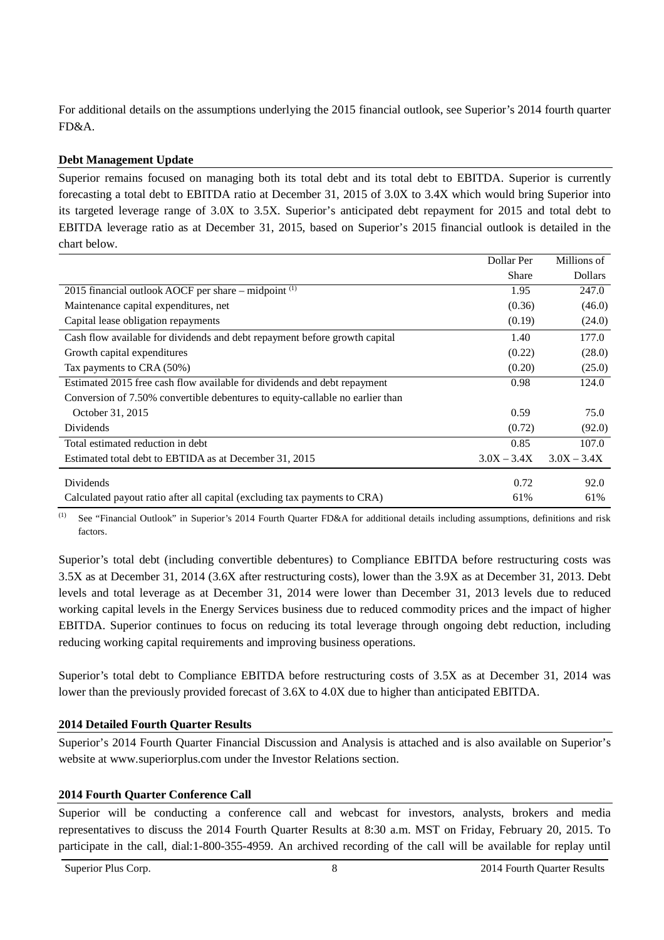For additional details on the assumptions underlying the 2015 financial outlook, see Superior's 2014 fourth quarter FD&A.

# **Debt Management Update**

Superior remains focused on managing both its total debt and its total debt to EBITDA. Superior is currently forecasting a total debt to EBITDA ratio at December 31, 2015 of 3.0X to 3.4X which would bring Superior into its targeted leverage range of 3.0X to 3.5X. Superior's anticipated debt repayment for 2015 and total debt to EBITDA leverage ratio as at December 31, 2015, based on Superior's 2015 financial outlook is detailed in the chart below.

|                                                                               | Dollar Per    | Millions of    |
|-------------------------------------------------------------------------------|---------------|----------------|
|                                                                               | <b>Share</b>  | <b>Dollars</b> |
| 2015 financial outlook AOCF per share – midpoint $(1)$                        | 1.95          | 247.0          |
| Maintenance capital expenditures, net                                         | (0.36)        | (46.0)         |
| Capital lease obligation repayments                                           | (0.19)        | (24.0)         |
| Cash flow available for dividends and debt repayment before growth capital    | 1.40          | 177.0          |
| Growth capital expenditures                                                   | (0.22)        | (28.0)         |
| Tax payments to CRA (50%)                                                     | (0.20)        | (25.0)         |
| Estimated 2015 free cash flow available for dividends and debt repayment      | 0.98          | 124.0          |
| Conversion of 7.50% convertible debentures to equity-callable no earlier than |               |                |
| October 31, 2015                                                              | 0.59          | 75.0           |
| Dividends                                                                     | (0.72)        | (92.0)         |
| Total estimated reduction in debt                                             | 0.85          | 107.0          |
| Estimated total debt to EBTIDA as at December 31, 2015                        | $3.0X - 3.4X$ | $3.0X - 3.4X$  |
| Dividends                                                                     | 0.72          | 92.0           |
| Calculated payout ratio after all capital (excluding tax payments to CRA)     | 61%           | 61%            |

(1) See "Financial Outlook" in Superior's 2014 Fourth Quarter FD&A for additional details including assumptions, definitions and risk factors.

Superior's total debt (including convertible debentures) to Compliance EBITDA before restructuring costs was 3.5X as at December 31, 2014 (3.6X after restructuring costs), lower than the 3.9X as at December 31, 2013. Debt levels and total leverage as at December 31, 2014 were lower than December 31, 2013 levels due to reduced working capital levels in the Energy Services business due to reduced commodity prices and the impact of higher EBITDA. Superior continues to focus on reducing its total leverage through ongoing debt reduction, including reducing working capital requirements and improving business operations.

Superior's total debt to Compliance EBITDA before restructuring costs of 3.5X as at December 31, 2014 was lower than the previously provided forecast of 3.6X to 4.0X due to higher than anticipated EBITDA.

# **2014 Detailed Fourth Quarter Results**

Superior's 2014 Fourth Quarter Financial Discussion and Analysis is attached and is also available on Superior's website at www.superiorplus.com under the Investor Relations section.

# **2014 Fourth Quarter Conference Call**

Superior will be conducting a conference call and webcast for investors, analysts, brokers and media representatives to discuss the 2014 Fourth Quarter Results at 8:30 a.m. MST on Friday, February 20, 2015. To participate in the call, dial:1-800-355-4959. An archived recording of the call will be available for replay until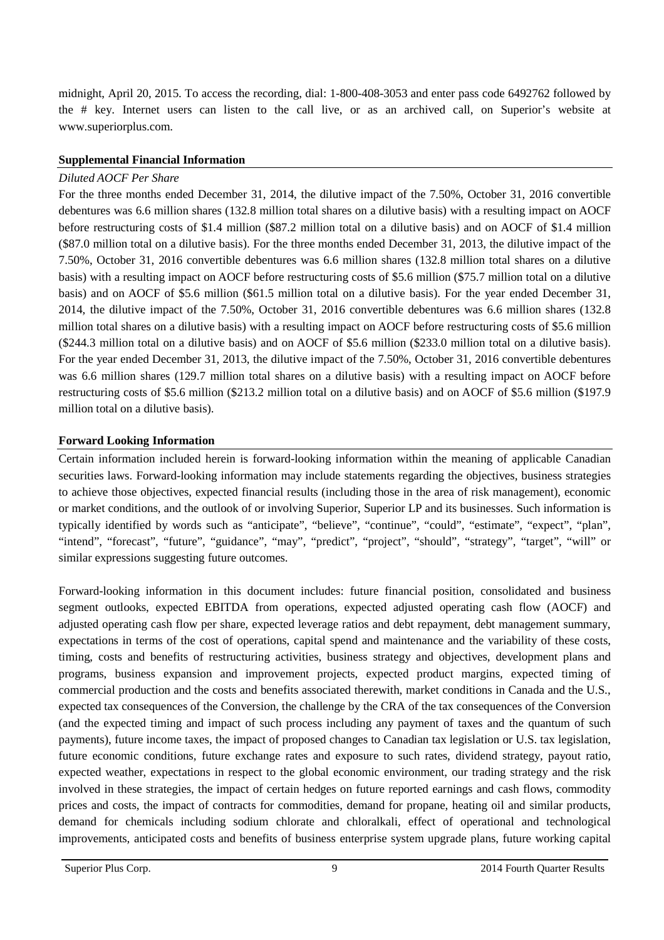midnight, April 20, 2015. To access the recording, dial: 1-800-408-3053 and enter pass code 6492762 followed by the # key. Internet users can listen to the call live, or as an archived call, on Superior's website at www.superiorplus.com.

# **Supplemental Financial Information**

# *Diluted AOCF Per Share*

For the three months ended December 31, 2014, the dilutive impact of the 7.50%, October 31, 2016 convertible debentures was 6.6 million shares (132.8 million total shares on a dilutive basis) with a resulting impact on AOCF before restructuring costs of \$1.4 million (\$87.2 million total on a dilutive basis) and on AOCF of \$1.4 million (\$87.0 million total on a dilutive basis). For the three months ended December 31, 2013, the dilutive impact of the 7.50%, October 31, 2016 convertible debentures was 6.6 million shares (132.8 million total shares on a dilutive basis) with a resulting impact on AOCF before restructuring costs of \$5.6 million (\$75.7 million total on a dilutive basis) and on AOCF of \$5.6 million (\$61.5 million total on a dilutive basis). For the year ended December 31, 2014, the dilutive impact of the 7.50%, October 31, 2016 convertible debentures was 6.6 million shares (132.8 million total shares on a dilutive basis) with a resulting impact on AOCF before restructuring costs of \$5.6 million (\$244.3 million total on a dilutive basis) and on AOCF of \$5.6 million (\$233.0 million total on a dilutive basis). For the year ended December 31, 2013, the dilutive impact of the 7.50%, October 31, 2016 convertible debentures was 6.6 million shares (129.7 million total shares on a dilutive basis) with a resulting impact on AOCF before restructuring costs of \$5.6 million (\$213.2 million total on a dilutive basis) and on AOCF of \$5.6 million (\$197.9 million total on a dilutive basis).

# **Forward Looking Information**

Certain information included herein is forward-looking information within the meaning of applicable Canadian securities laws. Forward-looking information may include statements regarding the objectives, business strategies to achieve those objectives, expected financial results (including those in the area of risk management), economic or market conditions, and the outlook of or involving Superior, Superior LP and its businesses. Such information is typically identified by words such as "anticipate", "believe", "continue", "could", "estimate", "expect", "plan", "intend", "forecast", "future", "guidance", "may", "predict", "project", "should", "strategy", "target", "will" or similar expressions suggesting future outcomes.

Forward-looking information in this document includes: future financial position, consolidated and business segment outlooks, expected EBITDA from operations, expected adjusted operating cash flow (AOCF) and adjusted operating cash flow per share, expected leverage ratios and debt repayment, debt management summary, expectations in terms of the cost of operations, capital spend and maintenance and the variability of these costs, timing, costs and benefits of restructuring activities, business strategy and objectives, development plans and programs, business expansion and improvement projects, expected product margins, expected timing of commercial production and the costs and benefits associated therewith, market conditions in Canada and the U.S., expected tax consequences of the Conversion, the challenge by the CRA of the tax consequences of the Conversion (and the expected timing and impact of such process including any payment of taxes and the quantum of such payments), future income taxes, the impact of proposed changes to Canadian tax legislation or U.S. tax legislation, future economic conditions, future exchange rates and exposure to such rates, dividend strategy, payout ratio, expected weather, expectations in respect to the global economic environment, our trading strategy and the risk involved in these strategies, the impact of certain hedges on future reported earnings and cash flows, commodity prices and costs, the impact of contracts for commodities, demand for propane, heating oil and similar products, demand for chemicals including sodium chlorate and chloralkali, effect of operational and technological improvements, anticipated costs and benefits of business enterprise system upgrade plans, future working capital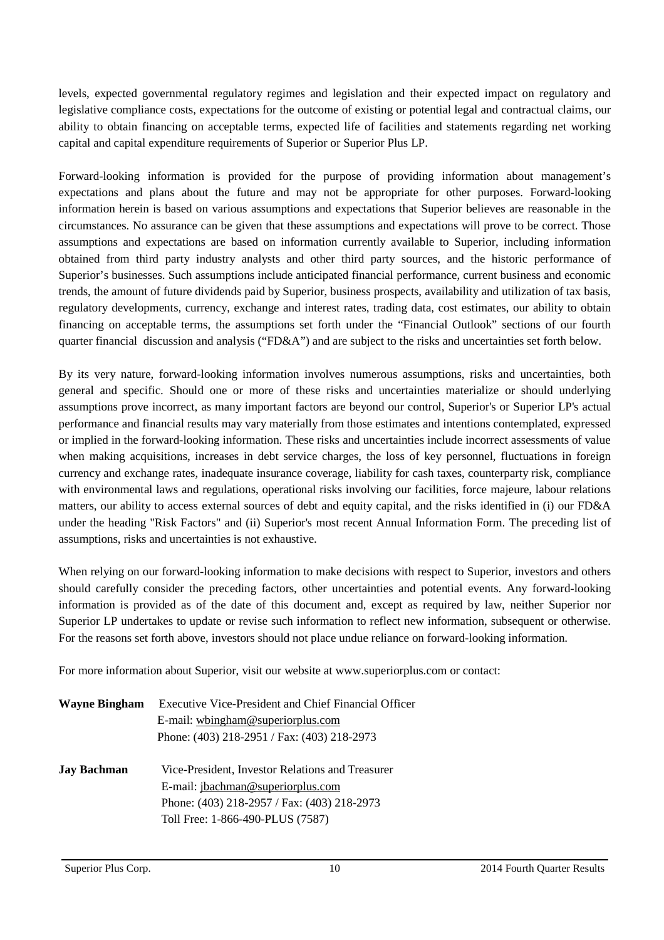levels, expected governmental regulatory regimes and legislation and their expected impact on regulatory and legislative compliance costs, expectations for the outcome of existing or potential legal and contractual claims, our ability to obtain financing on acceptable terms, expected life of facilities and statements regarding net working capital and capital expenditure requirements of Superior or Superior Plus LP.

Forward-looking information is provided for the purpose of providing information about management's expectations and plans about the future and may not be appropriate for other purposes. Forward-looking information herein is based on various assumptions and expectations that Superior believes are reasonable in the circumstances. No assurance can be given that these assumptions and expectations will prove to be correct. Those assumptions and expectations are based on information currently available to Superior, including information obtained from third party industry analysts and other third party sources, and the historic performance of Superior's businesses. Such assumptions include anticipated financial performance, current business and economic trends, the amount of future dividends paid by Superior, business prospects, availability and utilization of tax basis, regulatory developments, currency, exchange and interest rates, trading data, cost estimates, our ability to obtain financing on acceptable terms, the assumptions set forth under the "Financial Outlook" sections of our fourth quarter financial discussion and analysis ("FD&A") and are subject to the risks and uncertainties set forth below.

By its very nature, forward-looking information involves numerous assumptions, risks and uncertainties, both general and specific. Should one or more of these risks and uncertainties materialize or should underlying assumptions prove incorrect, as many important factors are beyond our control, Superior's or Superior LP's actual performance and financial results may vary materially from those estimates and intentions contemplated, expressed or implied in the forward-looking information. These risks and uncertainties include incorrect assessments of value when making acquisitions, increases in debt service charges, the loss of key personnel, fluctuations in foreign currency and exchange rates, inadequate insurance coverage, liability for cash taxes, counterparty risk, compliance with environmental laws and regulations, operational risks involving our facilities, force majeure, labour relations matters, our ability to access external sources of debt and equity capital, and the risks identified in (i) our FD&A under the heading "Risk Factors" and (ii) Superior's most recent Annual Information Form. The preceding list of assumptions, risks and uncertainties is not exhaustive.

When relying on our forward-looking information to make decisions with respect to Superior, investors and others should carefully consider the preceding factors, other uncertainties and potential events. Any forward-looking information is provided as of the date of this document and, except as required by law, neither Superior nor Superior LP undertakes to update or revise such information to reflect new information, subsequent or otherwise. For the reasons set forth above, investors should not place undue reliance on forward-looking information.

For more information about Superior, visit our website at www.superiorplus.com or contact:

| <b>Wayne Bingham</b>                        | Executive Vice-President and Chief Financial Officer |  |  |  |  |  |
|---------------------------------------------|------------------------------------------------------|--|--|--|--|--|
|                                             | E-mail: wbingham@superiorplus.com                    |  |  |  |  |  |
| Phone: (403) 218-2951 / Fax: (403) 218-2973 |                                                      |  |  |  |  |  |
| <b>Jay Bachman</b>                          | Vice-President, Investor Relations and Treasurer     |  |  |  |  |  |
|                                             | E-mail: jbachman@superiorplus.com                    |  |  |  |  |  |
|                                             | Phone: (403) 218-2957 / Fax: (403) 218-2973          |  |  |  |  |  |
|                                             | Toll Free: 1-866-490-PLUS (7587)                     |  |  |  |  |  |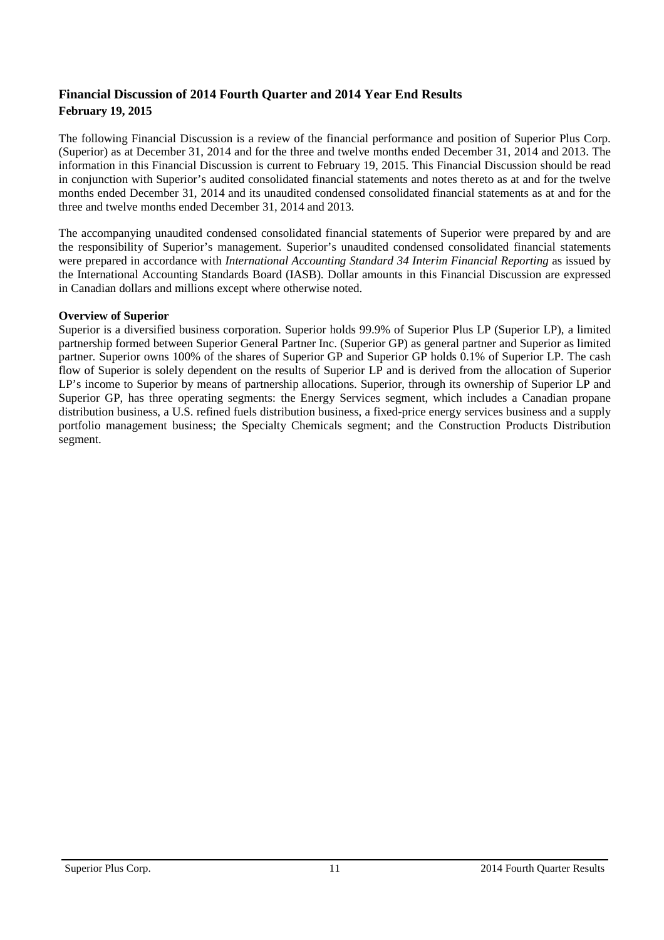# **Financial Discussion of 2014 Fourth Quarter and 2014 Year End Results February 19, 2015**

The following Financial Discussion is a review of the financial performance and position of Superior Plus Corp. (Superior) as at December 31, 2014 and for the three and twelve months ended December 31, 2014 and 2013. The information in this Financial Discussion is current to February 19, 2015. This Financial Discussion should be read in conjunction with Superior's audited consolidated financial statements and notes thereto as at and for the twelve months ended December 31, 2014 and its unaudited condensed consolidated financial statements as at and for the three and twelve months ended December 31, 2014 and 2013.

The accompanying unaudited condensed consolidated financial statements of Superior were prepared by and are the responsibility of Superior's management. Superior's unaudited condensed consolidated financial statements were prepared in accordance with *International Accounting Standard 34 Interim Financial Reporting* as issued by the International Accounting Standards Board (IASB). Dollar amounts in this Financial Discussion are expressed in Canadian dollars and millions except where otherwise noted.

#### **Overview of Superior**

Superior is a diversified business corporation. Superior holds 99.9% of Superior Plus LP (Superior LP), a limited partnership formed between Superior General Partner Inc. (Superior GP) as general partner and Superior as limited partner. Superior owns 100% of the shares of Superior GP and Superior GP holds 0.1% of Superior LP. The cash flow of Superior is solely dependent on the results of Superior LP and is derived from the allocation of Superior LP's income to Superior by means of partnership allocations. Superior, through its ownership of Superior LP and Superior GP, has three operating segments: the Energy Services segment, which includes a Canadian propane distribution business, a U.S. refined fuels distribution business, a fixed-price energy services business and a supply portfolio management business; the Specialty Chemicals segment; and the Construction Products Distribution segment.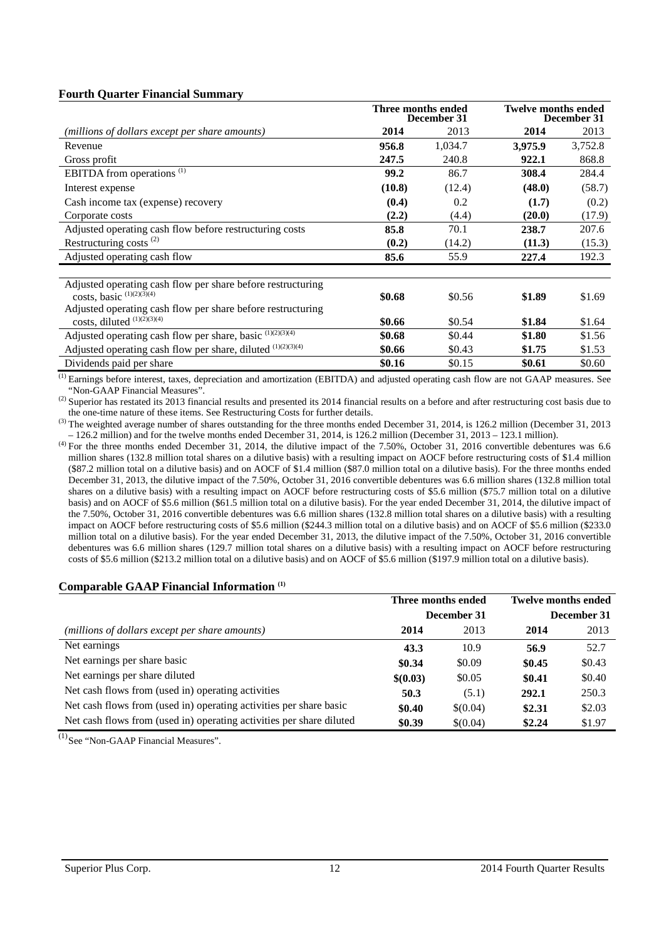#### **Fourth Quarter Financial Summary**

|                                                                                              | Three months ended<br>December 31 |         | Twelve months ended<br>December 31 |         |
|----------------------------------------------------------------------------------------------|-----------------------------------|---------|------------------------------------|---------|
| (millions of dollars except per share amounts)                                               | 2014                              | 2013    | 2014                               | 2013    |
| Revenue                                                                                      | 956.8                             | 1,034.7 | 3,975.9                            | 3,752.8 |
| Gross profit                                                                                 | 247.5                             | 240.8   | 922.1                              | 868.8   |
| EBITDA from operations <sup>(1)</sup>                                                        | 99.2                              | 86.7    | 308.4                              | 284.4   |
| Interest expense                                                                             | (10.8)                            | (12.4)  | (48.0)                             | (58.7)  |
| Cash income tax (expense) recovery                                                           | (0.4)                             | 0.2     | (1.7)                              | (0.2)   |
| Corporate costs                                                                              | (2.2)                             | (4.4)   | (20.0)                             | (17.9)  |
| Adjusted operating cash flow before restructuring costs                                      | 85.8                              | 70.1    | 238.7                              | 207.6   |
| Restructuring costs $^{(2)}$                                                                 | (0.2)                             | (14.2)  | (11.3)                             | (15.3)  |
| Adjusted operating cash flow                                                                 | 85.6                              | 55.9    | 227.4                              | 192.3   |
|                                                                                              |                                   |         |                                    |         |
| Adjusted operating cash flow per share before restructuring<br>costs, basic $(1)(2)(3)(4)$   | \$0.68                            | \$0.56  | \$1.89                             | \$1.69  |
| Adjusted operating cash flow per share before restructuring<br>costs, diluted $(1)(2)(3)(4)$ | \$0.66                            | \$0.54  | \$1.84                             | \$1.64  |
| Adjusted operating cash flow per share, basic (1)(2)(3)(4)                                   | \$0.68                            | \$0.44  | \$1.80                             | \$1.56  |
| Adjusted operating cash flow per share, diluted (1)(2)(3)(4)                                 | \$0.66                            | \$0.43  | \$1.75                             | \$1.53  |
| Dividends paid per share                                                                     | \$0.16                            | \$0.15  | \$0.61                             | \$0.60  |

<sup>(1)</sup> Earnings before interest, taxes, depreciation and amortization (EBITDA) and adjusted operating cash flow are not GAAP measures. See "Non-GAAP Financial Measures".

<sup>(2)</sup> Superior has restated its 2013 financial results and presented its 2014 financial results on a before and after restructuring cost basis due to the one-time nature of these items. See Restructuring Costs for further details.

 $^{(3)}$  The weighted average number of shares outstanding for the three months ended December 31, 2014, is 126.2 million (December 31, 2013 – 126.2 million) and for the twelve months ended December 31, 2014, is 126.2 million (December 31, 2013 – 123.1 million).

 $^{(4)}$  For the three months ended December 31, 2014, the dilutive impact of the 7.50%, October 31, 2016 convertible debentures was 6.6 million shares (132.8 million total shares on a dilutive basis) with a resulting impact on AOCF before restructuring costs of \$1.4 million (\$87.2 million total on a dilutive basis) and on AOCF of \$1.4 million (\$87.0 million total on a dilutive basis). For the three months ended December 31, 2013, the dilutive impact of the 7.50%, October 31, 2016 convertible debentures was 6.6 million shares (132.8 million total shares on a dilutive basis) with a resulting impact on AOCF before restructuring costs of \$5.6 million (\$75.7 million total on a dilutive basis) and on AOCF of \$5.6 million (\$61.5 million total on a dilutive basis). For the year ended December 31, 2014, the dilutive impact of the 7.50%, October 31, 2016 convertible debentures was 6.6 million shares (132.8 million total shares on a dilutive basis) with a resulting impact on AOCF before restructuring costs of \$5.6 million (\$244.3 million total on a dilutive basis) and on AOCF of \$5.6 million (\$233.0 million total on a dilutive basis). For the year ended December 31, 2013, the dilutive impact of the 7.50%, October 31, 2016 convertible debentures was 6.6 million shares (129.7 million total shares on a dilutive basis) with a resulting impact on AOCF before restructuring costs of \$5.6 million (\$213.2 million total on a dilutive basis) and on AOCF of \$5.6 million (\$197.9 million total on a dilutive basis).

#### **Comparable GAAP Financial Information (1)**

|                                                                      | Three months ended |             | <b>Twelve months ended</b> |        |
|----------------------------------------------------------------------|--------------------|-------------|----------------------------|--------|
|                                                                      |                    | December 31 | December 31                |        |
| (millions of dollars except per share amounts)                       | 2014               | 2013        | 2014                       | 2013   |
| Net earnings                                                         | 43.3               | 10.9        | 56.9                       | 52.7   |
| Net earnings per share basic                                         | \$0.34             | \$0.09      | \$0.45                     | \$0.43 |
| Net earnings per share diluted                                       | \$(0.03)           | \$0.05      | \$0.41                     | \$0.40 |
| Net cash flows from (used in) operating activities                   | 50.3               | (5.1)       | 292.1                      | 250.3  |
| Net cash flows from (used in) operating activities per share basic   | \$0.40             | \$(0.04)    | \$2.31                     | \$2.03 |
| Net cash flows from (used in) operating activities per share diluted | \$0.39             | \$(0.04)    | \$2.24                     | \$1.97 |

 $<sup>(1)</sup>$ See "Non-GAAP Financial Measures".</sup>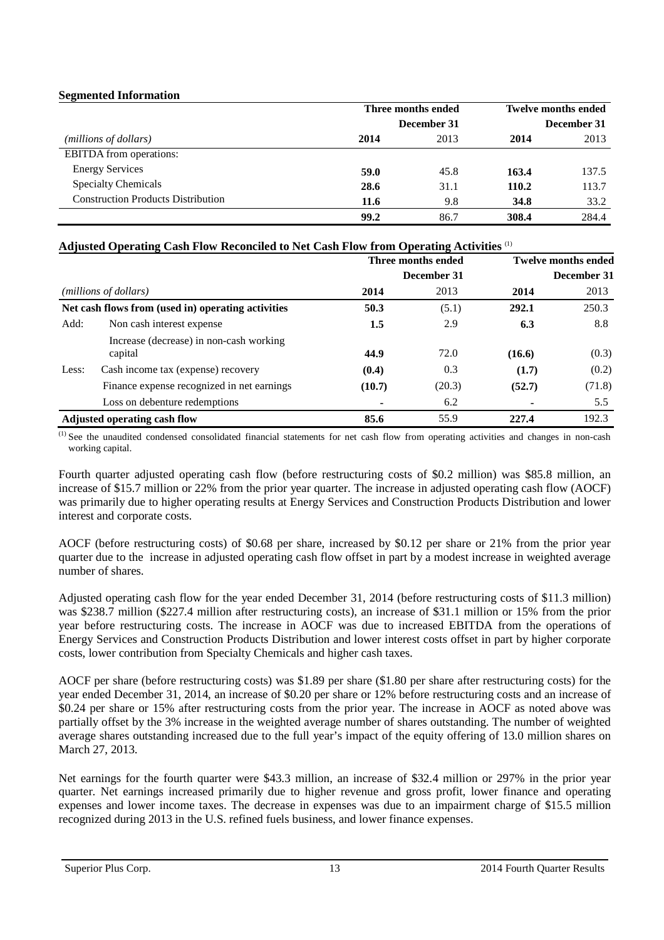# **Segmented Information**

|                                           | Three months ended |             | <b>Twelve months ended</b> |       |  |
|-------------------------------------------|--------------------|-------------|----------------------------|-------|--|
|                                           |                    | December 31 | December 31                |       |  |
| (millions of dollars)                     | 2014               | 2013        | 2014                       | 2013  |  |
| <b>EBITDA</b> from operations:            |                    |             |                            |       |  |
| <b>Energy Services</b>                    | 59.0               | 45.8        | 163.4                      | 137.5 |  |
| <b>Specialty Chemicals</b>                | 28.6               | 31.1        | 110.2                      | 113.7 |  |
| <b>Construction Products Distribution</b> | 11.6               | 9.8         | 34.8                       | 33.2  |  |
|                                           | 99.2               | 86.7        | 308.4                      | 284.4 |  |

#### **Adjusted Operating Cash Flow Reconciled to Net Cash Flow from Operating Activities** (1)

|       |                                                    | Three months ended |             | <b>Twelve months ended</b> |             |  |
|-------|----------------------------------------------------|--------------------|-------------|----------------------------|-------------|--|
|       |                                                    |                    | December 31 |                            | December 31 |  |
|       | (millions of dollars)                              | 2014               | 2013        | 2014                       | 2013        |  |
|       | Net cash flows from (used in) operating activities | 50.3               | (5.1)       | 292.1                      | 250.3       |  |
| Add:  | Non cash interest expense                          | $1.5\,$            | 2.9         | 6.3                        | 8.8         |  |
|       | Increase (decrease) in non-cash working<br>capital | 44.9               | 72.0        | (16.6)                     | (0.3)       |  |
| Less: | Cash income tax (expense) recovery                 | (0.4)              | 0.3         | (1.7)                      | (0.2)       |  |
|       | Finance expense recognized in net earnings         | (10.7)             | (20.3)      | (52.7)                     | (71.8)      |  |
|       | Loss on debenture redemptions                      | ٠                  | 6.2         |                            | 5.5         |  |
|       | <b>Adjusted operating cash flow</b>                | 85.6               | 55.9        | 227.4                      | 192.3       |  |

(1) See the unaudited condensed consolidated financial statements for net cash flow from operating activities and changes in non-cash working capital.

Fourth quarter adjusted operating cash flow (before restructuring costs of \$0.2 million) was \$85.8 million, an increase of \$15.7 million or 22% from the prior year quarter. The increase in adjusted operating cash flow (AOCF) was primarily due to higher operating results at Energy Services and Construction Products Distribution and lower interest and corporate costs.

AOCF (before restructuring costs) of \$0.68 per share, increased by \$0.12 per share or 21% from the prior year quarter due to the increase in adjusted operating cash flow offset in part by a modest increase in weighted average number of shares.

Adjusted operating cash flow for the year ended December 31, 2014 (before restructuring costs of \$11.3 million) was \$238.7 million (\$227.4 million after restructuring costs), an increase of \$31.1 million or 15% from the prior year before restructuring costs. The increase in AOCF was due to increased EBITDA from the operations of Energy Services and Construction Products Distribution and lower interest costs offset in part by higher corporate costs, lower contribution from Specialty Chemicals and higher cash taxes.

AOCF per share (before restructuring costs) was \$1.89 per share (\$1.80 per share after restructuring costs) for the year ended December 31, 2014, an increase of \$0.20 per share or 12% before restructuring costs and an increase of \$0.24 per share or 15% after restructuring costs from the prior year. The increase in AOCF as noted above was partially offset by the 3% increase in the weighted average number of shares outstanding. The number of weighted average shares outstanding increased due to the full year's impact of the equity offering of 13.0 million shares on March 27, 2013.

Net earnings for the fourth quarter were \$43.3 million, an increase of \$32.4 million or 297% in the prior year quarter. Net earnings increased primarily due to higher revenue and gross profit, lower finance and operating expenses and lower income taxes. The decrease in expenses was due to an impairment charge of \$15.5 million recognized during 2013 in the U.S. refined fuels business, and lower finance expenses.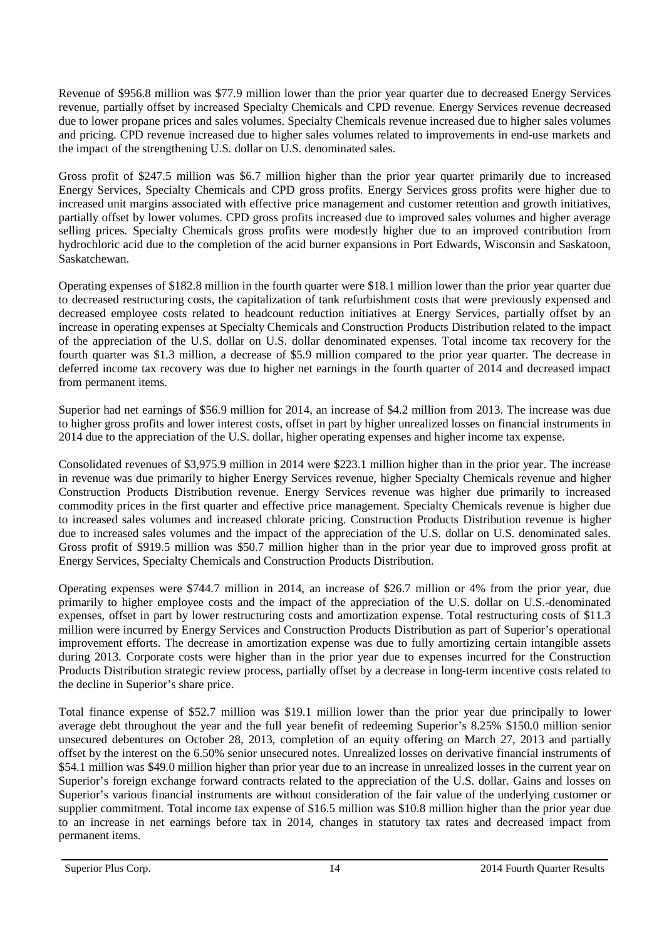Revenue of \$956.8 million was \$77.9 million lower than the prior year quarter due to decreased Energy Services revenue, partially offset by increased Specialty Chemicals and CPD revenue. Energy Services revenue decreased due to lower propane prices and sales volumes. Specialty Chemicals revenue increased due to higher sales volumes and pricing. CPD revenue increased due to higher sales volumes related to improvements in end-use markets and the impact of the strengthening U.S. dollar on U.S. denominated sales.

Gross profit of \$247.5 million was \$6.7 million higher than the prior year quarter primarily due to increased Energy Services, Specialty Chemicals and CPD gross profits. Energy Services gross profits were higher due to increased unit margins associated with effective price management and customer retention and growth initiatives, partially offset by lower volumes. CPD gross profits increased due to improved sales volumes and higher average selling prices. Specialty Chemicals gross profits were modestly higher due to an improved contribution from hydrochloric acid due to the completion of the acid burner expansions in Port Edwards, Wisconsin and Saskatoon, Saskatchewan.

Operating expenses of \$182.8 million in the fourth quarter were \$18.1 million lower than the prior year quarter due to decreased restructuring costs, the capitalization of tank refurbishment costs that were previously expensed and decreased employee costs related to headcount reduction initiatives at Energy Services, partially offset by an increase in operating expenses at Specialty Chemicals and Construction Products Distribution related to the impact of the appreciation of the U.S. dollar on U.S. dollar denominated expenses. Total income tax recovery for the fourth quarter was \$1.3 million, a decrease of \$5.9 million compared to the prior year quarter. The decrease in deferred income tax recovery was due to higher net earnings in the fourth quarter of 2014 and decreased impact from permanent items.

Superior had net earnings of \$56.9 million for 2014, an increase of \$4.2 million from 2013. The increase was due to higher gross profits and lower interest costs, offset in part by higher unrealized losses on financial instruments in 2014 due to the appreciation of the U.S. dollar, higher operating expenses and higher income tax expense.

Consolidated revenues of \$3,975.9 million in 2014 were \$223.1 million higher than in the prior year. The increase in revenue was due primarily to higher Energy Services revenue, higher Specialty Chemicals revenue and higher Construction Products Distribution revenue. Energy Services revenue was higher due primarily to increased commodity prices in the first quarter and effective price management. Specialty Chemicals revenue is higher due to increased sales volumes and increased chlorate pricing. Construction Products Distribution revenue is higher due to increased sales volumes and the impact of the appreciation of the U.S. dollar on U.S. denominated sales. Gross profit of \$919.5 million was \$50.7 million higher than in the prior year due to improved gross profit at Energy Services, Specialty Chemicals and Construction Products Distribution.

Operating expenses were \$744.7 million in 2014, an increase of \$26.7 million or 4% from the prior year, due primarily to higher employee costs and the impact of the appreciation of the U.S. dollar on U.S.-denominated expenses, offset in part by lower restructuring costs and amortization expense. Total restructuring costs of \$11.3 million were incurred by Energy Services and Construction Products Distribution as part of Superior's operational improvement efforts. The decrease in amortization expense was due to fully amortizing certain intangible assets during 2013. Corporate costs were higher than in the prior year due to expenses incurred for the Construction Products Distribution strategic review process, partially offset by a decrease in long-term incentive costs related to the decline in Superior's share price.

Total finance expense of \$52.7 million was \$19.1 million lower than the prior year due principally to lower average debt throughout the year and the full year benefit of redeeming Superior's 8.25% \$150.0 million senior unsecured debentures on October 28, 2013, completion of an equity offering on March 27, 2013 and partially offset by the interest on the 6.50% senior unsecured notes. Unrealized losses on derivative financial instruments of \$54.1 million was \$49.0 million higher than prior year due to an increase in unrealized losses in the current year on Superior's foreign exchange forward contracts related to the appreciation of the U.S. dollar. Gains and losses on Superior's various financial instruments are without consideration of the fair value of the underlying customer or supplier commitment. Total income tax expense of \$16.5 million was \$10.8 million higher than the prior year due to an increase in net earnings before tax in 2014, changes in statutory tax rates and decreased impact from permanent items.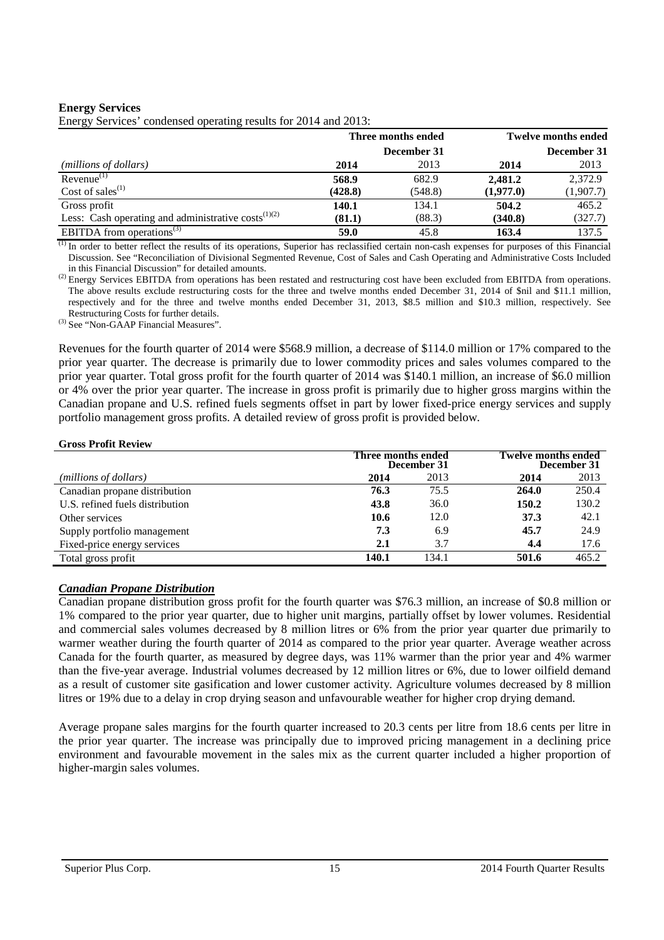#### **Energy Services**

| Energy Services' condensed operating results for 2014 and 2013: |  |
|-----------------------------------------------------------------|--|
|                                                                 |  |

|                                                          | Three months ended |             | <b>Twelve months ended</b> |             |
|----------------------------------------------------------|--------------------|-------------|----------------------------|-------------|
|                                                          |                    | December 31 |                            | December 31 |
| (millions of dollars)                                    | 2014               | 2013        | 2014                       | 2013        |
| $Revenue^{(1)}$                                          | 568.9              | 682.9       | 2,481.2                    | 2.372.9     |
| Cost of sales $^{(1)}$                                   | (428.8)            | (548.8)     | (1,977.0)                  | (1,907.7)   |
| Gross profit                                             | 140.1              | 134.1       | 504.2                      | 465.2       |
| Less: Cash operating and administrative $costs^{(1)(2)}$ | (81.1)             | (88.3)      | (340.8)                    | (327.7)     |
| EBITDA from operations <sup>(3)</sup>                    | 59.0               | 45.8        | 163.4                      | 137.5       |

 $<sup>(1)</sup>$  In order to better reflect the results of its operations, Superior has reclassified certain non-cash expenses for purposes of this Financial</sup> Discussion. See "Reconciliation of Divisional Segmented Revenue, Cost of Sales and Cash Operating and Administrative Costs Included in this Financial Discussion" for detailed amounts.

<sup>(2)</sup> Energy Services EBITDA from operations has been restated and restructuring cost have been excluded from EBITDA from operations. The above results exclude restructuring costs for the three and twelve months ended December 31, 2014 of \$nil and \$11.1 million, respectively and for the three and twelve months ended December 31, 2013, \$8.5 million and \$10.3 million, respectively. See Restructuring Costs for further details.

(3) See "Non-GAAP Financial Measures".

Revenues for the fourth quarter of 2014 were \$568.9 million, a decrease of \$114.0 million or 17% compared to the prior year quarter. The decrease is primarily due to lower commodity prices and sales volumes compared to the prior year quarter. Total gross profit for the fourth quarter of 2014 was \$140.1 million, an increase of \$6.0 million or 4% over the prior year quarter. The increase in gross profit is primarily due to higher gross margins within the Canadian propane and U.S. refined fuels segments offset in part by lower fixed-price energy services and supply portfolio management gross profits. A detailed review of gross profit is provided below.

#### **Gross Profit Review**

|                                 | Three months ended<br>December 31 |       | Twelve months ended<br>December 31 |       |  |
|---------------------------------|-----------------------------------|-------|------------------------------------|-------|--|
| (millions of dollars)           | 2014                              | 2013  | 2014                               | 2013  |  |
| Canadian propane distribution   | 76.3                              | 75.5  | 264.0                              | 250.4 |  |
| U.S. refined fuels distribution | 43.8                              | 36.0  | 150.2                              | 130.2 |  |
| Other services                  | 10.6                              | 12.0  | 37.3                               | 42.1  |  |
| Supply portfolio management     | 7.3                               | 6.9   | 45.7                               | 24.9  |  |
| Fixed-price energy services     | 2.1                               | 3.7   | 4.4                                | 17.6  |  |
| Total gross profit              | 140.1                             | 134.1 | 501.6                              | 465.2 |  |

#### *Canadian Propane Distribution*

Canadian propane distribution gross profit for the fourth quarter was \$76.3 million, an increase of \$0.8 million or 1% compared to the prior year quarter, due to higher unit margins, partially offset by lower volumes. Residential and commercial sales volumes decreased by 8 million litres or 6% from the prior year quarter due primarily to warmer weather during the fourth quarter of 2014 as compared to the prior year quarter. Average weather across Canada for the fourth quarter, as measured by degree days, was 11% warmer than the prior year and 4% warmer than the five-year average. Industrial volumes decreased by 12 million litres or 6%, due to lower oilfield demand as a result of customer site gasification and lower customer activity. Agriculture volumes decreased by 8 million litres or 19% due to a delay in crop drying season and unfavourable weather for higher crop drying demand.

Average propane sales margins for the fourth quarter increased to 20.3 cents per litre from 18.6 cents per litre in the prior year quarter. The increase was principally due to improved pricing management in a declining price environment and favourable movement in the sales mix as the current quarter included a higher proportion of higher-margin sales volumes.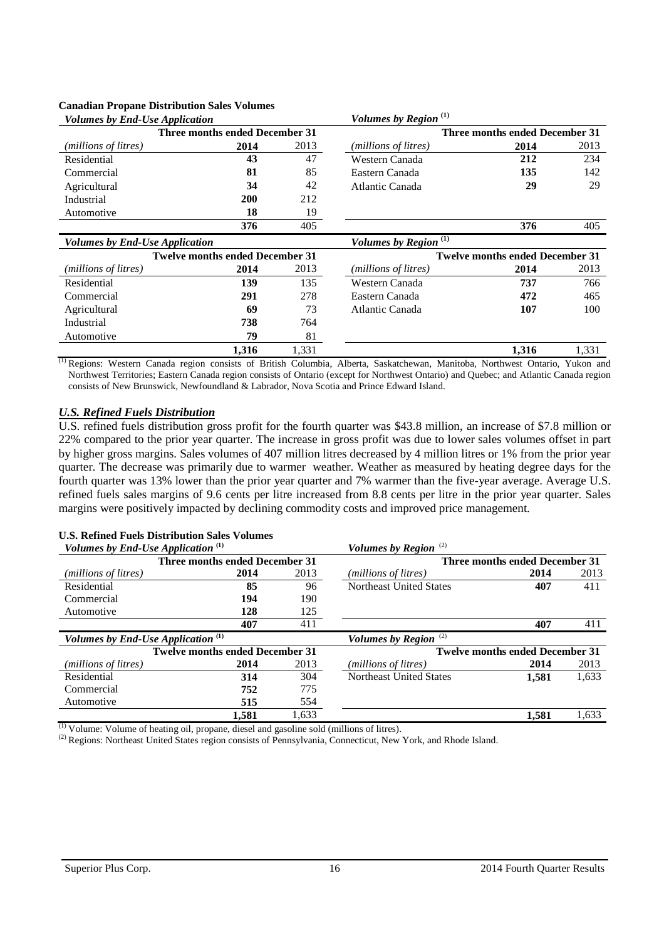#### **Canadian Propane Distribution Sales Volumes**

| <b>Volumes by End-Use Application</b> |                                        |      | Volumes by Region <sup>(1)</sup>        |                                        |      |
|---------------------------------------|----------------------------------------|------|-----------------------------------------|----------------------------------------|------|
| Three months ended December 31        |                                        |      | Three months ended December 31          |                                        |      |
| (millions of litres)                  | 2014                                   | 2013 | (millions of litres)                    | 2014                                   | 2013 |
| Residential                           | 43                                     | 47   | Western Canada                          | 212                                    | 234  |
| Commercial                            | 81                                     | 85   | Eastern Canada                          | 135                                    | 142  |
| Agricultural                          | 34                                     | 42   | Atlantic Canada                         | 29                                     | 29   |
| Industrial                            | <b>200</b>                             | 212  |                                         |                                        |      |
| Automotive                            | 18                                     | 19   |                                         |                                        |      |
|                                       | 376                                    | 405  |                                         | 376                                    | 405  |
|                                       |                                        |      |                                         |                                        |      |
| <b>Volumes by End-Use Application</b> |                                        |      | <b>Volumes</b> by Region $\overline{1}$ |                                        |      |
|                                       | <b>Twelve months ended December 31</b> |      |                                         | <b>Twelve months ended December 31</b> |      |
| (millions of litres)                  | 2014                                   | 2013 | ( <i>millions of litres</i> )           | 2014                                   | 2013 |
| Residential                           | 139                                    | 135  | Western Canada                          | 737                                    | 766  |
| Commercial                            | 291                                    | 278  | Eastern Canada                          | 472                                    | 465  |
| Agricultural                          | 69                                     | 73   | Atlantic Canada                         | 107                                    | 100  |
| Industrial                            | 738                                    | 764  |                                         |                                        |      |
| Automotive                            | 79                                     | 81   |                                         |                                        |      |

 $<sup>(1)</sup>$  Regions: Western Canada region consists of British Columbia, Alberta, Saskatchewan, Manitoba, Northwest Ontario, Yukon and</sup> Northwest Territories; Eastern Canada region consists of Ontario (except for Northwest Ontario) and Quebec; and Atlantic Canada region consists of New Brunswick, Newfoundland & Labrador, Nova Scotia and Prince Edward Island.

#### *U.S. Refined Fuels Distribution*

U.S. refined fuels distribution gross profit for the fourth quarter was \$43.8 million, an increase of \$7.8 million or 22% compared to the prior year quarter. The increase in gross profit was due to lower sales volumes offset in part by higher gross margins. Sales volumes of 407 million litres decreased by 4 million litres or 1% from the prior year quarter. The decrease was primarily due to warmer weather. Weather as measured by heating degree days for the fourth quarter was 13% lower than the prior year quarter and 7% warmer than the five-year average. Average U.S. refined fuels sales margins of 9.6 cents per litre increased from 8.8 cents per litre in the prior year quarter. Sales margins were positively impacted by declining commodity costs and improved price management.

#### **U.S. Refined Fuels Distribution Sales Volumes**

| Volumes by End-Use Application $(1)$                                                                                                                                                                                          |                                |       | Volumes by Region $(2)$          |                                        |       |
|-------------------------------------------------------------------------------------------------------------------------------------------------------------------------------------------------------------------------------|--------------------------------|-------|----------------------------------|----------------------------------------|-------|
|                                                                                                                                                                                                                               | Three months ended December 31 |       |                                  | Three months ended December 31         |       |
| ( <i>millions of litres</i> )                                                                                                                                                                                                 | 2014                           | 2013  | (millions of litres)             | 2014                                   | 2013  |
| Residential                                                                                                                                                                                                                   | 85                             | 96    | Northeast United States          | 407                                    | 411   |
| Commercial                                                                                                                                                                                                                    | 194                            | 190   |                                  |                                        |       |
| Automotive                                                                                                                                                                                                                    | 128                            | 125   |                                  |                                        |       |
|                                                                                                                                                                                                                               | 407                            | 411   |                                  | 407                                    | 411   |
| Volumes by End-Use Application $(1)$                                                                                                                                                                                          |                                |       | Volumes by Region <sup>(2)</sup> |                                        |       |
| <b>Twelve months ended December 31</b>                                                                                                                                                                                        |                                |       |                                  | <b>Twelve months ended December 31</b> |       |
| ( <i>millions of litres</i> )                                                                                                                                                                                                 | 2014                           | 2013  | (millions of litres)             | 2014                                   | 2013  |
| Residential                                                                                                                                                                                                                   | 314                            | 304   | Northeast United States          | 1.581                                  | 1,633 |
| Commercial                                                                                                                                                                                                                    | 752                            | 775   |                                  |                                        |       |
| Automotive                                                                                                                                                                                                                    | 515                            | 554   |                                  |                                        |       |
| $(0)$ v 1 v 1 c 1 c 1 c 1 c 1 1 1 1 1 1 1 1 c 1 1 c 1 1 c 1 c 1 c 1 c 1 c 1 c 1 c 1 c 1 c 1 c 1 c 1 c 1 c 1 c 1 c 1 c 1 c 1 c 1 c 1 c 1 c 1 c 1 c 1 c 1 c 1 c 1 c 1 c 1 c 1 c 1 c 1 c 1 c 1 c 1 c 1 c 1 c 1 c 1 c 1 c 1 c 1 c | 1.581                          | 1.633 |                                  | 1,581                                  | 1,633 |

Volume: Volume of heating oil, propane, diesel and gasoline sold (millions of litres).

<sup>(2)</sup> Regions: Northeast United States region consists of Pennsylvania, Connecticut, New York, and Rhode Island.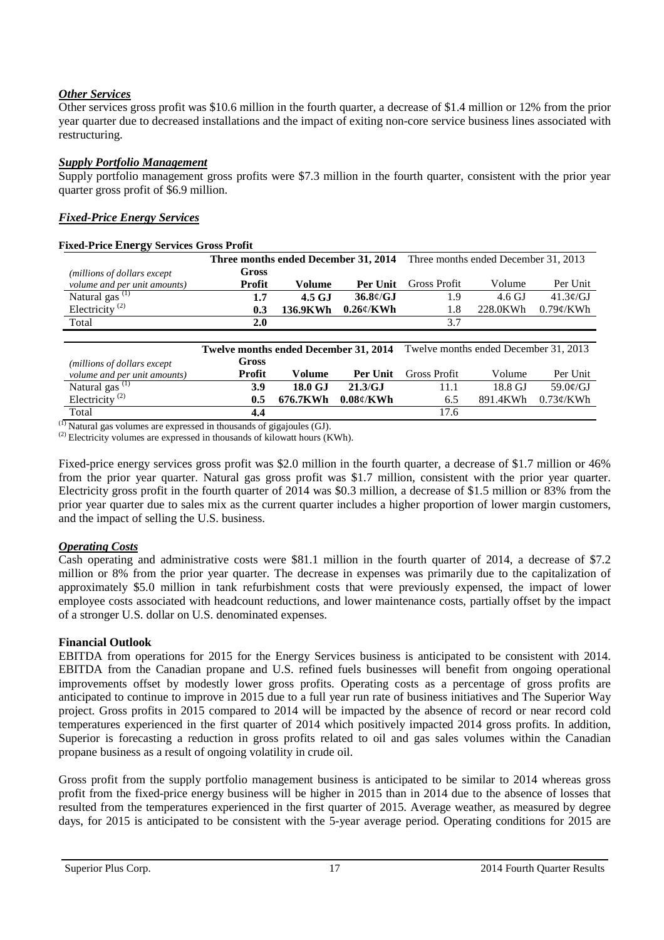# *Other Services*

Other services gross profit was \$10.6 million in the fourth quarter, a decrease of \$1.4 million or 12% from the prior year quarter due to decreased installations and the impact of exiting non-core service business lines associated with restructuring.

# *Supply Portfolio Management*

Supply portfolio management gross profits were \$7.3 million in the fourth quarter, consistent with the prior year quarter gross profit of \$6.9 million.

# *Fixed-Price Energy Services*

| <b>Fixed-Price Energy Services Gross Profit</b> |                                       |           |                                      |                                       |          |                                  |
|-------------------------------------------------|---------------------------------------|-----------|--------------------------------------|---------------------------------------|----------|----------------------------------|
|                                                 | Three months ended December 31, 2014  |           | Three months ended December 31, 2013 |                                       |          |                                  |
| (millions of dollars except)                    | Gross                                 |           |                                      |                                       |          |                                  |
| volume and per unit amounts)                    | Profit                                | Volume    | Per Unit                             | Gross Profit                          | Volume   | Per Unit                         |
| Natural gas <sup><math>(1)</math></sup>         | 1.7                                   | $4.5$ G.I | 36.8c/GJ                             | 1.9                                   | 4.6 GJ   | $41.3\text{e/GJ}$                |
| Electricity <sup>(2)</sup>                      | 0.3                                   | 136.9KWh  | 0.26c/KWh                            | 1.8                                   | 228.0KWh | 0.79c/KWh                        |
|                                                 |                                       |           |                                      |                                       |          |                                  |
| Total                                           | 2.0                                   |           |                                      | 3.7                                   |          |                                  |
|                                                 |                                       |           |                                      |                                       |          |                                  |
|                                                 | Twelve months ended December 31, 2014 |           |                                      | Twelve months ended December 31, 2013 |          |                                  |
| (millions of dollars except)                    | Gross                                 |           |                                      |                                       |          |                                  |
| volume and per unit amounts)                    | Profit                                | Volume    | <b>Per Unit</b>                      | Gross Profit                          | Volume   | Per Unit                         |
| Natural gas <sup><math>(1)</math></sup>         | 3.9                                   | 18.0 GJ   | 21.3/GJ                              | 11.1                                  | 18.8 GJ  | $59.0\frac{\text{e}}{\text{GJ}}$ |
| Electricity <sup>(2)</sup>                      | 0.5                                   | 676.7KWh  | 0.08c/KWh                            | 6.5                                   | 891.4KWh | $0.73 \times$ /KWh               |

 $\overline{^{(1)}}$  Natural gas volumes are expressed in thousands of gigajoules (GJ).

 $^{(2)}$  Electricity volumes are expressed in thousands of kilowatt hours (KWh).

Fixed-price energy services gross profit was \$2.0 million in the fourth quarter, a decrease of \$1.7 million or 46% from the prior year quarter. Natural gas gross profit was \$1.7 million, consistent with the prior year quarter. Electricity gross profit in the fourth quarter of 2014 was \$0.3 million, a decrease of \$1.5 million or 83% from the prior year quarter due to sales mix as the current quarter includes a higher proportion of lower margin customers, and the impact of selling the U.S. business.

# *Operating Costs*

Cash operating and administrative costs were \$81.1 million in the fourth quarter of 2014, a decrease of \$7.2 million or 8% from the prior year quarter. The decrease in expenses was primarily due to the capitalization of approximately \$5.0 million in tank refurbishment costs that were previously expensed, the impact of lower employee costs associated with headcount reductions, and lower maintenance costs, partially offset by the impact of a stronger U.S. dollar on U.S. denominated expenses.

# **Financial Outlook**

EBITDA from operations for 2015 for the Energy Services business is anticipated to be consistent with 2014. EBITDA from the Canadian propane and U.S. refined fuels businesses will benefit from ongoing operational improvements offset by modestly lower gross profits. Operating costs as a percentage of gross profits are anticipated to continue to improve in 2015 due to a full year run rate of business initiatives and The Superior Way project. Gross profits in 2015 compared to 2014 will be impacted by the absence of record or near record cold temperatures experienced in the first quarter of 2014 which positively impacted 2014 gross profits. In addition, Superior is forecasting a reduction in gross profits related to oil and gas sales volumes within the Canadian propane business as a result of ongoing volatility in crude oil.

Gross profit from the supply portfolio management business is anticipated to be similar to 2014 whereas gross profit from the fixed-price energy business will be higher in 2015 than in 2014 due to the absence of losses that resulted from the temperatures experienced in the first quarter of 2015. Average weather, as measured by degree days, for 2015 is anticipated to be consistent with the 5-year average period. Operating conditions for 2015 are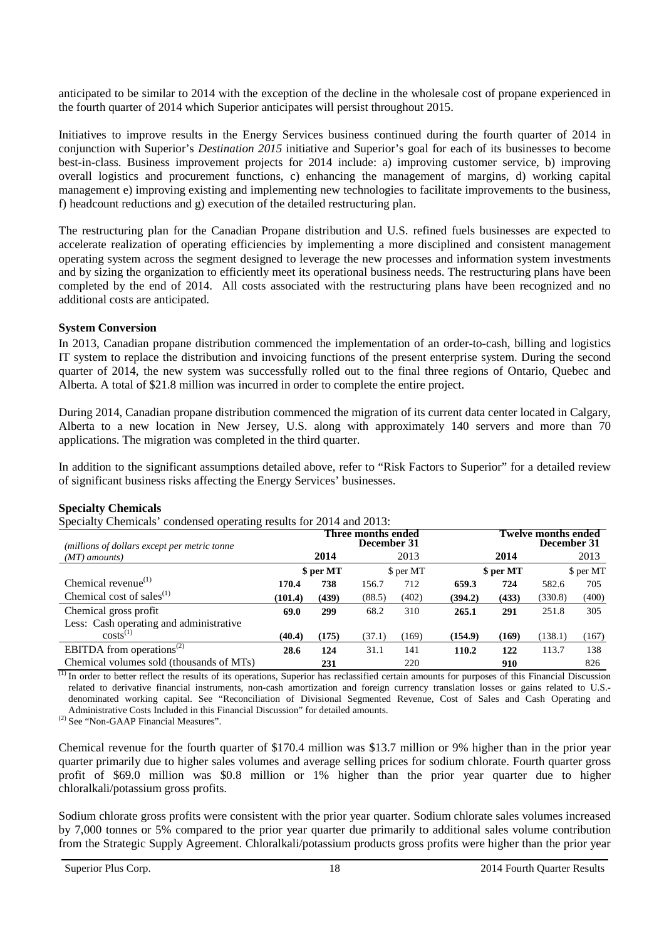anticipated to be similar to 2014 with the exception of the decline in the wholesale cost of propane experienced in the fourth quarter of 2014 which Superior anticipates will persist throughout 2015.

Initiatives to improve results in the Energy Services business continued during the fourth quarter of 2014 in conjunction with Superior's *Destination 2015* initiative and Superior's goal for each of its businesses to become best-in-class. Business improvement projects for 2014 include: a) improving customer service, b) improving overall logistics and procurement functions, c) enhancing the management of margins, d) working capital management e) improving existing and implementing new technologies to facilitate improvements to the business, f) headcount reductions and g) execution of the detailed restructuring plan.

The restructuring plan for the Canadian Propane distribution and U.S. refined fuels businesses are expected to accelerate realization of operating efficiencies by implementing a more disciplined and consistent management operating system across the segment designed to leverage the new processes and information system investments and by sizing the organization to efficiently meet its operational business needs. The restructuring plans have been completed by the end of 2014. All costs associated with the restructuring plans have been recognized and no additional costs are anticipated.

#### **System Conversion**

In 2013, Canadian propane distribution commenced the implementation of an order-to-cash, billing and logistics IT system to replace the distribution and invoicing functions of the present enterprise system. During the second quarter of 2014, the new system was successfully rolled out to the final three regions of Ontario, Quebec and Alberta. A total of \$21.8 million was incurred in order to complete the entire project.

During 2014, Canadian propane distribution commenced the migration of its current data center located in Calgary, Alberta to a new location in New Jersey, U.S. along with approximately 140 servers and more than 70 applications. The migration was completed in the third quarter.

In addition to the significant assumptions detailed above, refer to "Risk Factors to Superior" for a detailed review of significant business risks affecting the Energy Services' businesses.

# **Specialty Chemicals**

Specialty Chemicals' condensed operating results for 2014 and 2013:

| (millions of dollars except per metric tonne | ັ       |           | Three months ended<br>December 31 |           |         |           | Twelve months ended<br>December 31 |           |
|----------------------------------------------|---------|-----------|-----------------------------------|-----------|---------|-----------|------------------------------------|-----------|
| $(MT)$ amounts)                              |         | 2014      |                                   | 2013      |         | 2014      |                                    | 2013      |
|                                              |         | \$ per MT |                                   | \$ per MT |         | \$ per MT |                                    | \$ per MT |
| Chemical revenue $(1)$                       | 170.4   | 738       | 156.7                             | 712       | 659.3   | 724       | 582.6                              | 705       |
| Chemical cost of sales $(1)$                 | (101.4) | (439)     | (88.5)                            | (402)     | (394.2) | (433)     | (330.8)                            | (400)     |
| Chemical gross profit                        | 69.0    | 299       | 68.2                              | 310       | 265.1   | 291       | 251.8                              | 305       |
| Less: Cash operating and administrative      |         |           |                                   |           |         |           |                                    |           |
| $costs^{(1)}$                                | (40.4)  | (175)     | (37.1)                            | (169)     | (154.9) | (169)     | (138.1)                            | (167)     |
| EBITDA from operations <sup>(2)</sup>        | 28.6    | 124       | 31.1                              | 141       | 110.2   | 122       | 113.7                              | 138       |
| Chemical volumes sold (thousands of MTs)     |         | 231       |                                   | 220       |         | 910       |                                    | 826       |

 $<sup>(1)</sup>$  In order to better reflect the results of its operations, Superior has reclassified certain amounts for purposes of this Financial Discussion</sup> related to derivative financial instruments, non-cash amortization and foreign currency translation losses or gains related to U.S. denominated working capital. See "Reconciliation of Divisional Segmented Revenue, Cost of Sales and Cash Operating and Administrative Costs Included in this Financial Discussion" for detailed amounts.

(2) See "Non-GAAP Financial Measures".

Chemical revenue for the fourth quarter of \$170.4 million was \$13.7 million or 9% higher than in the prior year quarter primarily due to higher sales volumes and average selling prices for sodium chlorate. Fourth quarter gross profit of \$69.0 million was \$0.8 million or 1% higher than the prior year quarter due to higher chloralkali/potassium gross profits.

Sodium chlorate gross profits were consistent with the prior year quarter. Sodium chlorate sales volumes increased by 7,000 tonnes or 5% compared to the prior year quarter due primarily to additional sales volume contribution from the Strategic Supply Agreement. Chloralkali/potassium products gross profits were higher than the prior year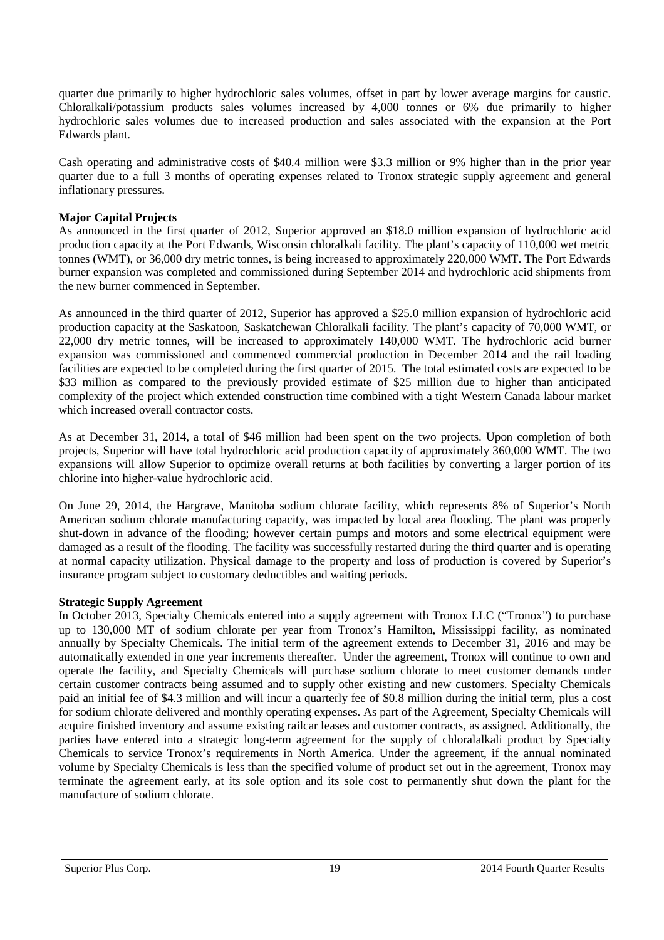quarter due primarily to higher hydrochloric sales volumes, offset in part by lower average margins for caustic. Chloralkali/potassium products sales volumes increased by 4,000 tonnes or 6% due primarily to higher hydrochloric sales volumes due to increased production and sales associated with the expansion at the Port Edwards plant.

Cash operating and administrative costs of \$40.4 million were \$3.3 million or 9% higher than in the prior year quarter due to a full 3 months of operating expenses related to Tronox strategic supply agreement and general inflationary pressures.

#### **Major Capital Projects**

As announced in the first quarter of 2012, Superior approved an \$18.0 million expansion of hydrochloric acid production capacity at the Port Edwards, Wisconsin chloralkali facility. The plant's capacity of 110,000 wet metric tonnes (WMT), or 36,000 dry metric tonnes, is being increased to approximately 220,000 WMT. The Port Edwards burner expansion was completed and commissioned during September 2014 and hydrochloric acid shipments from the new burner commenced in September.

As announced in the third quarter of 2012, Superior has approved a \$25.0 million expansion of hydrochloric acid production capacity at the Saskatoon, Saskatchewan Chloralkali facility. The plant's capacity of 70,000 WMT, or 22,000 dry metric tonnes, will be increased to approximately 140,000 WMT. The hydrochloric acid burner expansion was commissioned and commenced commercial production in December 2014 and the rail loading facilities are expected to be completed during the first quarter of 2015. The total estimated costs are expected to be \$33 million as compared to the previously provided estimate of \$25 million due to higher than anticipated complexity of the project which extended construction time combined with a tight Western Canada labour market which increased overall contractor costs.

As at December 31, 2014, a total of \$46 million had been spent on the two projects. Upon completion of both projects, Superior will have total hydrochloric acid production capacity of approximately 360,000 WMT. The two expansions will allow Superior to optimize overall returns at both facilities by converting a larger portion of its chlorine into higher-value hydrochloric acid.

On June 29, 2014, the Hargrave, Manitoba sodium chlorate facility, which represents 8% of Superior's North American sodium chlorate manufacturing capacity, was impacted by local area flooding. The plant was properly shut-down in advance of the flooding; however certain pumps and motors and some electrical equipment were damaged as a result of the flooding. The facility was successfully restarted during the third quarter and is operating at normal capacity utilization. Physical damage to the property and loss of production is covered by Superior's insurance program subject to customary deductibles and waiting periods.

#### **Strategic Supply Agreement**

In October 2013, Specialty Chemicals entered into a supply agreement with Tronox LLC ("Tronox") to purchase up to 130,000 MT of sodium chlorate per year from Tronox's Hamilton, Mississippi facility, as nominated annually by Specialty Chemicals. The initial term of the agreement extends to December 31, 2016 and may be automatically extended in one year increments thereafter. Under the agreement, Tronox will continue to own and operate the facility, and Specialty Chemicals will purchase sodium chlorate to meet customer demands under certain customer contracts being assumed and to supply other existing and new customers. Specialty Chemicals paid an initial fee of \$4.3 million and will incur a quarterly fee of \$0.8 million during the initial term, plus a cost for sodium chlorate delivered and monthly operating expenses. As part of the Agreement, Specialty Chemicals will acquire finished inventory and assume existing railcar leases and customer contracts, as assigned. Additionally, the parties have entered into a strategic long-term agreement for the supply of chloralalkali product by Specialty Chemicals to service Tronox's requirements in North America. Under the agreement, if the annual nominated volume by Specialty Chemicals is less than the specified volume of product set out in the agreement, Tronox may terminate the agreement early, at its sole option and its sole cost to permanently shut down the plant for the manufacture of sodium chlorate.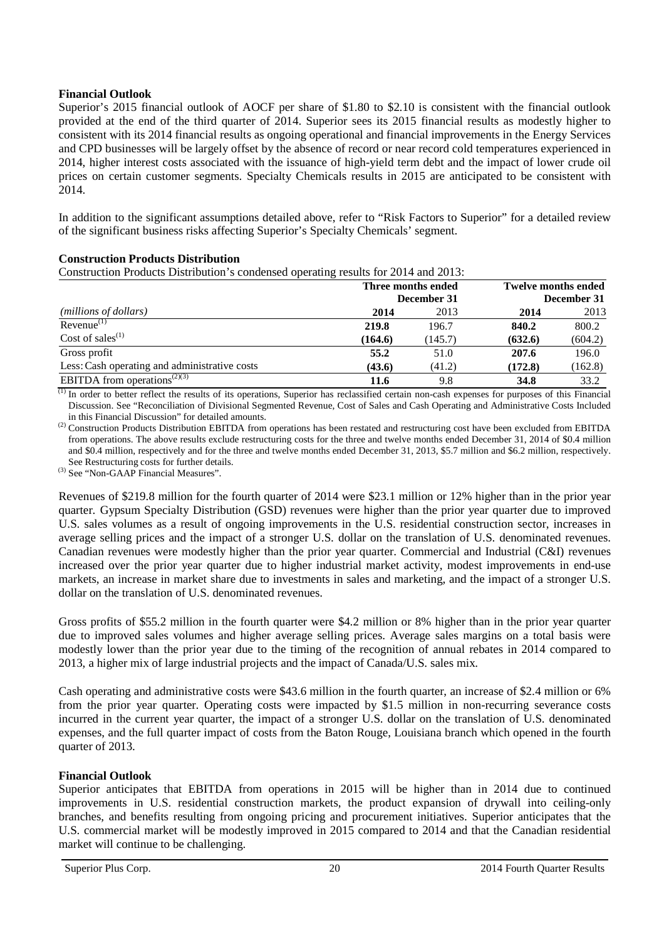# **Financial Outlook**

Superior's 2015 financial outlook of AOCF per share of \$1.80 to \$2.10 is consistent with the financial outlook provided at the end of the third quarter of 2014. Superior sees its 2015 financial results as modestly higher to consistent with its 2014 financial results as ongoing operational and financial improvements in the Energy Services and CPD businesses will be largely offset by the absence of record or near record cold temperatures experienced in 2014, higher interest costs associated with the issuance of high-yield term debt and the impact of lower crude oil prices on certain customer segments. Specialty Chemicals results in 2015 are anticipated to be consistent with 2014.

In addition to the significant assumptions detailed above, refer to "Risk Factors to Superior" for a detailed review of the significant business risks affecting Superior's Specialty Chemicals' segment.

# **Construction Products Distribution**

Construction Products Distribution's condensed operating results for 2014 and 2013:

|                                                       |         | Three months ended<br>December 31 | <b>Twelve months ended</b><br>December 31 |         |  |
|-------------------------------------------------------|---------|-----------------------------------|-------------------------------------------|---------|--|
| (millions of dollars)                                 | 2014    | 2013                              | 2014                                      | 2013    |  |
| $Revenue^{(1)}$                                       | 219.8   | 196.7                             | 840.2                                     | 800.2   |  |
| Cost of sales <sup><math>(1)</math></sup>             | (164.6) | (145.7)                           | (632.6)                                   | (604.2) |  |
| Gross profit                                          | 55.2    | 51.0                              | 207.6                                     | 196.0   |  |
| Less: Cash operating and administrative costs         | (43.6)  | (41.2)                            | (172.8)                                   | (162.8) |  |
| EBITDA from operations <sup><math>(2)(3)</math></sup> | 11.6    | 9.8                               | 34.8                                      | 33.2    |  |

 $\overline{p}$  In order to better reflect the results of its operations, Superior has reclassified certain non-cash expenses for purposes of this Financial Discussion. See "Reconciliation of Divisional Segmented Revenue, Cost of Sales and Cash Operating and Administrative Costs Included in this Financial Discussion" for detailed amounts.

(2) Construction Products Distribution EBITDA from operations has been restated and restructuring cost have been excluded from EBITDA from operations. The above results exclude restructuring costs for the three and twelve months ended December 31, 2014 of \$0.4 million and \$0.4 million, respectively and for the three and twelve months ended December 31, 2013, \$5.7 million and \$6.2 million, respectively. See Restructuring costs for further details.

(3) See "Non-GAAP Financial Measures".

Revenues of \$219.8 million for the fourth quarter of 2014 were \$23.1 million or 12% higher than in the prior year quarter. Gypsum Specialty Distribution (GSD) revenues were higher than the prior year quarter due to improved U.S. sales volumes as a result of ongoing improvements in the U.S. residential construction sector, increases in average selling prices and the impact of a stronger U.S. dollar on the translation of U.S. denominated revenues. Canadian revenues were modestly higher than the prior year quarter. Commercial and Industrial (C&I) revenues increased over the prior year quarter due to higher industrial market activity, modest improvements in end-use markets, an increase in market share due to investments in sales and marketing, and the impact of a stronger U.S. dollar on the translation of U.S. denominated revenues.

Gross profits of \$55.2 million in the fourth quarter were \$4.2 million or 8% higher than in the prior year quarter due to improved sales volumes and higher average selling prices. Average sales margins on a total basis were modestly lower than the prior year due to the timing of the recognition of annual rebates in 2014 compared to 2013, a higher mix of large industrial projects and the impact of Canada/U.S. sales mix.

Cash operating and administrative costs were \$43.6 million in the fourth quarter, an increase of \$2.4 million or 6% from the prior year quarter. Operating costs were impacted by \$1.5 million in non-recurring severance costs incurred in the current year quarter, the impact of a stronger U.S. dollar on the translation of U.S. denominated expenses, and the full quarter impact of costs from the Baton Rouge, Louisiana branch which opened in the fourth quarter of 2013.

# **Financial Outlook**

Superior anticipates that EBITDA from operations in 2015 will be higher than in 2014 due to continued improvements in U.S. residential construction markets, the product expansion of drywall into ceiling-only branches, and benefits resulting from ongoing pricing and procurement initiatives. Superior anticipates that the U.S. commercial market will be modestly improved in 2015 compared to 2014 and that the Canadian residential market will continue to be challenging.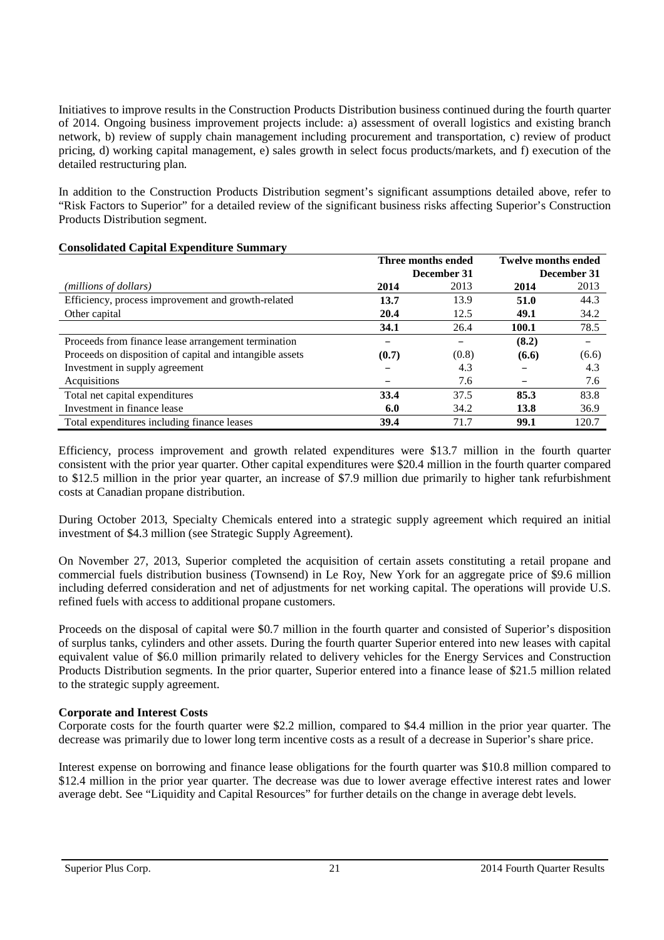Initiatives to improve results in the Construction Products Distribution business continued during the fourth quarter of 2014. Ongoing business improvement projects include: a) assessment of overall logistics and existing branch network, b) review of supply chain management including procurement and transportation, c) review of product pricing, d) working capital management, e) sales growth in select focus products/markets, and f) execution of the detailed restructuring plan.

In addition to the Construction Products Distribution segment's significant assumptions detailed above, refer to "Risk Factors to Superior" for a detailed review of the significant business risks affecting Superior's Construction Products Distribution segment.

|                                                          | Three months ended |             | <b>Twelve months ended</b> |             |
|----------------------------------------------------------|--------------------|-------------|----------------------------|-------------|
|                                                          |                    | December 31 |                            | December 31 |
| ( <i>millions of dollars</i> )                           | 2014               | 2013        | 2014                       | 2013        |
| Efficiency, process improvement and growth-related       | 13.7               | 13.9        | 51.0                       | 44.3        |
| Other capital                                            | 20.4               | 12.5        | 49.1                       | 34.2        |
|                                                          | 34.1               | 26.4        | 100.1                      | 78.5        |
| Proceeds from finance lease arrangement termination      |                    |             | (8.2)                      |             |
| Proceeds on disposition of capital and intangible assets | (0.7)              | (0.8)       | (6.6)                      | (6.6)       |
| Investment in supply agreement                           |                    | 4.3         |                            | 4.3         |
| Acquisitions                                             |                    | 7.6         |                            | 7.6         |
| Total net capital expenditures                           | 33.4               | 37.5        | 85.3                       | 83.8        |
| Investment in finance lease                              | 6.0                | 34.2        | 13.8                       | 36.9        |
| Total expenditures including finance leases              | 39.4               | 71.7        | 99.1                       | 120.7       |

#### **Consolidated Capital Expenditure Summary**

Efficiency, process improvement and growth related expenditures were \$13.7 million in the fourth quarter consistent with the prior year quarter. Other capital expenditures were \$20.4 million in the fourth quarter compared to \$12.5 million in the prior year quarter, an increase of \$7.9 million due primarily to higher tank refurbishment costs at Canadian propane distribution.

During October 2013, Specialty Chemicals entered into a strategic supply agreement which required an initial investment of \$4.3 million (see Strategic Supply Agreement).

On November 27, 2013, Superior completed the acquisition of certain assets constituting a retail propane and commercial fuels distribution business (Townsend) in Le Roy, New York for an aggregate price of \$9.6 million including deferred consideration and net of adjustments for net working capital. The operations will provide U.S. refined fuels with access to additional propane customers.

Proceeds on the disposal of capital were \$0.7 million in the fourth quarter and consisted of Superior's disposition of surplus tanks, cylinders and other assets. During the fourth quarter Superior entered into new leases with capital equivalent value of \$6.0 million primarily related to delivery vehicles for the Energy Services and Construction Products Distribution segments. In the prior quarter, Superior entered into a finance lease of \$21.5 million related to the strategic supply agreement.

# **Corporate and Interest Costs**

Corporate costs for the fourth quarter were \$2.2 million, compared to \$4.4 million in the prior year quarter. The decrease was primarily due to lower long term incentive costs as a result of a decrease in Superior's share price.

Interest expense on borrowing and finance lease obligations for the fourth quarter was \$10.8 million compared to \$12.4 million in the prior year quarter. The decrease was due to lower average effective interest rates and lower average debt. See "Liquidity and Capital Resources" for further details on the change in average debt levels.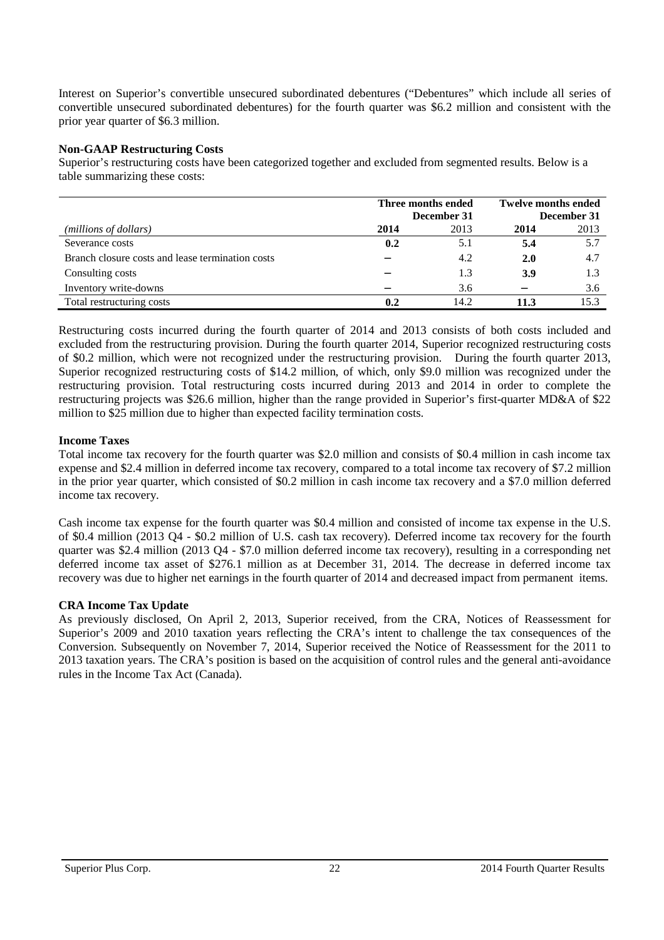Interest on Superior's convertible unsecured subordinated debentures ("Debentures" which include all series of convertible unsecured subordinated debentures) for the fourth quarter was \$6.2 million and consistent with the prior year quarter of \$6.3 million.

#### **Non-GAAP Restructuring Costs**

Superior's restructuring costs have been categorized together and excluded from segmented results. Below is a table summarizing these costs:

|                                                  | Three months ended |             | <b>Twelve months ended</b> |      |
|--------------------------------------------------|--------------------|-------------|----------------------------|------|
|                                                  |                    | December 31 | December 31                |      |
| (millions of dollars)                            | 2014               | 2013        | 2014                       | 2013 |
| Severance costs                                  | 0.2                | 5.1         | 5.4                        | 5.7  |
| Branch closure costs and lease termination costs |                    | 4.2         | <b>2.0</b>                 | 4.7  |
| Consulting costs                                 |                    | 1.3         | 3.9                        | 1.3  |
| Inventory write-downs                            |                    | 3.6         |                            | 3.6  |
| Total restructuring costs                        | 0.2                | 14.2        | 11.3                       | 15.3 |

Restructuring costs incurred during the fourth quarter of 2014 and 2013 consists of both costs included and excluded from the restructuring provision. During the fourth quarter 2014, Superior recognized restructuring costs of \$0.2 million, which were not recognized under the restructuring provision. During the fourth quarter 2013, Superior recognized restructuring costs of \$14.2 million, of which, only \$9.0 million was recognized under the restructuring provision. Total restructuring costs incurred during 2013 and 2014 in order to complete the restructuring projects was \$26.6 million, higher than the range provided in Superior's first-quarter MD&A of \$22 million to \$25 million due to higher than expected facility termination costs.

#### **Income Taxes**

Total income tax recovery for the fourth quarter was \$2.0 million and consists of \$0.4 million in cash income tax expense and \$2.4 million in deferred income tax recovery, compared to a total income tax recovery of \$7.2 million in the prior year quarter, which consisted of \$0.2 million in cash income tax recovery and a \$7.0 million deferred income tax recovery.

Cash income tax expense for the fourth quarter was \$0.4 million and consisted of income tax expense in the U.S. of \$0.4 million (2013 Q4 - \$0.2 million of U.S. cash tax recovery). Deferred income tax recovery for the fourth quarter was \$2.4 million (2013 Q4 - \$7.0 million deferred income tax recovery), resulting in a corresponding net deferred income tax asset of \$276.1 million as at December 31, 2014. The decrease in deferred income tax recovery was due to higher net earnings in the fourth quarter of 2014 and decreased impact from permanent items.

# **CRA Income Tax Update**

As previously disclosed, On April 2, 2013, Superior received, from the CRA, Notices of Reassessment for Superior's 2009 and 2010 taxation years reflecting the CRA's intent to challenge the tax consequences of the Conversion. Subsequently on November 7, 2014, Superior received the Notice of Reassessment for the 2011 to 2013 taxation years. The CRA's position is based on the acquisition of control rules and the general anti-avoidance rules in the Income Tax Act (Canada).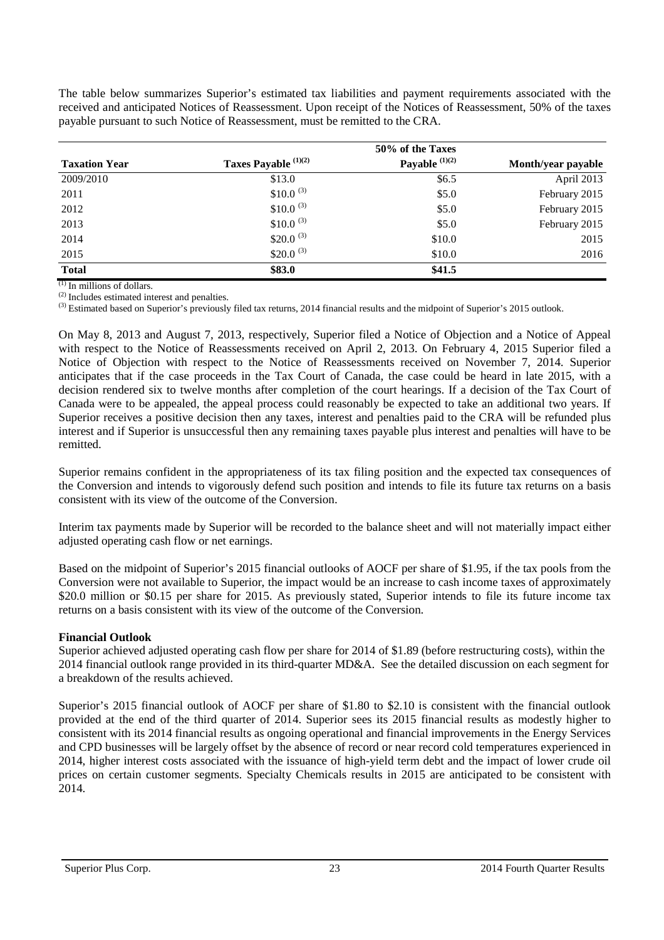The table below summarizes Superior's estimated tax liabilities and payment requirements associated with the received and anticipated Notices of Reassessment. Upon receipt of the Notices of Reassessment, 50% of the taxes payable pursuant to such Notice of Reassessment, must be remitted to the CRA.

|                      |                       | 50% of the Taxes    |                    |
|----------------------|-----------------------|---------------------|--------------------|
| <b>Taxation Year</b> | Taxes Payable (1)(2)  | Payable $^{(1)(2)}$ | Month/year payable |
| 2009/2010            | \$13.0                | \$6.5               | April 2013         |
| 2011                 | $$10.0^{(3)}$         | \$5.0               | February 2015      |
| 2012                 | \$10.0 <sup>(3)</sup> | \$5.0               | February 2015      |
| 2013                 | \$10.0 <sup>(3)</sup> | \$5.0               | February 2015      |
| 2014                 | \$20.0 <sup>(3)</sup> | \$10.0              | 2015               |
| 2015                 | \$20.0 <sup>(3)</sup> | \$10.0              | 2016               |
| <b>Total</b>         | \$83.0                | \$41.5              |                    |

 $^{(1)}$  In millions of dollars.

(2) Includes estimated interest and penalties.

<sup>(3)</sup> Estimated based on Superior's previously filed tax returns, 2014 financial results and the midpoint of Superior's 2015 outlook.

On May 8, 2013 and August 7, 2013, respectively, Superior filed a Notice of Objection and a Notice of Appeal with respect to the Notice of Reassessments received on April 2, 2013. On February 4, 2015 Superior filed a Notice of Objection with respect to the Notice of Reassessments received on November 7, 2014. Superior anticipates that if the case proceeds in the Tax Court of Canada, the case could be heard in late 2015, with a decision rendered six to twelve months after completion of the court hearings. If a decision of the Tax Court of Canada were to be appealed, the appeal process could reasonably be expected to take an additional two years. If Superior receives a positive decision then any taxes, interest and penalties paid to the CRA will be refunded plus interest and if Superior is unsuccessful then any remaining taxes payable plus interest and penalties will have to be remitted.

Superior remains confident in the appropriateness of its tax filing position and the expected tax consequences of the Conversion and intends to vigorously defend such position and intends to file its future tax returns on a basis consistent with its view of the outcome of the Conversion.

Interim tax payments made by Superior will be recorded to the balance sheet and will not materially impact either adjusted operating cash flow or net earnings.

Based on the midpoint of Superior's 2015 financial outlooks of AOCF per share of \$1.95, if the tax pools from the Conversion were not available to Superior, the impact would be an increase to cash income taxes of approximately \$20.0 million or \$0.15 per share for 2015. As previously stated, Superior intends to file its future income tax returns on a basis consistent with its view of the outcome of the Conversion.

# **Financial Outlook**

Superior achieved adjusted operating cash flow per share for 2014 of \$1.89 (before restructuring costs), within the 2014 financial outlook range provided in its third-quarter MD&A. See the detailed discussion on each segment for a breakdown of the results achieved.

Superior's 2015 financial outlook of AOCF per share of \$1.80 to \$2.10 is consistent with the financial outlook provided at the end of the third quarter of 2014. Superior sees its 2015 financial results as modestly higher to consistent with its 2014 financial results as ongoing operational and financial improvements in the Energy Services and CPD businesses will be largely offset by the absence of record or near record cold temperatures experienced in 2014, higher interest costs associated with the issuance of high-yield term debt and the impact of lower crude oil prices on certain customer segments. Specialty Chemicals results in 2015 are anticipated to be consistent with 2014.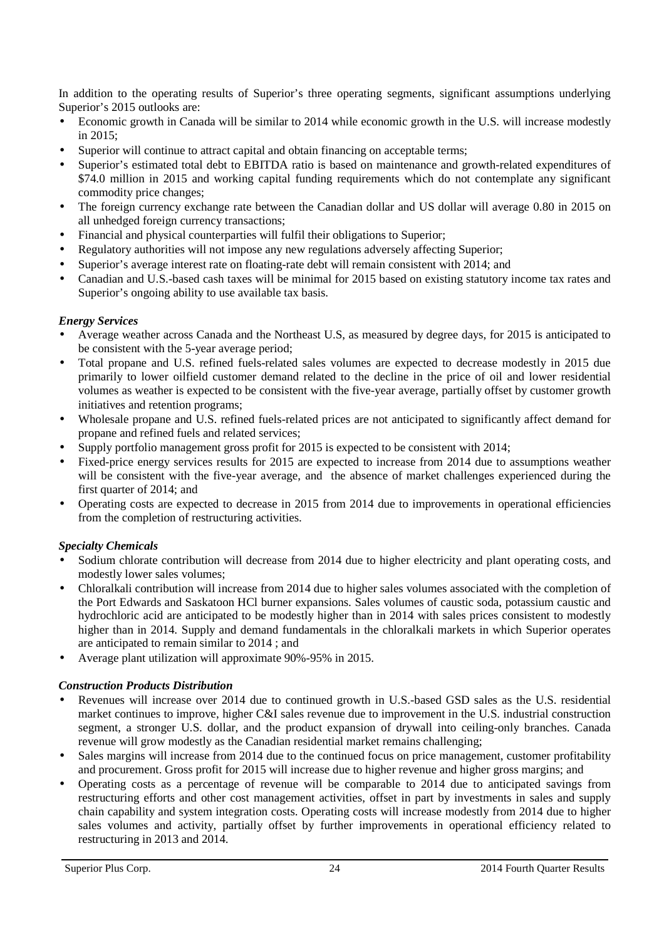In addition to the operating results of Superior's three operating segments, significant assumptions underlying Superior's 2015 outlooks are:

- Economic growth in Canada will be similar to 2014 while economic growth in the U.S. will increase modestly in 2015;
- Superior will continue to attract capital and obtain financing on acceptable terms;
- Superior's estimated total debt to EBITDA ratio is based on maintenance and growth-related expenditures of \$74.0 million in 2015 and working capital funding requirements which do not contemplate any significant commodity price changes;
- The foreign currency exchange rate between the Canadian dollar and US dollar will average 0.80 in 2015 on all unhedged foreign currency transactions;
- Financial and physical counterparties will fulfil their obligations to Superior;
- Regulatory authorities will not impose any new regulations adversely affecting Superior;
- Superior's average interest rate on floating-rate debt will remain consistent with 2014; and
- Canadian and U.S.-based cash taxes will be minimal for 2015 based on existing statutory income tax rates and Superior's ongoing ability to use available tax basis.

# *Energy Services*

- Average weather across Canada and the Northeast U.S, as measured by degree days, for 2015 is anticipated to be consistent with the 5-year average period;
- Total propane and U.S. refined fuels-related sales volumes are expected to decrease modestly in 2015 due primarily to lower oilfield customer demand related to the decline in the price of oil and lower residential volumes as weather is expected to be consistent with the five-year average, partially offset by customer growth initiatives and retention programs;
- Wholesale propane and U.S. refined fuels-related prices are not anticipated to significantly affect demand for propane and refined fuels and related services;
- Supply portfolio management gross profit for 2015 is expected to be consistent with 2014;
- Fixed-price energy services results for 2015 are expected to increase from 2014 due to assumptions weather will be consistent with the five-year average, and the absence of market challenges experienced during the first quarter of 2014; and
- Operating costs are expected to decrease in 2015 from 2014 due to improvements in operational efficiencies from the completion of restructuring activities.

# *Specialty Chemicals*

- Sodium chlorate contribution will decrease from 2014 due to higher electricity and plant operating costs, and modestly lower sales volumes;
- Chloralkali contribution will increase from 2014 due to higher sales volumes associated with the completion of the Port Edwards and Saskatoon HCl burner expansions. Sales volumes of caustic soda, potassium caustic and hydrochloric acid are anticipated to be modestly higher than in 2014 with sales prices consistent to modestly higher than in 2014. Supply and demand fundamentals in the chloralkali markets in which Superior operates are anticipated to remain similar to 2014 ; and
- Average plant utilization will approximate 90%-95% in 2015.

# *Construction Products Distribution*

- Revenues will increase over 2014 due to continued growth in U.S.-based GSD sales as the U.S. residential market continues to improve, higher C&I sales revenue due to improvement in the U.S. industrial construction segment, a stronger U.S. dollar, and the product expansion of drywall into ceiling-only branches. Canada revenue will grow modestly as the Canadian residential market remains challenging;
- Sales margins will increase from 2014 due to the continued focus on price management, customer profitability and procurement. Gross profit for 2015 will increase due to higher revenue and higher gross margins; and
- Operating costs as a percentage of revenue will be comparable to 2014 due to anticipated savings from restructuring efforts and other cost management activities, offset in part by investments in sales and supply chain capability and system integration costs. Operating costs will increase modestly from 2014 due to higher sales volumes and activity, partially offset by further improvements in operational efficiency related to restructuring in 2013 and 2014.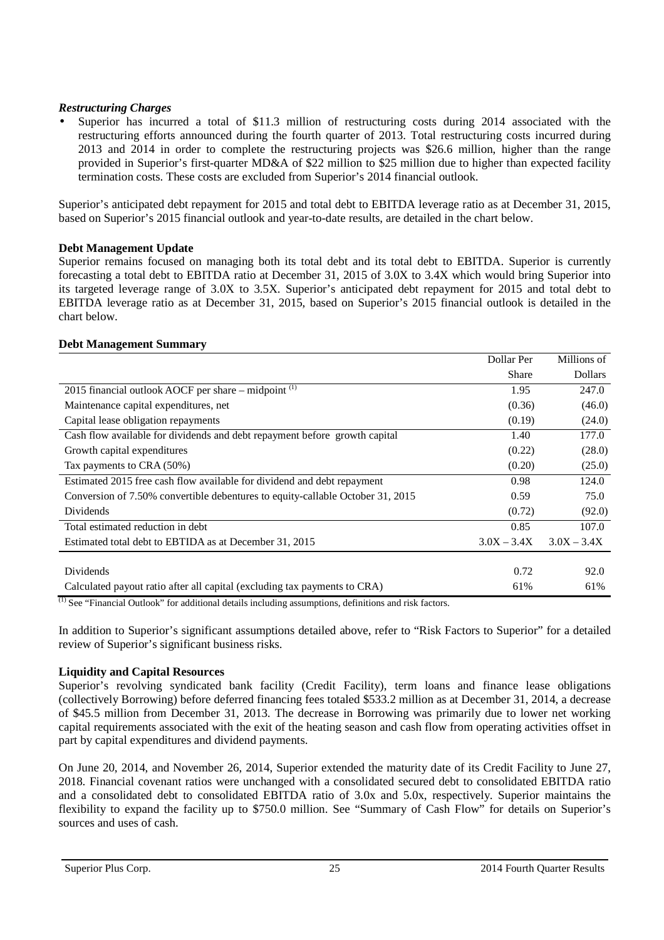# *Restructuring Charges*

• Superior has incurred a total of \$11.3 million of restructuring costs during 2014 associated with the restructuring efforts announced during the fourth quarter of 2013. Total restructuring costs incurred during 2013 and 2014 in order to complete the restructuring projects was \$26.6 million, higher than the range provided in Superior's first-quarter MD&A of \$22 million to \$25 million due to higher than expected facility termination costs. These costs are excluded from Superior's 2014 financial outlook.

Superior's anticipated debt repayment for 2015 and total debt to EBITDA leverage ratio as at December 31, 2015, based on Superior's 2015 financial outlook and year-to-date results, are detailed in the chart below.

# **Debt Management Update**

Superior remains focused on managing both its total debt and its total debt to EBITDA. Superior is currently forecasting a total debt to EBITDA ratio at December 31, 2015 of 3.0X to 3.4X which would bring Superior into its targeted leverage range of 3.0X to 3.5X. Superior's anticipated debt repayment for 2015 and total debt to EBITDA leverage ratio as at December 31, 2015, based on Superior's 2015 financial outlook is detailed in the chart below.

# **Debt Management Summary**

|                                                                                                                                                                                                                                                                                                                                          | Dollar Per    | Millions of    |
|------------------------------------------------------------------------------------------------------------------------------------------------------------------------------------------------------------------------------------------------------------------------------------------------------------------------------------------|---------------|----------------|
|                                                                                                                                                                                                                                                                                                                                          | <b>Share</b>  | <b>Dollars</b> |
| 2015 financial outlook AOCF per share – midpoint <sup>(1)</sup>                                                                                                                                                                                                                                                                          | 1.95          | 247.0          |
| Maintenance capital expenditures, net                                                                                                                                                                                                                                                                                                    | (0.36)        | (46.0)         |
| Capital lease obligation repayments                                                                                                                                                                                                                                                                                                      | (0.19)        | (24.0)         |
| Cash flow available for dividends and debt repayment before growth capital                                                                                                                                                                                                                                                               | 1.40          | 177.0          |
| Growth capital expenditures                                                                                                                                                                                                                                                                                                              | (0.22)        | (28.0)         |
| Tax payments to CRA (50%)                                                                                                                                                                                                                                                                                                                | (0.20)        | (25.0)         |
| Estimated 2015 free cash flow available for dividend and debt repayment                                                                                                                                                                                                                                                                  | 0.98          | 124.0          |
| Conversion of 7.50% convertible debentures to equity-callable October 31, 2015                                                                                                                                                                                                                                                           | 0.59          | 75.0           |
| Dividends                                                                                                                                                                                                                                                                                                                                | (0.72)        | (92.0)         |
| Total estimated reduction in debt                                                                                                                                                                                                                                                                                                        | 0.85          | 107.0          |
| Estimated total debt to EBTIDA as at December 31, 2015                                                                                                                                                                                                                                                                                   | $3.0X - 3.4X$ | $3.0X - 3.4X$  |
|                                                                                                                                                                                                                                                                                                                                          |               |                |
| Dividends                                                                                                                                                                                                                                                                                                                                | 0.72          | 92.0           |
| Calculated payout ratio after all capital (excluding tax payments to CRA)                                                                                                                                                                                                                                                                | 61%           | 61%            |
| $\pi$ $\pi$<br>$\mathbf{1}$ $\mathbf{1}$ $\mathbf{0}$ $\mathbf{1}$ $\mathbf{1}$ $\mathbf{1}$ $\mathbf{1}$ $\mathbf{0}$ $\mathbf{1}$ $\mathbf{1}$ $\mathbf{1}$ $\mathbf{1}$ $\mathbf{1}$ $\mathbf{1}$ $\mathbf{1}$ $\mathbf{1}$ $\mathbf{1}$ $\mathbf{1}$ $\mathbf{1}$ $\mathbf{1}$ $\mathbf{1}$<br>$\sim$ 1 $\sim$ $\sim$<br>$1 + 1$ $2$ |               |                |

 $<sup>(1)</sup>$  See "Financial Outlook" for additional details including assumptions, definitions and risk factors.</sup>

In addition to Superior's significant assumptions detailed above, refer to "Risk Factors to Superior" for a detailed review of Superior's significant business risks.

# **Liquidity and Capital Resources**

Superior's revolving syndicated bank facility (Credit Facility), term loans and finance lease obligations (collectively Borrowing) before deferred financing fees totaled \$533.2 million as at December 31, 2014, a decrease of \$45.5 million from December 31, 2013. The decrease in Borrowing was primarily due to lower net working capital requirements associated with the exit of the heating season and cash flow from operating activities offset in part by capital expenditures and dividend payments.

On June 20, 2014, and November 26, 2014, Superior extended the maturity date of its Credit Facility to June 27, 2018. Financial covenant ratios were unchanged with a consolidated secured debt to consolidated EBITDA ratio and a consolidated debt to consolidated EBITDA ratio of 3.0x and 5.0x, respectively. Superior maintains the flexibility to expand the facility up to \$750.0 million. See "Summary of Cash Flow" for details on Superior's sources and uses of cash.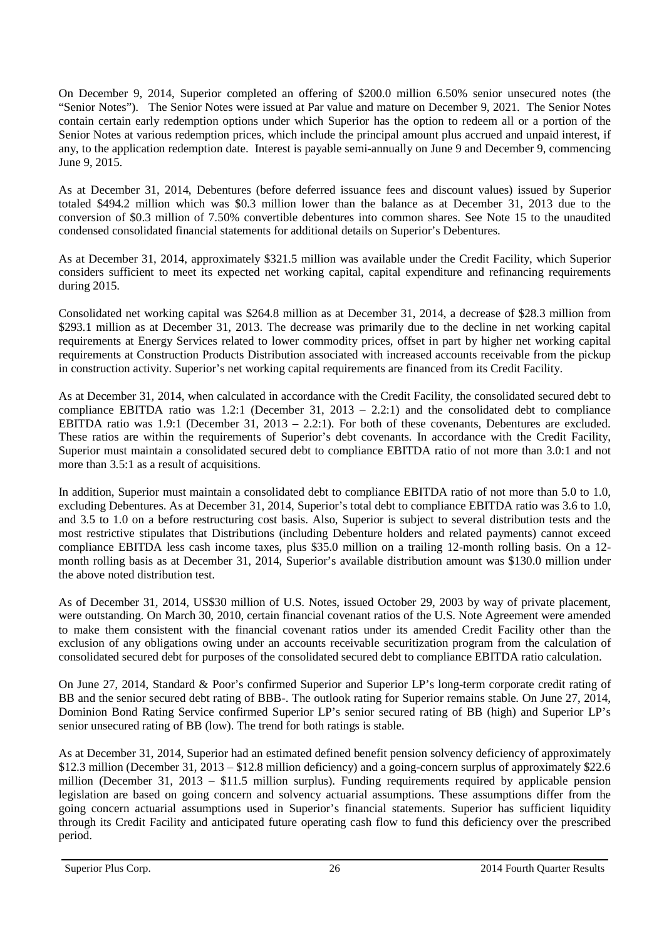On December 9, 2014, Superior completed an offering of \$200.0 million 6.50% senior unsecured notes (the "Senior Notes"). The Senior Notes were issued at Par value and mature on December 9, 2021. The Senior Notes contain certain early redemption options under which Superior has the option to redeem all or a portion of the Senior Notes at various redemption prices, which include the principal amount plus accrued and unpaid interest, if any, to the application redemption date. Interest is payable semi-annually on June 9 and December 9, commencing June 9, 2015.

As at December 31, 2014, Debentures (before deferred issuance fees and discount values) issued by Superior totaled \$494.2 million which was \$0.3 million lower than the balance as at December 31, 2013 due to the conversion of \$0.3 million of 7.50% convertible debentures into common shares. See Note 15 to the unaudited condensed consolidated financial statements for additional details on Superior's Debentures.

As at December 31, 2014, approximately \$321.5 million was available under the Credit Facility, which Superior considers sufficient to meet its expected net working capital, capital expenditure and refinancing requirements during 2015.

Consolidated net working capital was \$264.8 million as at December 31, 2014, a decrease of \$28.3 million from \$293.1 million as at December 31, 2013. The decrease was primarily due to the decline in net working capital requirements at Energy Services related to lower commodity prices, offset in part by higher net working capital requirements at Construction Products Distribution associated with increased accounts receivable from the pickup in construction activity. Superior's net working capital requirements are financed from its Credit Facility.

As at December 31, 2014, when calculated in accordance with the Credit Facility, the consolidated secured debt to compliance EBITDA ratio was 1.2:1 (December 31, 2013 – 2.2:1) and the consolidated debt to compliance EBITDA ratio was 1.9:1 (December 31, 2013 – 2.2:1). For both of these covenants, Debentures are excluded. These ratios are within the requirements of Superior's debt covenants. In accordance with the Credit Facility, Superior must maintain a consolidated secured debt to compliance EBITDA ratio of not more than 3.0:1 and not more than 3.5:1 as a result of acquisitions.

In addition, Superior must maintain a consolidated debt to compliance EBITDA ratio of not more than 5.0 to 1.0, excluding Debentures. As at December 31, 2014, Superior's total debt to compliance EBITDA ratio was 3.6 to 1.0, and 3.5 to 1.0 on a before restructuring cost basis. Also, Superior is subject to several distribution tests and the most restrictive stipulates that Distributions (including Debenture holders and related payments) cannot exceed compliance EBITDA less cash income taxes, plus \$35.0 million on a trailing 12-month rolling basis. On a 12 month rolling basis as at December 31, 2014, Superior's available distribution amount was \$130.0 million under the above noted distribution test.

As of December 31, 2014, US\$30 million of U.S. Notes, issued October 29, 2003 by way of private placement, were outstanding. On March 30, 2010, certain financial covenant ratios of the U.S. Note Agreement were amended to make them consistent with the financial covenant ratios under its amended Credit Facility other than the exclusion of any obligations owing under an accounts receivable securitization program from the calculation of consolidated secured debt for purposes of the consolidated secured debt to compliance EBITDA ratio calculation.

On June 27, 2014, Standard & Poor's confirmed Superior and Superior LP's long-term corporate credit rating of BB and the senior secured debt rating of BBB-. The outlook rating for Superior remains stable. On June 27, 2014, Dominion Bond Rating Service confirmed Superior LP's senior secured rating of BB (high) and Superior LP's senior unsecured rating of BB (low). The trend for both ratings is stable.

As at December 31, 2014, Superior had an estimated defined benefit pension solvency deficiency of approximately \$12.3 million (December 31, 2013 – \$12.8 million deficiency) and a going-concern surplus of approximately \$22.6 million (December 31, 2013 – \$11.5 million surplus). Funding requirements required by applicable pension legislation are based on going concern and solvency actuarial assumptions. These assumptions differ from the going concern actuarial assumptions used in Superior's financial statements. Superior has sufficient liquidity through its Credit Facility and anticipated future operating cash flow to fund this deficiency over the prescribed period.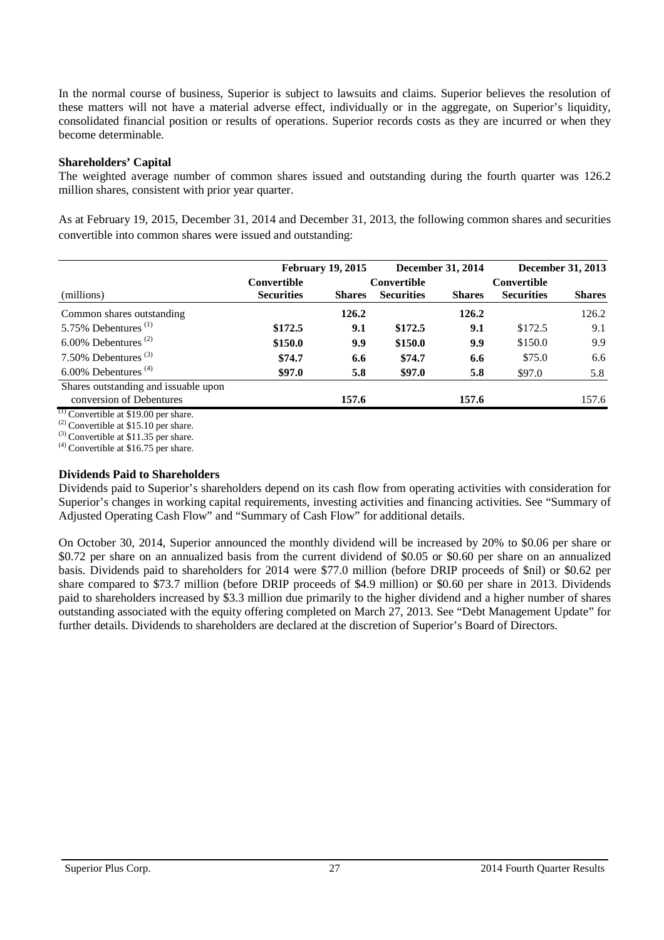In the normal course of business, Superior is subject to lawsuits and claims. Superior believes the resolution of these matters will not have a material adverse effect, individually or in the aggregate, on Superior's liquidity, consolidated financial position or results of operations. Superior records costs as they are incurred or when they become determinable.

#### **Shareholders' Capital**

The weighted average number of common shares issued and outstanding during the fourth quarter was 126.2 million shares, consistent with prior year quarter.

As at February 19, 2015, December 31, 2014 and December 31, 2013, the following common shares and securities convertible into common shares were issued and outstanding:

|                                              |                   | <b>February 19, 2015</b> |                   | December 31, 2014 |                   | December 31, 2013 |
|----------------------------------------------|-------------------|--------------------------|-------------------|-------------------|-------------------|-------------------|
|                                              | Convertible       |                          | Convertible       |                   | Convertible       |                   |
| (millions)                                   | <b>Securities</b> | <b>Shares</b>            | <b>Securities</b> | <b>Shares</b>     | <b>Securities</b> | <b>Shares</b>     |
| Common shares outstanding                    |                   | 126.2                    |                   | 126.2             |                   | 126.2             |
| 5.75% Debentures <sup><math>(1)</math></sup> | \$172.5           | 9.1                      | \$172.5           | 9.1               | \$172.5           | 9.1               |
| 6.00% Debentures <sup><math>(2)</math></sup> | \$150.0           | 9.9                      | \$150.0           | 9.9               | \$150.0           | 9.9               |
| 7.50% Debentures $^{(3)}$                    | \$74.7            | 6.6                      | \$74.7            | 6.6               | \$75.0            | 6.6               |
| $6.00\%$ Debentures <sup>(4)</sup>           | \$97.0            | 5.8                      | \$97.0            | 5.8               | \$97.0            | 5.8               |
| Shares outstanding and issuable upon         |                   |                          |                   |                   |                   |                   |
| conversion of Debentures                     |                   | 157.6                    |                   | 157.6             |                   | 157.6             |

 $(1)$  Convertible at \$19.00 per share.

 $(2)$  Convertible at \$15.10 per share.

 $^{(3)}$  Convertible at \$11.35 per share.  $^{(4)}$  Convertible at \$16.75 per share.

#### **Dividends Paid to Shareholders**

Dividends paid to Superior's shareholders depend on its cash flow from operating activities with consideration for Superior's changes in working capital requirements, investing activities and financing activities. See "Summary of Adjusted Operating Cash Flow" and "Summary of Cash Flow" for additional details.

On October 30, 2014, Superior announced the monthly dividend will be increased by 20% to \$0.06 per share or \$0.72 per share on an annualized basis from the current dividend of \$0.05 or \$0.60 per share on an annualized basis. Dividends paid to shareholders for 2014 were \$77.0 million (before DRIP proceeds of \$nil) or \$0.62 per share compared to \$73.7 million (before DRIP proceeds of \$4.9 million) or \$0.60 per share in 2013. Dividends paid to shareholders increased by \$3.3 million due primarily to the higher dividend and a higher number of shares outstanding associated with the equity offering completed on March 27, 2013. See "Debt Management Update" for further details. Dividends to shareholders are declared at the discretion of Superior's Board of Directors.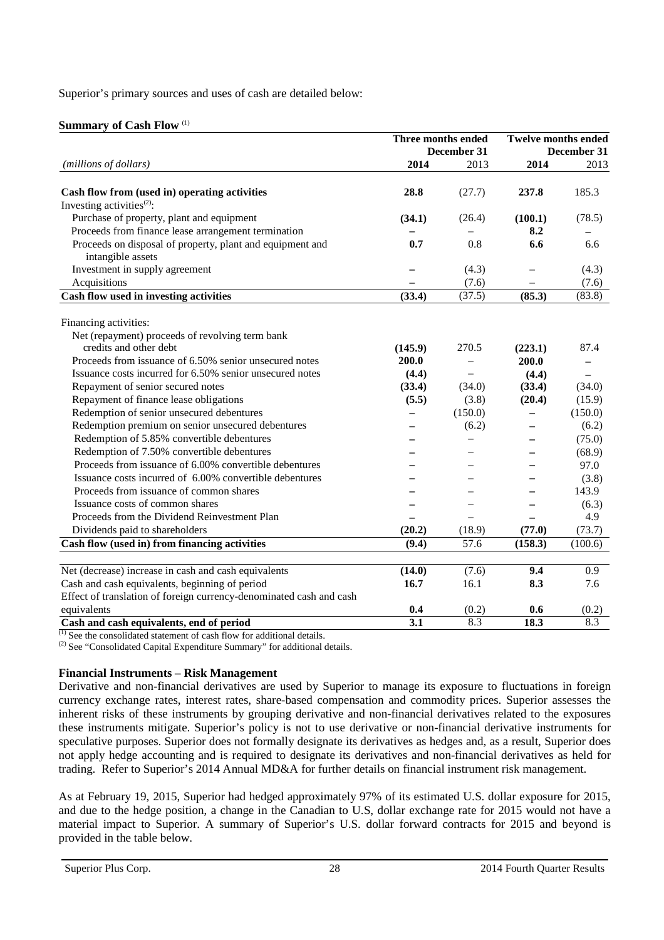Superior's primary sources and uses of cash are detailed below:

#### **Summary of Cash Flow** (1)

|                                                                     | Three months ended<br>December 31 |                   | <b>Twelve months ended</b><br>December 31 |                          |
|---------------------------------------------------------------------|-----------------------------------|-------------------|-------------------------------------------|--------------------------|
|                                                                     |                                   |                   |                                           |                          |
| (millions of dollars)                                               | 2014                              | 2013              | 2014                                      | 2013                     |
| Cash flow from (used in) operating activities                       | 28.8                              | (27.7)            | 237.8                                     | 185.3                    |
| Investing activities $(2)$ :                                        |                                   |                   |                                           |                          |
| Purchase of property, plant and equipment                           | (34.1)                            | (26.4)            | (100.1)                                   | (78.5)                   |
| Proceeds from finance lease arrangement termination                 |                                   |                   | 8.2                                       |                          |
| Proceeds on disposal of property, plant and equipment and           | 0.7                               | 0.8               | 6.6                                       | 6.6                      |
| intangible assets                                                   |                                   |                   |                                           |                          |
| Investment in supply agreement                                      |                                   | (4.3)             |                                           | (4.3)                    |
| Acquisitions                                                        |                                   | (7.6)             |                                           | (7.6)                    |
| Cash flow used in investing activities                              | (33.4)                            | (37.5)            | (85.3)                                    | (83.8)                   |
| Financing activities:                                               |                                   |                   |                                           |                          |
| Net (repayment) proceeds of revolving term bank                     |                                   |                   |                                           |                          |
| credits and other debt                                              | (145.9)                           | 270.5             | (223.1)                                   | 87.4                     |
| Proceeds from issuance of 6.50% senior unsecured notes              | 200.0                             |                   | 200.0                                     |                          |
| Issuance costs incurred for 6.50% senior unsecured notes            | (4.4)                             | $\equiv$          | (4.4)                                     | $\overline{\phantom{0}}$ |
| Repayment of senior secured notes                                   | (33.4)                            | (34.0)            | (33.4)                                    | (34.0)                   |
| Repayment of finance lease obligations                              | (5.5)                             | (3.8)             | (20.4)                                    | (15.9)                   |
| Redemption of senior unsecured debentures                           |                                   | (150.0)           | —                                         | (150.0)                  |
| Redemption premium on senior unsecured debentures                   |                                   | (6.2)             |                                           | (6.2)                    |
| Redemption of 5.85% convertible debentures                          |                                   |                   |                                           | (75.0)                   |
| Redemption of 7.50% convertible debentures                          |                                   |                   |                                           | (68.9)                   |
| Proceeds from issuance of 6.00% convertible debentures              |                                   |                   |                                           | 97.0                     |
| Issuance costs incurred of 6.00% convertible debentures             |                                   |                   |                                           | (3.8)                    |
| Proceeds from issuance of common shares                             |                                   |                   |                                           | 143.9                    |
| Issuance costs of common shares                                     |                                   |                   |                                           | (6.3)                    |
| Proceeds from the Dividend Reinvestment Plan                        |                                   |                   |                                           | 4.9                      |
| Dividends paid to shareholders                                      | (20.2)                            | (18.9)            | (77.0)                                    | (73.7)                   |
| Cash flow (used in) from financing activities                       | (9.4)                             | $\overline{57.6}$ | (158.3)                                   | (100.6)                  |
| Net (decrease) increase in cash and cash equivalents                | (14.0)                            | (7.6)             | 9.4                                       | 0.9                      |
| Cash and cash equivalents, beginning of period                      | 16.7                              | 16.1              | 8.3                                       | 7.6                      |
| Effect of translation of foreign currency-denominated cash and cash |                                   |                   |                                           |                          |
| equivalents                                                         | 0.4                               | (0.2)             | 0.6                                       | (0.2)                    |
| Cash and cash equivalents, end of period                            | $\overline{3.1}$                  | 8.3               | $\overline{18.3}$                         | 8.3                      |

<sup>(1)</sup> See the consolidated statement of cash flow for additional details.

(2) See "Consolidated Capital Expenditure Summary" for additional details.

# **Financial Instruments – Risk Management**

Derivative and non-financial derivatives are used by Superior to manage its exposure to fluctuations in foreign currency exchange rates, interest rates, share-based compensation and commodity prices. Superior assesses the inherent risks of these instruments by grouping derivative and non-financial derivatives related to the exposures these instruments mitigate. Superior's policy is not to use derivative or non-financial derivative instruments for speculative purposes. Superior does not formally designate its derivatives as hedges and, as a result, Superior does not apply hedge accounting and is required to designate its derivatives and non-financial derivatives as held for trading. Refer to Superior's 2014 Annual MD&A for further details on financial instrument risk management.

As at February 19, 2015, Superior had hedged approximately 97% of its estimated U.S. dollar exposure for 2015, and due to the hedge position, a change in the Canadian to U.S, dollar exchange rate for 2015 would not have a material impact to Superior. A summary of Superior's U.S. dollar forward contracts for 2015 and beyond is provided in the table below.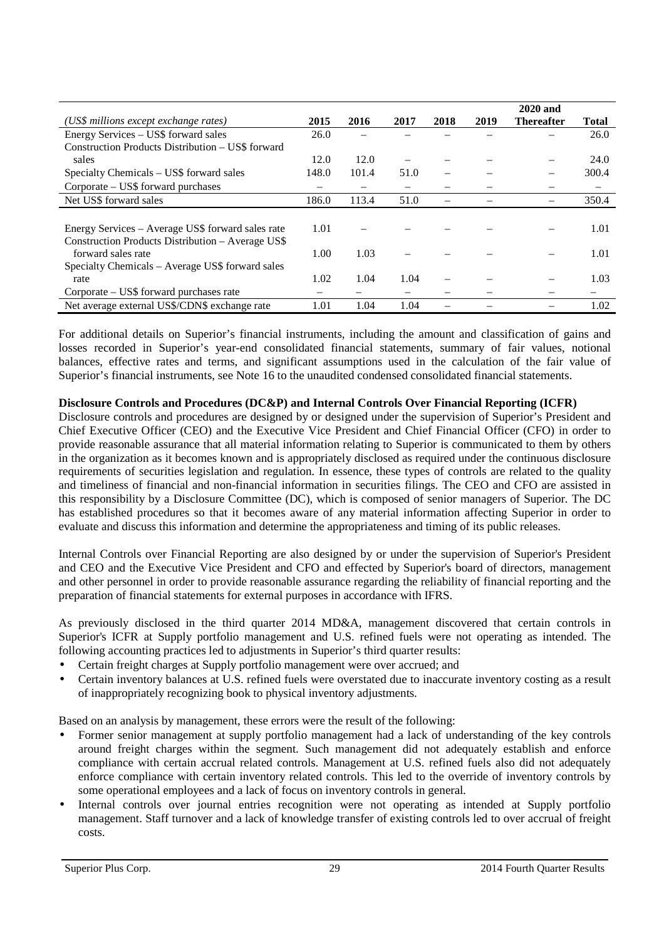|                                                   |       |       |      |      |      | 2020 and          |              |
|---------------------------------------------------|-------|-------|------|------|------|-------------------|--------------|
| (US\$ millions except exchange rates)             | 2015  | 2016  | 2017 | 2018 | 2019 | <b>Thereafter</b> | <b>Total</b> |
| Energy Services – US\$ forward sales              | 26.0  |       |      |      |      |                   | 26.0         |
| Construction Products Distribution - US\$ forward |       |       |      |      |      |                   |              |
| sales                                             | 12.0  | 12.0  |      |      |      |                   | 24.0         |
| Specialty Chemicals – US\$ forward sales          | 148.0 | 101.4 | 51.0 |      |      |                   | 300.4        |
| Corporate – US\$ forward purchases                |       |       |      |      |      |                   |              |
| Net US\$ forward sales                            | 186.0 | 113.4 | 51.0 |      |      |                   | 350.4        |
|                                                   |       |       |      |      |      |                   |              |
| Energy Services - Average US\$ forward sales rate | 1.01  |       |      |      |      |                   | 1.01         |
| Construction Products Distribution – Average US\$ |       |       |      |      |      |                   |              |
| forward sales rate                                | 1.00  | 1.03  |      |      |      |                   | 1.01         |
| Specialty Chemicals - Average US\$ forward sales  |       |       |      |      |      |                   |              |
| rate                                              | 1.02  | 1.04  | 1.04 |      |      |                   | 1.03         |
| Corporate – US\$ forward purchases rate           |       |       |      |      |      |                   |              |
| Net average external US\$/CDN\$ exchange rate     | 1.01  | 1.04  | 1.04 |      |      |                   | 1.02         |

For additional details on Superior's financial instruments, including the amount and classification of gains and losses recorded in Superior's year-end consolidated financial statements, summary of fair values, notional balances, effective rates and terms, and significant assumptions used in the calculation of the fair value of Superior's financial instruments, see Note 16 to the unaudited condensed consolidated financial statements.

# **Disclosure Controls and Procedures (DC&P) and Internal Controls Over Financial Reporting (ICFR)**

Disclosure controls and procedures are designed by or designed under the supervision of Superior's President and Chief Executive Officer (CEO) and the Executive Vice President and Chief Financial Officer (CFO) in order to provide reasonable assurance that all material information relating to Superior is communicated to them by others in the organization as it becomes known and is appropriately disclosed as required under the continuous disclosure requirements of securities legislation and regulation. In essence, these types of controls are related to the quality and timeliness of financial and non-financial information in securities filings. The CEO and CFO are assisted in this responsibility by a Disclosure Committee (DC), which is composed of senior managers of Superior. The DC has established procedures so that it becomes aware of any material information affecting Superior in order to evaluate and discuss this information and determine the appropriateness and timing of its public releases.

Internal Controls over Financial Reporting are also designed by or under the supervision of Superior's President and CEO and the Executive Vice President and CFO and effected by Superior's board of directors, management and other personnel in order to provide reasonable assurance regarding the reliability of financial reporting and the preparation of financial statements for external purposes in accordance with IFRS.

As previously disclosed in the third quarter 2014 MD&A, management discovered that certain controls in Superior's ICFR at Supply portfolio management and U.S. refined fuels were not operating as intended. The following accounting practices led to adjustments in Superior's third quarter results:

- Certain freight charges at Supply portfolio management were over accrued; and
- Certain inventory balances at U.S. refined fuels were overstated due to inaccurate inventory costing as a result of inappropriately recognizing book to physical inventory adjustments.

Based on an analysis by management, these errors were the result of the following:

- Former senior management at supply portfolio management had a lack of understanding of the key controls around freight charges within the segment. Such management did not adequately establish and enforce compliance with certain accrual related controls. Management at U.S. refined fuels also did not adequately enforce compliance with certain inventory related controls. This led to the override of inventory controls by some operational employees and a lack of focus on inventory controls in general.
- Internal controls over journal entries recognition were not operating as intended at Supply portfolio management. Staff turnover and a lack of knowledge transfer of existing controls led to over accrual of freight costs.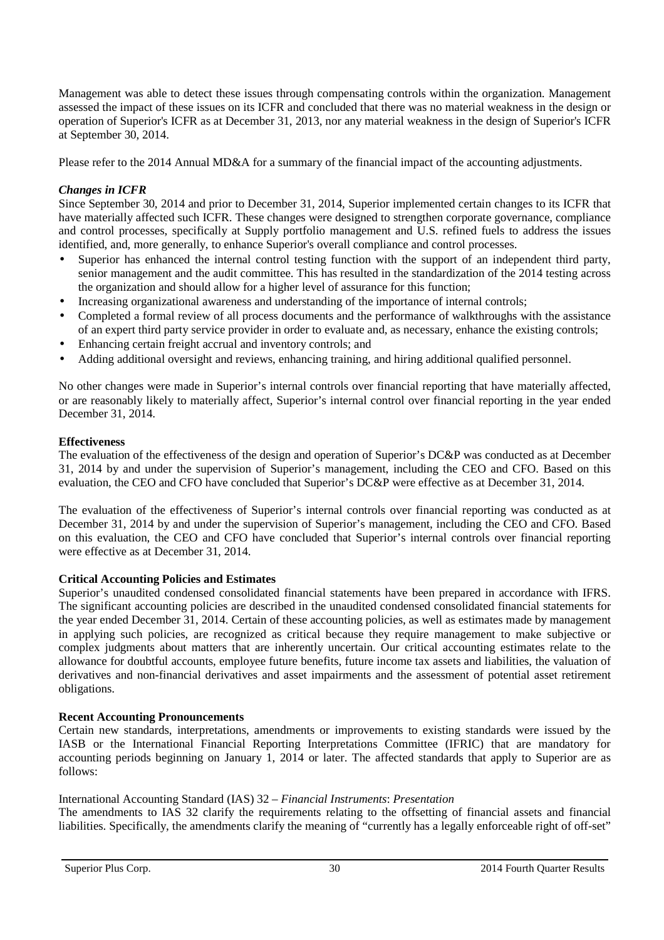Management was able to detect these issues through compensating controls within the organization. Management assessed the impact of these issues on its ICFR and concluded that there was no material weakness in the design or operation of Superior's ICFR as at December 31, 2013, nor any material weakness in the design of Superior's ICFR at September 30, 2014.

Please refer to the 2014 Annual MD&A for a summary of the financial impact of the accounting adjustments.

# *Changes in ICFR*

Since September 30, 2014 and prior to December 31, 2014, Superior implemented certain changes to its ICFR that have materially affected such ICFR. These changes were designed to strengthen corporate governance, compliance and control processes, specifically at Supply portfolio management and U.S. refined fuels to address the issues identified, and, more generally, to enhance Superior's overall compliance and control processes.

- Superior has enhanced the internal control testing function with the support of an independent third party, senior management and the audit committee. This has resulted in the standardization of the 2014 testing across the organization and should allow for a higher level of assurance for this function;
- Increasing organizational awareness and understanding of the importance of internal controls;
- Completed a formal review of all process documents and the performance of walkthroughs with the assistance of an expert third party service provider in order to evaluate and, as necessary, enhance the existing controls;
- Enhancing certain freight accrual and inventory controls; and
- Adding additional oversight and reviews, enhancing training, and hiring additional qualified personnel.

No other changes were made in Superior's internal controls over financial reporting that have materially affected, or are reasonably likely to materially affect, Superior's internal control over financial reporting in the year ended December 31, 2014.

# **Effectiveness**

The evaluation of the effectiveness of the design and operation of Superior's DC&P was conducted as at December 31, 2014 by and under the supervision of Superior's management, including the CEO and CFO. Based on this evaluation, the CEO and CFO have concluded that Superior's DC&P were effective as at December 31, 2014.

The evaluation of the effectiveness of Superior's internal controls over financial reporting was conducted as at December 31, 2014 by and under the supervision of Superior's management, including the CEO and CFO. Based on this evaluation, the CEO and CFO have concluded that Superior's internal controls over financial reporting were effective as at December 31, 2014.

# **Critical Accounting Policies and Estimates**

Superior's unaudited condensed consolidated financial statements have been prepared in accordance with IFRS. The significant accounting policies are described in the unaudited condensed consolidated financial statements for the year ended December 31, 2014. Certain of these accounting policies, as well as estimates made by management in applying such policies, are recognized as critical because they require management to make subjective or complex judgments about matters that are inherently uncertain. Our critical accounting estimates relate to the allowance for doubtful accounts, employee future benefits, future income tax assets and liabilities, the valuation of derivatives and non-financial derivatives and asset impairments and the assessment of potential asset retirement obligations.

# **Recent Accounting Pronouncements**

Certain new standards, interpretations, amendments or improvements to existing standards were issued by the IASB or the International Financial Reporting Interpretations Committee (IFRIC) that are mandatory for accounting periods beginning on January 1, 2014 or later. The affected standards that apply to Superior are as follows:

# International Accounting Standard (IAS) 32 *– Financial Instruments*: *Presentation*

The amendments to IAS 32 clarify the requirements relating to the offsetting of financial assets and financial liabilities. Specifically, the amendments clarify the meaning of "currently has a legally enforceable right of off-set"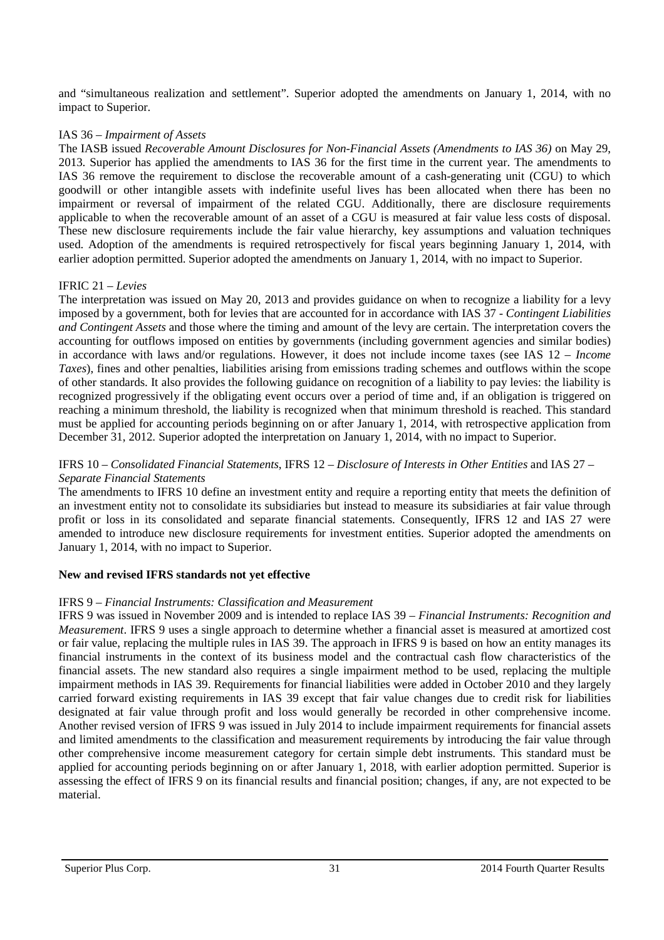and "simultaneous realization and settlement". Superior adopted the amendments on January 1, 2014, with no impact to Superior.

#### IAS 36 *– Impairment of Assets*

The IASB issued *Recoverable Amount Disclosures for Non-Financial Assets (Amendments to IAS 36)* on May 29, 2013. Superior has applied the amendments to IAS 36 for the first time in the current year. The amendments to IAS 36 remove the requirement to disclose the recoverable amount of a cash-generating unit (CGU) to which goodwill or other intangible assets with indefinite useful lives has been allocated when there has been no impairment or reversal of impairment of the related CGU. Additionally, there are disclosure requirements applicable to when the recoverable amount of an asset of a CGU is measured at fair value less costs of disposal. These new disclosure requirements include the fair value hierarchy, key assumptions and valuation techniques used. Adoption of the amendments is required retrospectively for fiscal years beginning January 1, 2014, with earlier adoption permitted. Superior adopted the amendments on January 1, 2014, with no impact to Superior.

#### IFRIC 21 *– Levies*

The interpretation was issued on May 20, 2013 and provides guidance on when to recognize a liability for a levy imposed by a government, both for levies that are accounted for in accordance with IAS 37 *- Contingent Liabilities and Contingent Assets* and those where the timing and amount of the levy are certain. The interpretation covers the accounting for outflows imposed on entities by governments (including government agencies and similar bodies) in accordance with laws and/or regulations. However, it does not include income taxes (see IAS 12 – *Income Taxes*), fines and other penalties, liabilities arising from emissions trading schemes and outflows within the scope of other standards. It also provides the following guidance on recognition of a liability to pay levies: the liability is recognized progressively if the obligating event occurs over a period of time and, if an obligation is triggered on reaching a minimum threshold, the liability is recognized when that minimum threshold is reached. This standard must be applied for accounting periods beginning on or after January 1, 2014, with retrospective application from December 31, 2012. Superior adopted the interpretation on January 1, 2014, with no impact to Superior.

#### IFRS 10 – *Consolidated Financial Statements*, IFRS 12 – *Disclosure of Interests in Other Entities* and IAS 27 – *Separate Financial Statements*

The amendments to IFRS 10 define an investment entity and require a reporting entity that meets the definition of an investment entity not to consolidate its subsidiaries but instead to measure its subsidiaries at fair value through profit or loss in its consolidated and separate financial statements. Consequently, IFRS 12 and IAS 27 were amended to introduce new disclosure requirements for investment entities. Superior adopted the amendments on January 1, 2014, with no impact to Superior.

# **New and revised IFRS standards not yet effective**

# IFRS 9 – *Financial Instruments: Classification and Measurement*

IFRS 9 was issued in November 2009 and is intended to replace IAS 39 – *Financial Instruments: Recognition and Measurement*. IFRS 9 uses a single approach to determine whether a financial asset is measured at amortized cost or fair value, replacing the multiple rules in IAS 39. The approach in IFRS 9 is based on how an entity manages its financial instruments in the context of its business model and the contractual cash flow characteristics of the financial assets. The new standard also requires a single impairment method to be used, replacing the multiple impairment methods in IAS 39. Requirements for financial liabilities were added in October 2010 and they largely carried forward existing requirements in IAS 39 except that fair value changes due to credit risk for liabilities designated at fair value through profit and loss would generally be recorded in other comprehensive income. Another revised version of IFRS 9 was issued in July 2014 to include impairment requirements for financial assets and limited amendments to the classification and measurement requirements by introducing the fair value through other comprehensive income measurement category for certain simple debt instruments. This standard must be applied for accounting periods beginning on or after January 1, 2018, with earlier adoption permitted. Superior is assessing the effect of IFRS 9 on its financial results and financial position; changes, if any, are not expected to be material.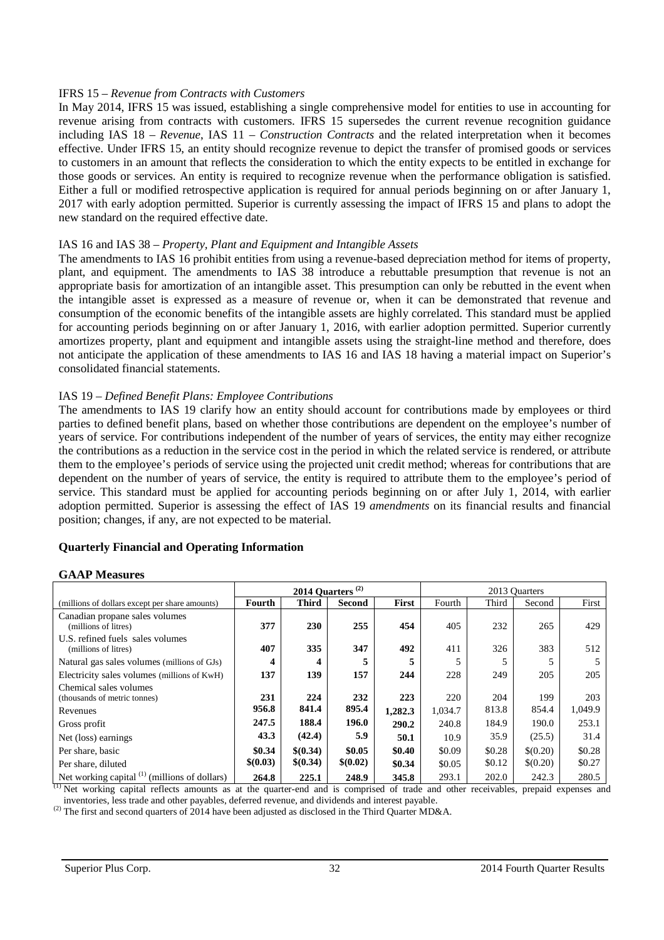#### IFRS 15 – *Revenue from Contracts with Customers*

In May 2014, IFRS 15 was issued, establishing a single comprehensive model for entities to use in accounting for revenue arising from contracts with customers. IFRS 15 supersedes the current revenue recognition guidance including IAS 18 – *Revenue*, IAS 11 – *Construction Contracts* and the related interpretation when it becomes effective. Under IFRS 15, an entity should recognize revenue to depict the transfer of promised goods or services to customers in an amount that reflects the consideration to which the entity expects to be entitled in exchange for those goods or services. An entity is required to recognize revenue when the performance obligation is satisfied. Either a full or modified retrospective application is required for annual periods beginning on or after January 1, 2017 with early adoption permitted. Superior is currently assessing the impact of IFRS 15 and plans to adopt the new standard on the required effective date.

#### IAS 16 and IAS 38 – *Property, Plant and Equipment and Intangible Assets*

The amendments to IAS 16 prohibit entities from using a revenue-based depreciation method for items of property, plant, and equipment. The amendments to IAS 38 introduce a rebuttable presumption that revenue is not an appropriate basis for amortization of an intangible asset. This presumption can only be rebutted in the event when the intangible asset is expressed as a measure of revenue or, when it can be demonstrated that revenue and consumption of the economic benefits of the intangible assets are highly correlated. This standard must be applied for accounting periods beginning on or after January 1, 2016, with earlier adoption permitted. Superior currently amortizes property, plant and equipment and intangible assets using the straight-line method and therefore, does not anticipate the application of these amendments to IAS 16 and IAS 18 having a material impact on Superior's consolidated financial statements.

# IAS 19 – *Defined Benefit Plans: Employee Contributions*

The amendments to IAS 19 clarify how an entity should account for contributions made by employees or third parties to defined benefit plans, based on whether those contributions are dependent on the employee's number of years of service. For contributions independent of the number of years of services, the entity may either recognize the contributions as a reduction in the service cost in the period in which the related service is rendered, or attribute them to the employee's periods of service using the projected unit credit method; whereas for contributions that are dependent on the number of years of service, the entity is required to attribute them to the employee's period of service. This standard must be applied for accounting periods beginning on or after July 1, 2014, with earlier adoption permitted. Superior is assessing the effect of IAS 19 *amendments* on its financial results and financial position; changes, if any, are not expected to be material.

# **Quarterly Financial and Operating Information**

# **GAAP Measures**

|                                                          | 2014 Quarters <sup>(2)</sup> |              |          |         | 2013 Ouarters |        |          |         |  |
|----------------------------------------------------------|------------------------------|--------------|----------|---------|---------------|--------|----------|---------|--|
| (millions of dollars except per share amounts)           | <b>Fourth</b>                | <b>Third</b> | Second   | First   | Fourth        | Third  | Second   | First   |  |
| Canadian propane sales volumes<br>(millions of litres)   | 377                          | 230          | 255      | 454     | 405           | 232    | 265      | 429     |  |
| U.S. refined fuels sales volumes<br>(millions of litres) | 407                          | 335          | 347      | 492     | 411           | 326    | 383      | 512     |  |
| Natural gas sales volumes (millions of GJs)              |                              | 4            | 5        | 5       | 5             |        |          |         |  |
| Electricity sales volumes (millions of KwH)              | 137                          | 139          | 157      | 244     | 228           | 249    | 205      | 205     |  |
| Chemical sales volumes<br>(thousands of metric tonnes)   | 231                          | 224          | 232      | 223     | 220           | 204    | 199      | 203     |  |
| Revenues                                                 | 956.8                        | 841.4        | 895.4    | 1,282.3 | 1,034.7       | 813.8  | 854.4    | 1,049.9 |  |
| Gross profit                                             | 247.5                        | 188.4        | 196.0    | 290.2   | 240.8         | 184.9  | 190.0    | 253.1   |  |
| Net (loss) earnings                                      | 43.3                         | (42.4)       | 5.9      | 50.1    | 10.9          | 35.9   | (25.5)   | 31.4    |  |
| Per share, basic                                         | \$0.34                       | \$(0.34)     | \$0.05   | \$0.40  | \$0.09        | \$0.28 | \$(0.20) | \$0.28  |  |
| Per share, diluted                                       | \$(0.03)                     | \$(0.34)     | \$(0.02) | \$0.34  | \$0.05        | \$0.12 | \$(0.20) | \$0.27  |  |
| Net working capital $(1)$ (millions of dollars)          | 264.8                        | 225.1        | 248.9    | 345.8   | 293.1         | 202.0  | 242.3    | 280.5   |  |

Net working capital reflects amounts as at the quarter-end and is comprised of trade and other receivables, prepaid expenses and inventories, less trade and other payables, deferred revenue, and dividends and interest payable.

<sup>(2)</sup> The first and second quarters of 2014 have been adjusted as disclosed in the Third Quarter MD&A.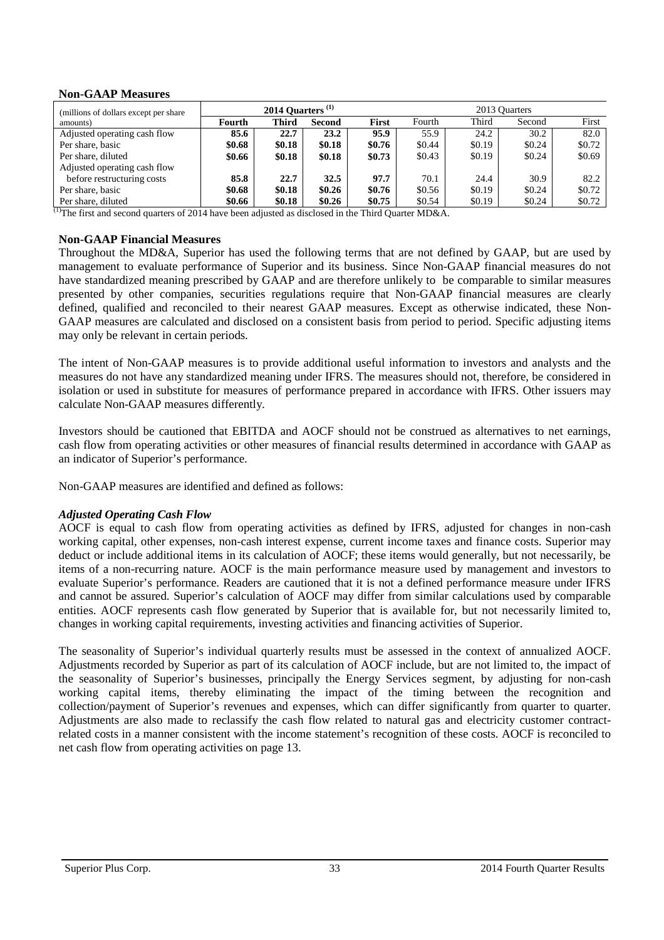#### **Non-GAAP Measures**

|        | 2014 Quarters $(1)$ |        |              | 2013 Ouarters |        |        |        |
|--------|---------------------|--------|--------------|---------------|--------|--------|--------|
| Fourth | Third               | Second | <b>First</b> | Fourth        | Third  | Second | First  |
| 85.6   | 22.7                | 23.2   | 95.9         | 55.9          | 24.2   | 30.2   | 82.0   |
| \$0.68 | \$0.18              | \$0.18 | \$0.76       | \$0.44        | \$0.19 | \$0.24 | \$0.72 |
| \$0.66 | \$0.18              | \$0.18 | \$0.73       | \$0.43        | \$0.19 | \$0.24 | \$0.69 |
|        |                     |        |              |               |        |        |        |
| 85.8   | 22.7                | 32.5   | 97.7         | 70.1          | 24.4   | 30.9   | 82.2   |
| \$0.68 | \$0.18              | \$0.26 | \$0.76       | \$0.56        | \$0.19 | \$0.24 | \$0.72 |
| \$0.66 | \$0.18              | \$0.26 | \$0.75       | \$0.54        | \$0.19 | \$0.24 | \$0.72 |
|        |                     |        |              |               |        |        |        |

The first and second quarters of 2014 have been adjusted as disclosed in the Third Quarter MD&A.

#### **Non-GAAP Financial Measures**

Throughout the MD&A, Superior has used the following terms that are not defined by GAAP, but are used by management to evaluate performance of Superior and its business. Since Non-GAAP financial measures do not have standardized meaning prescribed by GAAP and are therefore unlikely to be comparable to similar measures presented by other companies, securities regulations require that Non-GAAP financial measures are clearly defined, qualified and reconciled to their nearest GAAP measures. Except as otherwise indicated, these Non-GAAP measures are calculated and disclosed on a consistent basis from period to period. Specific adjusting items may only be relevant in certain periods.

The intent of Non-GAAP measures is to provide additional useful information to investors and analysts and the measures do not have any standardized meaning under IFRS. The measures should not, therefore, be considered in isolation or used in substitute for measures of performance prepared in accordance with IFRS. Other issuers may calculate Non-GAAP measures differently.

Investors should be cautioned that EBITDA and AOCF should not be construed as alternatives to net earnings, cash flow from operating activities or other measures of financial results determined in accordance with GAAP as an indicator of Superior's performance.

Non-GAAP measures are identified and defined as follows:

# *Adjusted Operating Cash Flow*

AOCF is equal to cash flow from operating activities as defined by IFRS, adjusted for changes in non-cash working capital, other expenses, non-cash interest expense, current income taxes and finance costs. Superior may deduct or include additional items in its calculation of AOCF; these items would generally, but not necessarily, be items of a non-recurring nature. AOCF is the main performance measure used by management and investors to evaluate Superior's performance. Readers are cautioned that it is not a defined performance measure under IFRS and cannot be assured. Superior's calculation of AOCF may differ from similar calculations used by comparable entities. AOCF represents cash flow generated by Superior that is available for, but not necessarily limited to, changes in working capital requirements, investing activities and financing activities of Superior.

The seasonality of Superior's individual quarterly results must be assessed in the context of annualized AOCF. Adjustments recorded by Superior as part of its calculation of AOCF include, but are not limited to, the impact of the seasonality of Superior's businesses, principally the Energy Services segment, by adjusting for non-cash working capital items, thereby eliminating the impact of the timing between the recognition and collection/payment of Superior's revenues and expenses, which can differ significantly from quarter to quarter. Adjustments are also made to reclassify the cash flow related to natural gas and electricity customer contractrelated costs in a manner consistent with the income statement's recognition of these costs. AOCF is reconciled to net cash flow from operating activities on page 13.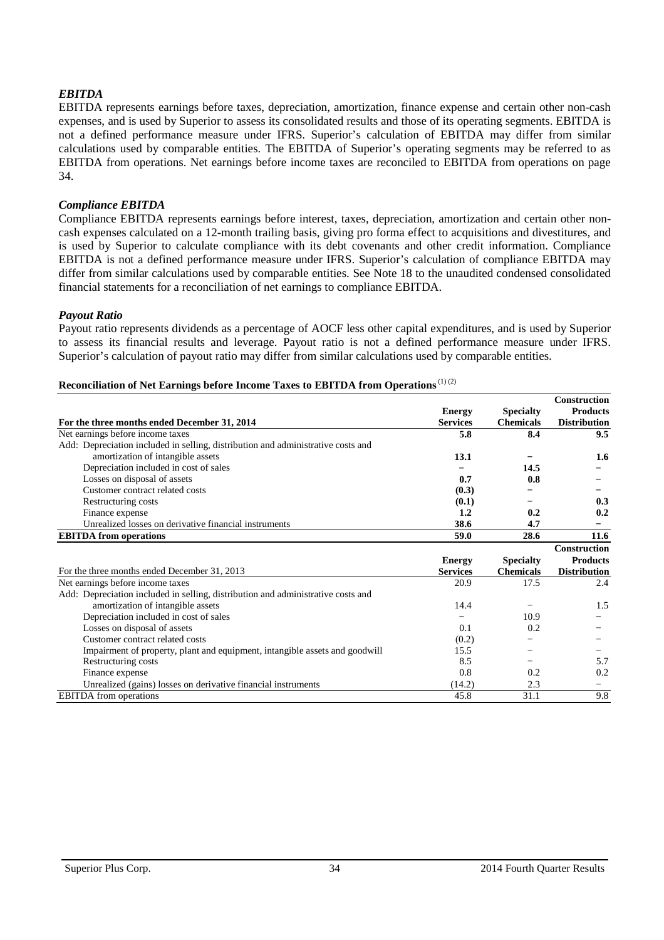# *EBITDA*

EBITDA represents earnings before taxes, depreciation, amortization, finance expense and certain other non-cash expenses, and is used by Superior to assess its consolidated results and those of its operating segments. EBITDA is not a defined performance measure under IFRS. Superior's calculation of EBITDA may differ from similar calculations used by comparable entities. The EBITDA of Superior's operating segments may be referred to as EBITDA from operations. Net earnings before income taxes are reconciled to EBITDA from operations on page 34.

#### *Compliance EBITDA*

Compliance EBITDA represents earnings before interest, taxes, depreciation, amortization and certain other noncash expenses calculated on a 12-month trailing basis, giving pro forma effect to acquisitions and divestitures, and is used by Superior to calculate compliance with its debt covenants and other credit information. Compliance EBITDA is not a defined performance measure under IFRS. Superior's calculation of compliance EBITDA may differ from similar calculations used by comparable entities. See Note 18 to the unaudited condensed consolidated financial statements for a reconciliation of net earnings to compliance EBITDA.

#### *Payout Ratio*

Payout ratio represents dividends as a percentage of AOCF less other capital expenditures, and is used by Superior to assess its financial results and leverage. Payout ratio is not a defined performance measure under IFRS. Superior's calculation of payout ratio may differ from similar calculations used by comparable entities.

# **Reconciliation of Net Earnings before Income Taxes to EBITDA from Operations** (1) (2)

|                                                                                  |                 |                  | <b>Construction</b> |
|----------------------------------------------------------------------------------|-----------------|------------------|---------------------|
|                                                                                  | <b>Energy</b>   | <b>Specialty</b> | <b>Products</b>     |
| For the three months ended December 31, 2014                                     | <b>Services</b> | <b>Chemicals</b> | <b>Distribution</b> |
| Net earnings before income taxes                                                 | 5.8             | 8.4              | 9.5                 |
| Add: Depreciation included in selling, distribution and administrative costs and |                 |                  |                     |
| amortization of intangible assets                                                | 13.1            |                  | 1.6                 |
| Depreciation included in cost of sales                                           |                 | 14.5             |                     |
| Losses on disposal of assets                                                     | 0.7             | 0.8              |                     |
| Customer contract related costs                                                  | (0.3)           |                  |                     |
| Restructuring costs                                                              | (0.1)           |                  | 0.3                 |
| Finance expense                                                                  | 1.2             | 0.2              | 0.2                 |
| Unrealized losses on derivative financial instruments                            | 38.6            | 4.7              |                     |
| <b>EBITDA</b> from operations                                                    | 59.0            | 28.6             | 11.6                |
|                                                                                  |                 |                  | <b>Construction</b> |
|                                                                                  | <b>Energy</b>   | <b>Specialty</b> | <b>Products</b>     |
| For the three months ended December 31, 2013                                     | <b>Services</b> | <b>Chemicals</b> | <b>Distribution</b> |
| Net earnings before income taxes                                                 | 20.9            | 17.5             | 2.4                 |
| Add: Depreciation included in selling, distribution and administrative costs and |                 |                  |                     |
| amortization of intangible assets                                                | 14.4            |                  | 1.5                 |
| Depreciation included in cost of sales                                           |                 | 10.9             |                     |
| Losses on disposal of assets                                                     | 0.1             | 0.2              |                     |
| Customer contract related costs                                                  | (0.2)           |                  |                     |
| Impairment of property, plant and equipment, intangible assets and goodwill      | 15.5            |                  |                     |
| Restructuring costs                                                              | 8.5             |                  | 5.7                 |
| Finance expense                                                                  | 0.8             | 0.2              | 0.2                 |
| Unrealized (gains) losses on derivative financial instruments                    | (14.2)          | 2.3              |                     |
| <b>EBITDA</b> from operations                                                    | 45.8            | 31.1             | 9.8                 |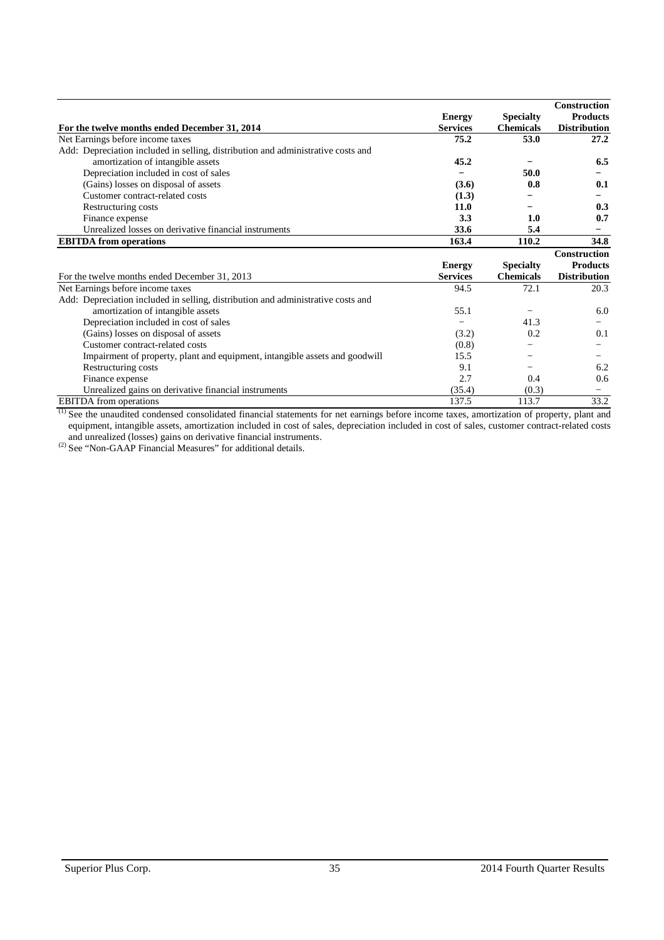|                                                                                  |                 |                  | Construction        |
|----------------------------------------------------------------------------------|-----------------|------------------|---------------------|
|                                                                                  | <b>Energy</b>   | <b>Specialty</b> | <b>Products</b>     |
| For the twelve months ended December 31, 2014                                    | <b>Services</b> | <b>Chemicals</b> | <b>Distribution</b> |
| Net Earnings before income taxes                                                 | 75.2            | 53.0             | 27.2                |
| Add: Depreciation included in selling, distribution and administrative costs and |                 |                  |                     |
| amortization of intangible assets                                                | 45.2            |                  | 6.5                 |
| Depreciation included in cost of sales                                           |                 | 50.0             |                     |
| (Gains) losses on disposal of assets                                             | (3.6)           | 0.8              | 0.1                 |
| Customer contract-related costs                                                  | (1.3)           |                  |                     |
| Restructuring costs                                                              | 11.0            |                  | 0.3                 |
| Finance expense                                                                  | 3.3             | 1.0              | 0.7                 |
| Unrealized losses on derivative financial instruments                            | 33.6            | 5.4              |                     |
| <b>EBITDA</b> from operations                                                    | 163.4           | 110.2            | 34.8                |
|                                                                                  |                 |                  | Construction        |
|                                                                                  | <b>Energy</b>   | <b>Specialty</b> | <b>Products</b>     |
| For the twelve months ended December 31, 2013                                    | <b>Services</b> | <b>Chemicals</b> | <b>Distribution</b> |
| Net Earnings before income taxes                                                 | 94.5            | 72.1             | 20.3                |
| Add: Depreciation included in selling, distribution and administrative costs and |                 |                  |                     |
| amortization of intangible assets                                                | 55.1            |                  | 6.0                 |
| Depreciation included in cost of sales                                           |                 | 41.3             |                     |
| (Gains) losses on disposal of assets                                             | (3.2)           | 0.2              | 0.1                 |
| Customer contract-related costs                                                  | (0.8)           |                  |                     |
| Impairment of property, plant and equipment, intangible assets and goodwill      | 15.5            |                  |                     |
| Restructuring costs                                                              | 9.1             |                  | 6.2                 |
| Finance expense                                                                  | 2.7             | 0.4              | 0.6                 |
| Unrealized gains on derivative financial instruments                             | (35.4)          | (0.3)            |                     |
| <b>EBITDA</b> from operations                                                    | 137.5           | 113.7            | 33.2                |

 $<sup>(1)</sup>$  See the unaudited condensed consolidated financial statements for net earnings before income taxes, amortization of property, plant and</sup> equipment, intangible assets, amortization included in cost of sales, depreciation included in cost of sales, customer contract-related costs and unrealized (losses) gains on derivative financial instruments.

 $^{(2)}$  See "Non-GAAP Financial Measures" for additional details.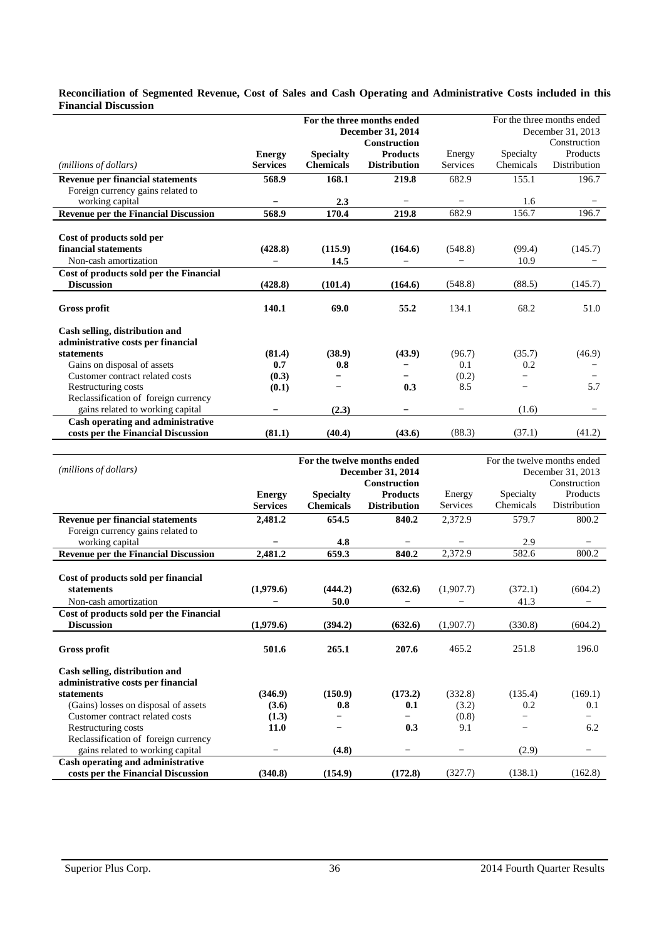#### **Reconciliation of Segmented Revenue, Cost of Sales and Cash Operating and Administrative Costs included in this Financial Discussion**

|                                             | For the three months ended |                  |                     |                 |                   | For the three months ended |  |
|---------------------------------------------|----------------------------|------------------|---------------------|-----------------|-------------------|----------------------------|--|
|                                             |                            |                  | December 31, 2014   |                 | December 31, 2013 |                            |  |
|                                             |                            |                  | <b>Construction</b> |                 | Construction      |                            |  |
|                                             | <b>Energy</b>              | <b>Specialty</b> | <b>Products</b>     | Energy          | Specialty         | Products                   |  |
| (millions of dollars)                       | <b>Services</b>            | <b>Chemicals</b> | <b>Distribution</b> | <b>Services</b> | Chemicals         | Distribution               |  |
| Revenue per financial statements            | 568.9                      | 168.1            | 219.8               | 682.9           | 155.1             | 196.7                      |  |
| Foreign currency gains related to           |                            |                  |                     |                 |                   |                            |  |
| working capital                             |                            | 2.3              |                     |                 | 1.6               |                            |  |
| <b>Revenue per the Financial Discussion</b> | 568.9                      | 170.4            | 219.8               | 682.9           | 156.7             | 196.7                      |  |
|                                             |                            |                  |                     |                 |                   |                            |  |
| Cost of products sold per                   |                            |                  |                     |                 |                   |                            |  |
| financial statements                        | (428.8)                    | (115.9)          | (164.6)             | (548.8)         | (99.4)            | (145.7)                    |  |
| Non-cash amortization                       |                            | 14.5             |                     |                 | 10.9              |                            |  |
| Cost of products sold per the Financial     |                            |                  |                     |                 |                   |                            |  |
| <b>Discussion</b>                           | (428.8)                    | (101.4)          | (164.6)             | (548.8)         | (88.5)            | (145.7)                    |  |
| Gross profit                                | 140.1                      | 69.0             | 55.2                | 134.1           | 68.2              | 51.0                       |  |
|                                             |                            |                  |                     |                 |                   |                            |  |
| Cash selling, distribution and              |                            |                  |                     |                 |                   |                            |  |
| administrative costs per financial          |                            |                  |                     |                 |                   |                            |  |
| statements                                  | (81.4)                     | (38.9)           | (43.9)              | (96.7)          | (35.7)            | (46.9)                     |  |
| Gains on disposal of assets                 | 0.7                        | 0.8              |                     | 0.1             | 0.2               |                            |  |
| Customer contract related costs             | (0.3)                      |                  |                     | (0.2)           |                   |                            |  |
| Restructuring costs                         | (0.1)                      |                  | 0.3                 | 8.5             |                   | 5.7                        |  |
| Reclassification of foreign currency        |                            |                  |                     |                 |                   |                            |  |
| gains related to working capital            |                            | (2.3)            |                     |                 | (1.6)             |                            |  |
| Cash operating and administrative           |                            |                  |                     |                 |                   |                            |  |
| costs per the Financial Discussion          | (81.1)                     | (40.4)           | (43.6)              | (88.3)          | (37.1)            | (41.2)                     |  |

|                                             |                 | For the twelve months ended |                     | For the twelve months ended |           |              |  |
|---------------------------------------------|-----------------|-----------------------------|---------------------|-----------------------------|-----------|--------------|--|
| (millions of dollars)                       |                 | <b>December 31, 2014</b>    |                     | December 31, 2013           |           |              |  |
|                                             |                 |                             | <b>Construction</b> |                             |           | Construction |  |
|                                             | <b>Energy</b>   | <b>Specialty</b>            | <b>Products</b>     | Energy                      | Specialty | Products     |  |
|                                             | <b>Services</b> | <b>Chemicals</b>            | <b>Distribution</b> | Services                    | Chemicals | Distribution |  |
| Revenue per financial statements            | 2,481.2         | 654.5                       | 840.2               | 2,372.9                     | 579.7     | 800.2        |  |
| Foreign currency gains related to           |                 |                             |                     |                             |           |              |  |
| working capital                             |                 | 4.8                         |                     |                             | 2.9       |              |  |
| <b>Revenue per the Financial Discussion</b> | 2,481.2         | 659.3                       | 840.2               | 2,372.9                     | 582.6     | 800.2        |  |
|                                             |                 |                             |                     |                             |           |              |  |
| Cost of products sold per financial         |                 |                             |                     |                             |           |              |  |
| <b>statements</b>                           | (1,979.6)       | (444.2)                     | (632.6)             | (1,907.7)                   | (372.1)   | (604.2)      |  |
| Non-cash amortization                       |                 | 50.0                        |                     |                             | 41.3      |              |  |
| Cost of products sold per the Financial     |                 |                             |                     |                             |           |              |  |
| <b>Discussion</b>                           | (1,979.6)       | (394.2)                     | (632.6)             | (1,907.7)                   | (330.8)   | (604.2)      |  |
|                                             |                 |                             |                     |                             |           |              |  |
| <b>Gross profit</b>                         | 501.6           | 265.1                       | 207.6               | 465.2                       | 251.8     | 196.0        |  |
| Cash selling, distribution and              |                 |                             |                     |                             |           |              |  |
| administrative costs per financial          |                 |                             |                     |                             |           |              |  |
| statements                                  | (346.9)         | (150.9)                     | (173.2)             | (332.8)                     | (135.4)   | (169.1)      |  |
| (Gains) losses on disposal of assets        | (3.6)           | 0.8                         | 0.1                 | (3.2)                       | 0.2       | 0.1          |  |
| Customer contract related costs             | (1.3)           |                             |                     | (0.8)                       |           |              |  |
| Restructuring costs                         | 11.0            |                             | 0.3                 | 9.1                         |           | 6.2          |  |
| Reclassification of foreign currency        |                 |                             |                     |                             |           |              |  |
| gains related to working capital            |                 | (4.8)                       |                     |                             | (2.9)     |              |  |
| Cash operating and administrative           |                 |                             |                     |                             |           |              |  |
| costs per the Financial Discussion          | (340.8)         | (154.9)                     | (172.8)             | (327.7)                     | (138.1)   | (162.8)      |  |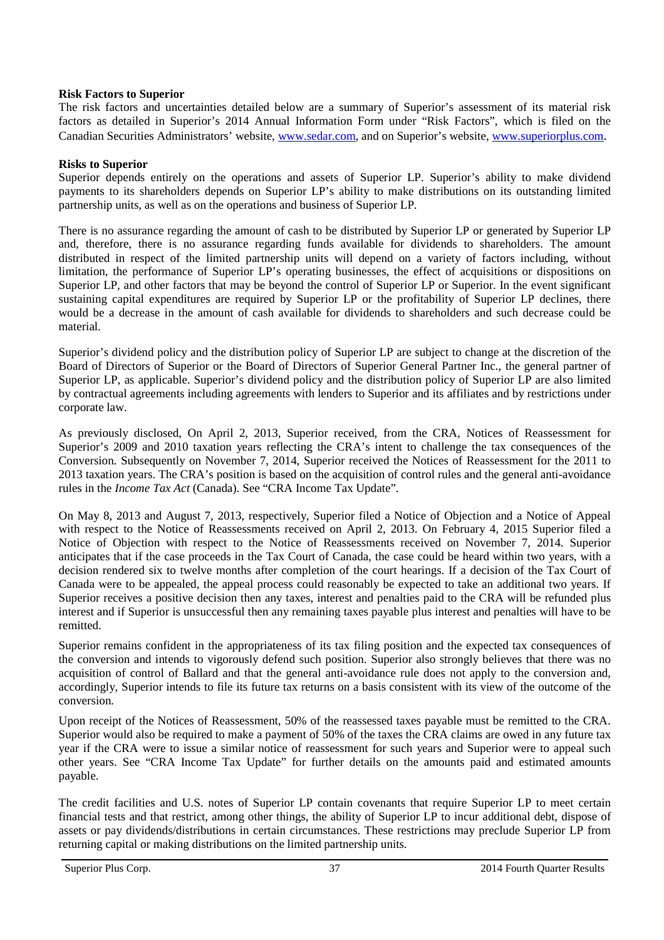### **Risk Factors to Superior**

The risk factors and uncertainties detailed below are a summary of Superior's assessment of its material risk factors as detailed in Superior's 2014 Annual Information Form under "Risk Factors", which is filed on the Canadian Securities Administrators' website, www.sedar.com, and on Superior's website, www.superiorplus.com.

### **Risks to Superior**

Superior depends entirely on the operations and assets of Superior LP. Superior's ability to make dividend payments to its shareholders depends on Superior LP's ability to make distributions on its outstanding limited partnership units, as well as on the operations and business of Superior LP.

There is no assurance regarding the amount of cash to be distributed by Superior LP or generated by Superior LP and, therefore, there is no assurance regarding funds available for dividends to shareholders. The amount distributed in respect of the limited partnership units will depend on a variety of factors including, without limitation, the performance of Superior LP's operating businesses, the effect of acquisitions or dispositions on Superior LP, and other factors that may be beyond the control of Superior LP or Superior. In the event significant sustaining capital expenditures are required by Superior LP or the profitability of Superior LP declines, there would be a decrease in the amount of cash available for dividends to shareholders and such decrease could be material.

Superior's dividend policy and the distribution policy of Superior LP are subject to change at the discretion of the Board of Directors of Superior or the Board of Directors of Superior General Partner Inc., the general partner of Superior LP, as applicable. Superior's dividend policy and the distribution policy of Superior LP are also limited by contractual agreements including agreements with lenders to Superior and its affiliates and by restrictions under corporate law.

As previously disclosed, On April 2, 2013, Superior received, from the CRA, Notices of Reassessment for Superior's 2009 and 2010 taxation years reflecting the CRA's intent to challenge the tax consequences of the Conversion. Subsequently on November 7, 2014, Superior received the Notices of Reassessment for the 2011 to 2013 taxation years. The CRA's position is based on the acquisition of control rules and the general anti-avoidance rules in the *Income Tax Act* (Canada). See "CRA Income Tax Update".

On May 8, 2013 and August 7, 2013, respectively, Superior filed a Notice of Objection and a Notice of Appeal with respect to the Notice of Reassessments received on April 2, 2013. On February 4, 2015 Superior filed a Notice of Objection with respect to the Notice of Reassessments received on November 7, 2014. Superior anticipates that if the case proceeds in the Tax Court of Canada, the case could be heard within two years, with a decision rendered six to twelve months after completion of the court hearings. If a decision of the Tax Court of Canada were to be appealed, the appeal process could reasonably be expected to take an additional two years. If Superior receives a positive decision then any taxes, interest and penalties paid to the CRA will be refunded plus interest and if Superior is unsuccessful then any remaining taxes payable plus interest and penalties will have to be remitted.

Superior remains confident in the appropriateness of its tax filing position and the expected tax consequences of the conversion and intends to vigorously defend such position. Superior also strongly believes that there was no acquisition of control of Ballard and that the general anti-avoidance rule does not apply to the conversion and, accordingly, Superior intends to file its future tax returns on a basis consistent with its view of the outcome of the conversion.

Upon receipt of the Notices of Reassessment, 50% of the reassessed taxes payable must be remitted to the CRA. Superior would also be required to make a payment of 50% of the taxes the CRA claims are owed in any future tax year if the CRA were to issue a similar notice of reassessment for such years and Superior were to appeal such other years. See "CRA Income Tax Update" for further details on the amounts paid and estimated amounts payable.

The credit facilities and U.S. notes of Superior LP contain covenants that require Superior LP to meet certain financial tests and that restrict, among other things, the ability of Superior LP to incur additional debt, dispose of assets or pay dividends/distributions in certain circumstances. These restrictions may preclude Superior LP from returning capital or making distributions on the limited partnership units.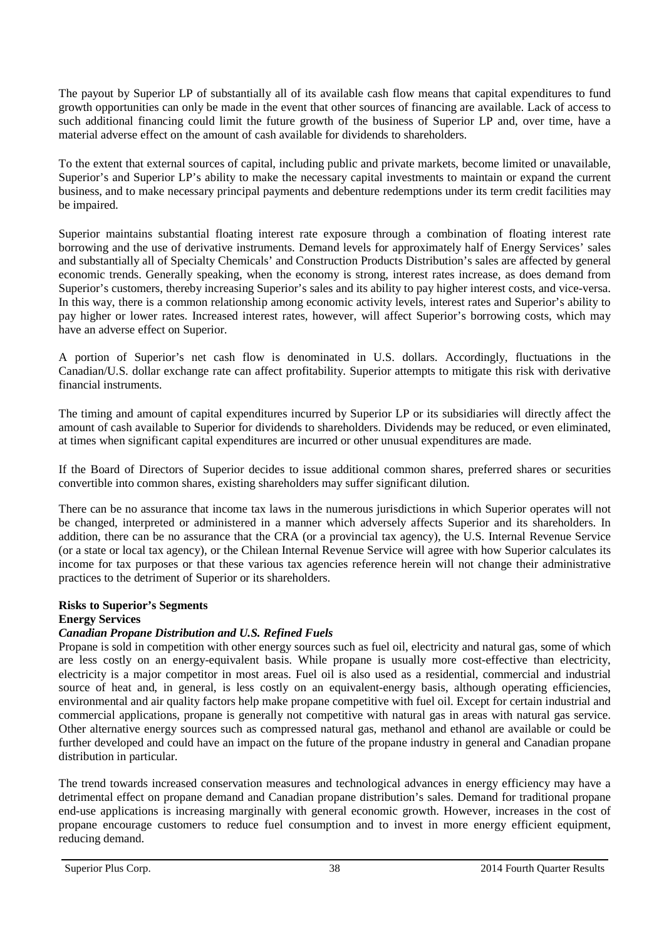The payout by Superior LP of substantially all of its available cash flow means that capital expenditures to fund growth opportunities can only be made in the event that other sources of financing are available. Lack of access to such additional financing could limit the future growth of the business of Superior LP and, over time, have a material adverse effect on the amount of cash available for dividends to shareholders.

To the extent that external sources of capital, including public and private markets, become limited or unavailable, Superior's and Superior LP's ability to make the necessary capital investments to maintain or expand the current business, and to make necessary principal payments and debenture redemptions under its term credit facilities may be impaired.

Superior maintains substantial floating interest rate exposure through a combination of floating interest rate borrowing and the use of derivative instruments. Demand levels for approximately half of Energy Services' sales and substantially all of Specialty Chemicals' and Construction Products Distribution's sales are affected by general economic trends. Generally speaking, when the economy is strong, interest rates increase, as does demand from Superior's customers, thereby increasing Superior's sales and its ability to pay higher interest costs, and vice-versa. In this way, there is a common relationship among economic activity levels, interest rates and Superior's ability to pay higher or lower rates. Increased interest rates, however, will affect Superior's borrowing costs, which may have an adverse effect on Superior.

A portion of Superior's net cash flow is denominated in U.S. dollars. Accordingly, fluctuations in the Canadian/U.S. dollar exchange rate can affect profitability. Superior attempts to mitigate this risk with derivative financial instruments.

The timing and amount of capital expenditures incurred by Superior LP or its subsidiaries will directly affect the amount of cash available to Superior for dividends to shareholders. Dividends may be reduced, or even eliminated, at times when significant capital expenditures are incurred or other unusual expenditures are made.

If the Board of Directors of Superior decides to issue additional common shares, preferred shares or securities convertible into common shares, existing shareholders may suffer significant dilution.

There can be no assurance that income tax laws in the numerous jurisdictions in which Superior operates will not be changed, interpreted or administered in a manner which adversely affects Superior and its shareholders. In addition, there can be no assurance that the CRA (or a provincial tax agency), the U.S. Internal Revenue Service (or a state or local tax agency), or the Chilean Internal Revenue Service will agree with how Superior calculates its income for tax purposes or that these various tax agencies reference herein will not change their administrative practices to the detriment of Superior or its shareholders.

## **Risks to Superior's Segments**

## **Energy Services**

## *Canadian Propane Distribution and U.S. Refined Fuels*

Propane is sold in competition with other energy sources such as fuel oil, electricity and natural gas, some of which are less costly on an energy-equivalent basis. While propane is usually more cost-effective than electricity, electricity is a major competitor in most areas. Fuel oil is also used as a residential, commercial and industrial source of heat and, in general, is less costly on an equivalent-energy basis, although operating efficiencies, environmental and air quality factors help make propane competitive with fuel oil. Except for certain industrial and commercial applications, propane is generally not competitive with natural gas in areas with natural gas service. Other alternative energy sources such as compressed natural gas, methanol and ethanol are available or could be further developed and could have an impact on the future of the propane industry in general and Canadian propane distribution in particular.

The trend towards increased conservation measures and technological advances in energy efficiency may have a detrimental effect on propane demand and Canadian propane distribution's sales. Demand for traditional propane end-use applications is increasing marginally with general economic growth. However, increases in the cost of propane encourage customers to reduce fuel consumption and to invest in more energy efficient equipment, reducing demand.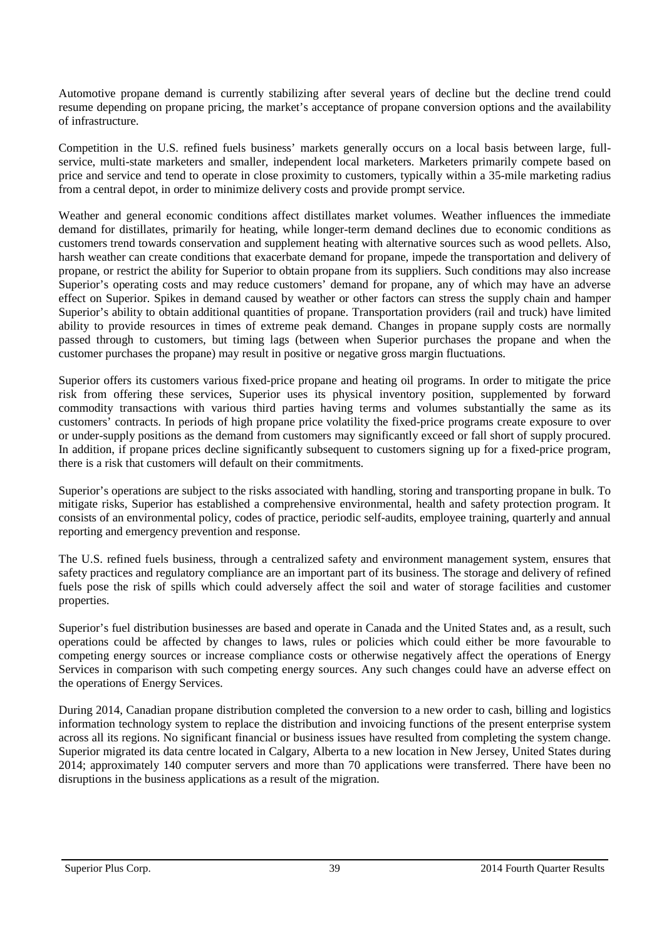Automotive propane demand is currently stabilizing after several years of decline but the decline trend could resume depending on propane pricing, the market's acceptance of propane conversion options and the availability of infrastructure.

Competition in the U.S. refined fuels business' markets generally occurs on a local basis between large, fullservice, multi-state marketers and smaller, independent local marketers. Marketers primarily compete based on price and service and tend to operate in close proximity to customers, typically within a 35-mile marketing radius from a central depot, in order to minimize delivery costs and provide prompt service.

Weather and general economic conditions affect distillates market volumes. Weather influences the immediate demand for distillates, primarily for heating, while longer-term demand declines due to economic conditions as customers trend towards conservation and supplement heating with alternative sources such as wood pellets. Also, harsh weather can create conditions that exacerbate demand for propane, impede the transportation and delivery of propane, or restrict the ability for Superior to obtain propane from its suppliers. Such conditions may also increase Superior's operating costs and may reduce customers' demand for propane, any of which may have an adverse effect on Superior. Spikes in demand caused by weather or other factors can stress the supply chain and hamper Superior's ability to obtain additional quantities of propane. Transportation providers (rail and truck) have limited ability to provide resources in times of extreme peak demand. Changes in propane supply costs are normally passed through to customers, but timing lags (between when Superior purchases the propane and when the customer purchases the propane) may result in positive or negative gross margin fluctuations.

Superior offers its customers various fixed-price propane and heating oil programs. In order to mitigate the price risk from offering these services, Superior uses its physical inventory position, supplemented by forward commodity transactions with various third parties having terms and volumes substantially the same as its customers' contracts. In periods of high propane price volatility the fixed-price programs create exposure to over or under-supply positions as the demand from customers may significantly exceed or fall short of supply procured. In addition, if propane prices decline significantly subsequent to customers signing up for a fixed-price program, there is a risk that customers will default on their commitments.

Superior's operations are subject to the risks associated with handling, storing and transporting propane in bulk. To mitigate risks, Superior has established a comprehensive environmental, health and safety protection program. It consists of an environmental policy, codes of practice, periodic self-audits, employee training, quarterly and annual reporting and emergency prevention and response.

The U.S. refined fuels business, through a centralized safety and environment management system, ensures that safety practices and regulatory compliance are an important part of its business. The storage and delivery of refined fuels pose the risk of spills which could adversely affect the soil and water of storage facilities and customer properties.

Superior's fuel distribution businesses are based and operate in Canada and the United States and, as a result, such operations could be affected by changes to laws, rules or policies which could either be more favourable to competing energy sources or increase compliance costs or otherwise negatively affect the operations of Energy Services in comparison with such competing energy sources. Any such changes could have an adverse effect on the operations of Energy Services.

During 2014, Canadian propane distribution completed the conversion to a new order to cash, billing and logistics information technology system to replace the distribution and invoicing functions of the present enterprise system across all its regions. No significant financial or business issues have resulted from completing the system change. Superior migrated its data centre located in Calgary, Alberta to a new location in New Jersey, United States during 2014; approximately 140 computer servers and more than 70 applications were transferred. There have been no disruptions in the business applications as a result of the migration.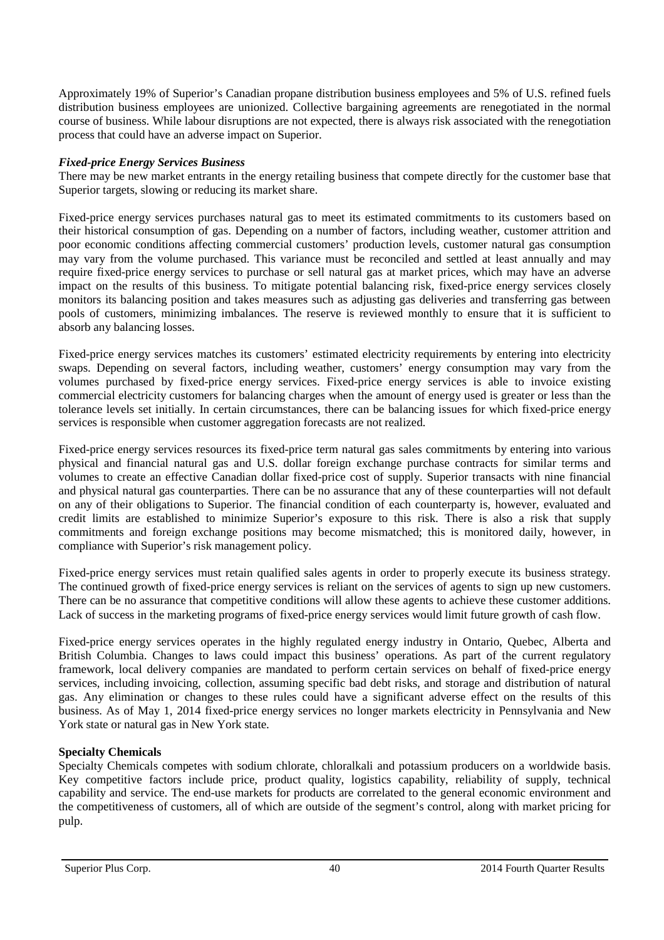Approximately 19% of Superior's Canadian propane distribution business employees and 5% of U.S. refined fuels distribution business employees are unionized. Collective bargaining agreements are renegotiated in the normal course of business. While labour disruptions are not expected, there is always risk associated with the renegotiation process that could have an adverse impact on Superior.

## *Fixed-price Energy Services Business*

There may be new market entrants in the energy retailing business that compete directly for the customer base that Superior targets, slowing or reducing its market share.

Fixed-price energy services purchases natural gas to meet its estimated commitments to its customers based on their historical consumption of gas. Depending on a number of factors, including weather, customer attrition and poor economic conditions affecting commercial customers' production levels, customer natural gas consumption may vary from the volume purchased. This variance must be reconciled and settled at least annually and may require fixed-price energy services to purchase or sell natural gas at market prices, which may have an adverse impact on the results of this business. To mitigate potential balancing risk, fixed-price energy services closely monitors its balancing position and takes measures such as adjusting gas deliveries and transferring gas between pools of customers, minimizing imbalances. The reserve is reviewed monthly to ensure that it is sufficient to absorb any balancing losses.

Fixed-price energy services matches its customers' estimated electricity requirements by entering into electricity swaps. Depending on several factors, including weather, customers' energy consumption may vary from the volumes purchased by fixed-price energy services. Fixed-price energy services is able to invoice existing commercial electricity customers for balancing charges when the amount of energy used is greater or less than the tolerance levels set initially. In certain circumstances, there can be balancing issues for which fixed-price energy services is responsible when customer aggregation forecasts are not realized.

Fixed-price energy services resources its fixed-price term natural gas sales commitments by entering into various physical and financial natural gas and U.S. dollar foreign exchange purchase contracts for similar terms and volumes to create an effective Canadian dollar fixed-price cost of supply. Superior transacts with nine financial and physical natural gas counterparties. There can be no assurance that any of these counterparties will not default on any of their obligations to Superior. The financial condition of each counterparty is, however, evaluated and credit limits are established to minimize Superior's exposure to this risk. There is also a risk that supply commitments and foreign exchange positions may become mismatched; this is monitored daily, however, in compliance with Superior's risk management policy.

Fixed-price energy services must retain qualified sales agents in order to properly execute its business strategy. The continued growth of fixed-price energy services is reliant on the services of agents to sign up new customers. There can be no assurance that competitive conditions will allow these agents to achieve these customer additions. Lack of success in the marketing programs of fixed-price energy services would limit future growth of cash flow.

Fixed-price energy services operates in the highly regulated energy industry in Ontario, Quebec, Alberta and British Columbia. Changes to laws could impact this business' operations. As part of the current regulatory framework, local delivery companies are mandated to perform certain services on behalf of fixed-price energy services, including invoicing, collection, assuming specific bad debt risks, and storage and distribution of natural gas. Any elimination or changes to these rules could have a significant adverse effect on the results of this business. As of May 1, 2014 fixed-price energy services no longer markets electricity in Pennsylvania and New York state or natural gas in New York state.

## **Specialty Chemicals**

Specialty Chemicals competes with sodium chlorate, chloralkali and potassium producers on a worldwide basis. Key competitive factors include price, product quality, logistics capability, reliability of supply, technical capability and service. The end-use markets for products are correlated to the general economic environment and the competitiveness of customers, all of which are outside of the segment's control, along with market pricing for pulp.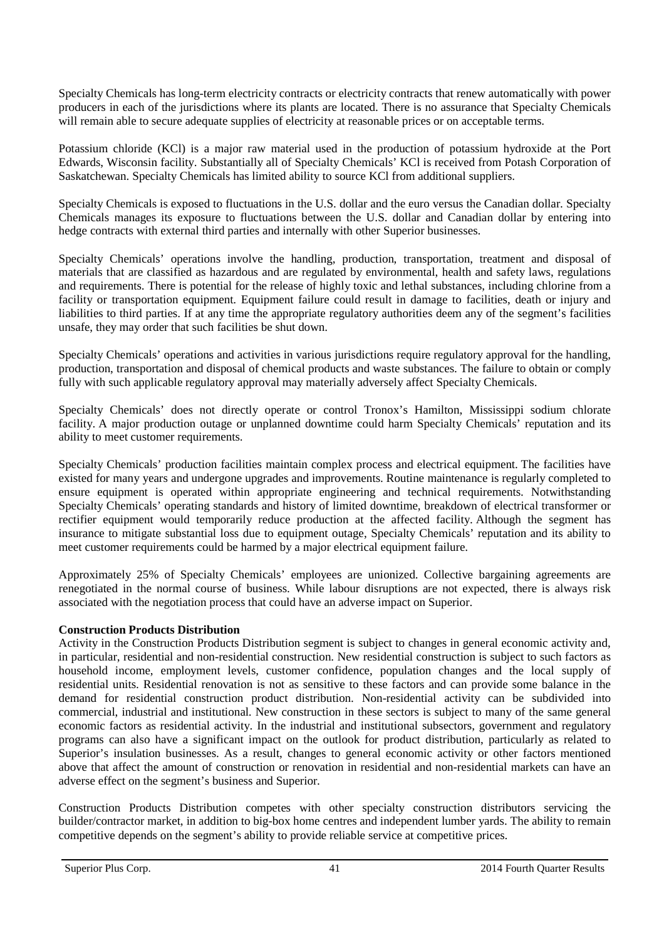Specialty Chemicals has long-term electricity contracts or electricity contracts that renew automatically with power producers in each of the jurisdictions where its plants are located. There is no assurance that Specialty Chemicals will remain able to secure adequate supplies of electricity at reasonable prices or on acceptable terms.

Potassium chloride (KCl) is a major raw material used in the production of potassium hydroxide at the Port Edwards, Wisconsin facility. Substantially all of Specialty Chemicals' KCl is received from Potash Corporation of Saskatchewan. Specialty Chemicals has limited ability to source KCl from additional suppliers.

Specialty Chemicals is exposed to fluctuations in the U.S. dollar and the euro versus the Canadian dollar. Specialty Chemicals manages its exposure to fluctuations between the U.S. dollar and Canadian dollar by entering into hedge contracts with external third parties and internally with other Superior businesses.

Specialty Chemicals' operations involve the handling, production, transportation, treatment and disposal of materials that are classified as hazardous and are regulated by environmental, health and safety laws, regulations and requirements. There is potential for the release of highly toxic and lethal substances, including chlorine from a facility or transportation equipment. Equipment failure could result in damage to facilities, death or injury and liabilities to third parties. If at any time the appropriate regulatory authorities deem any of the segment's facilities unsafe, they may order that such facilities be shut down.

Specialty Chemicals' operations and activities in various jurisdictions require regulatory approval for the handling, production, transportation and disposal of chemical products and waste substances. The failure to obtain or comply fully with such applicable regulatory approval may materially adversely affect Specialty Chemicals.

Specialty Chemicals' does not directly operate or control Tronox's Hamilton, Mississippi sodium chlorate facility. A major production outage or unplanned downtime could harm Specialty Chemicals' reputation and its ability to meet customer requirements.

Specialty Chemicals' production facilities maintain complex process and electrical equipment. The facilities have existed for many years and undergone upgrades and improvements. Routine maintenance is regularly completed to ensure equipment is operated within appropriate engineering and technical requirements. Notwithstanding Specialty Chemicals' operating standards and history of limited downtime, breakdown of electrical transformer or rectifier equipment would temporarily reduce production at the affected facility. Although the segment has insurance to mitigate substantial loss due to equipment outage, Specialty Chemicals' reputation and its ability to meet customer requirements could be harmed by a major electrical equipment failure.

Approximately 25% of Specialty Chemicals' employees are unionized. Collective bargaining agreements are renegotiated in the normal course of business. While labour disruptions are not expected, there is always risk associated with the negotiation process that could have an adverse impact on Superior.

## **Construction Products Distribution**

Activity in the Construction Products Distribution segment is subject to changes in general economic activity and, in particular, residential and non-residential construction. New residential construction is subject to such factors as household income, employment levels, customer confidence, population changes and the local supply of residential units. Residential renovation is not as sensitive to these factors and can provide some balance in the demand for residential construction product distribution. Non-residential activity can be subdivided into commercial, industrial and institutional. New construction in these sectors is subject to many of the same general economic factors as residential activity. In the industrial and institutional subsectors, government and regulatory programs can also have a significant impact on the outlook for product distribution, particularly as related to Superior's insulation businesses. As a result, changes to general economic activity or other factors mentioned above that affect the amount of construction or renovation in residential and non-residential markets can have an adverse effect on the segment's business and Superior.

Construction Products Distribution competes with other specialty construction distributors servicing the builder/contractor market, in addition to big-box home centres and independent lumber yards. The ability to remain competitive depends on the segment's ability to provide reliable service at competitive prices.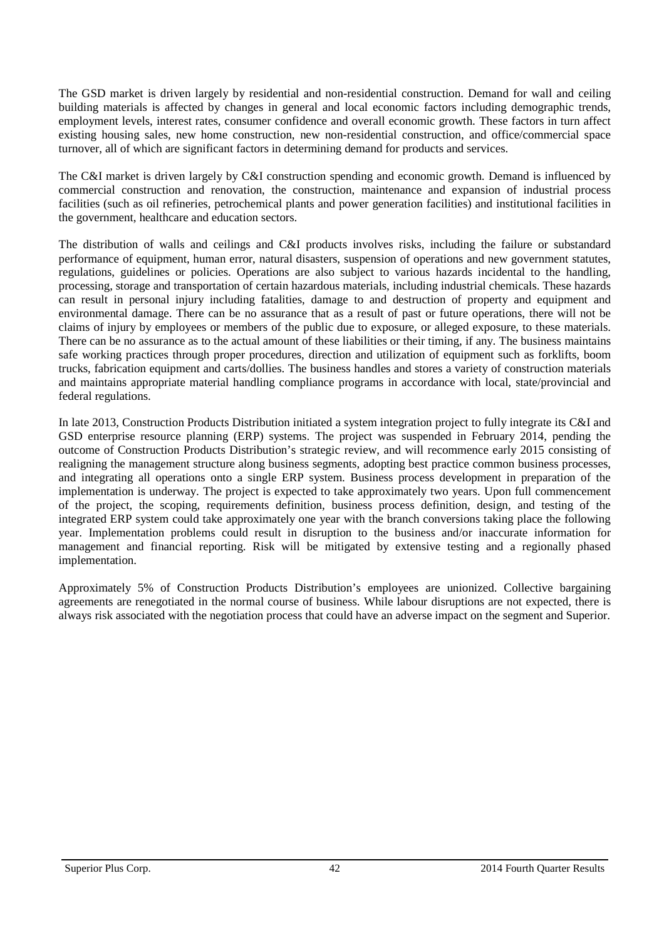The GSD market is driven largely by residential and non-residential construction. Demand for wall and ceiling building materials is affected by changes in general and local economic factors including demographic trends, employment levels, interest rates, consumer confidence and overall economic growth. These factors in turn affect existing housing sales, new home construction, new non-residential construction, and office/commercial space turnover, all of which are significant factors in determining demand for products and services.

The C&I market is driven largely by C&I construction spending and economic growth. Demand is influenced by commercial construction and renovation, the construction, maintenance and expansion of industrial process facilities (such as oil refineries, petrochemical plants and power generation facilities) and institutional facilities in the government, healthcare and education sectors.

The distribution of walls and ceilings and C&I products involves risks, including the failure or substandard performance of equipment, human error, natural disasters, suspension of operations and new government statutes, regulations, guidelines or policies. Operations are also subject to various hazards incidental to the handling, processing, storage and transportation of certain hazardous materials, including industrial chemicals. These hazards can result in personal injury including fatalities, damage to and destruction of property and equipment and environmental damage. There can be no assurance that as a result of past or future operations, there will not be claims of injury by employees or members of the public due to exposure, or alleged exposure, to these materials. There can be no assurance as to the actual amount of these liabilities or their timing, if any. The business maintains safe working practices through proper procedures, direction and utilization of equipment such as forklifts, boom trucks, fabrication equipment and carts/dollies. The business handles and stores a variety of construction materials and maintains appropriate material handling compliance programs in accordance with local, state/provincial and federal regulations.

In late 2013, Construction Products Distribution initiated a system integration project to fully integrate its C&I and GSD enterprise resource planning (ERP) systems. The project was suspended in February 2014, pending the outcome of Construction Products Distribution's strategic review, and will recommence early 2015 consisting of realigning the management structure along business segments, adopting best practice common business processes, and integrating all operations onto a single ERP system. Business process development in preparation of the implementation is underway. The project is expected to take approximately two years. Upon full commencement of the project, the scoping, requirements definition, business process definition, design, and testing of the integrated ERP system could take approximately one year with the branch conversions taking place the following year. Implementation problems could result in disruption to the business and/or inaccurate information for management and financial reporting. Risk will be mitigated by extensive testing and a regionally phased implementation.

Approximately 5% of Construction Products Distribution's employees are unionized. Collective bargaining agreements are renegotiated in the normal course of business. While labour disruptions are not expected, there is always risk associated with the negotiation process that could have an adverse impact on the segment and Superior.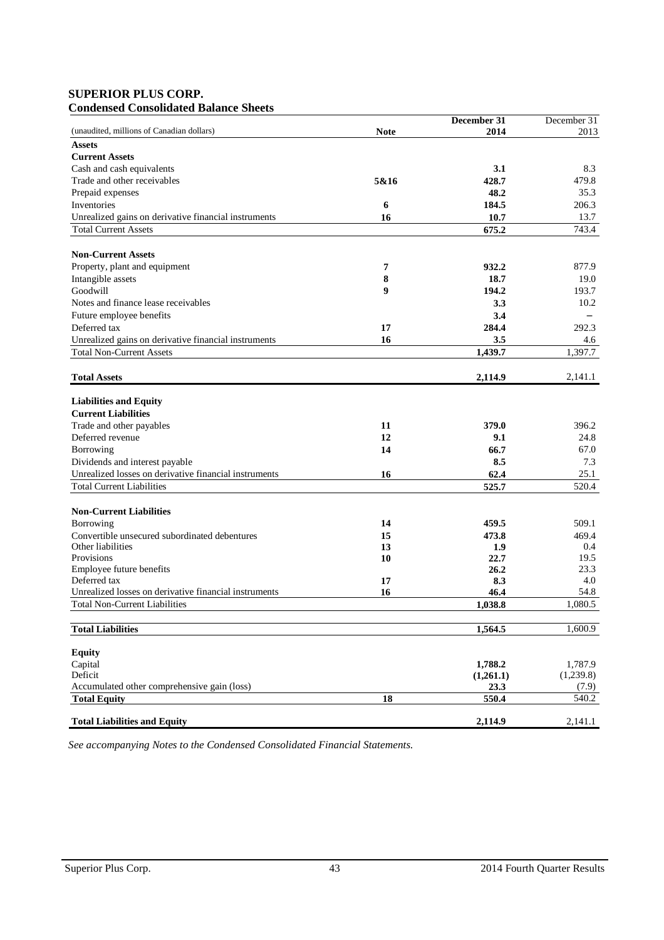### **SUPERIOR PLUS CORP. Condensed Consolidated Balance Sheets**

| Consonauteu Dununce Sheets                                 |             | December 31 | December 31       |
|------------------------------------------------------------|-------------|-------------|-------------------|
| (unaudited, millions of Canadian dollars)                  | <b>Note</b> | 2014        | 2013              |
| <b>Assets</b>                                              |             |             |                   |
| <b>Current Assets</b>                                      |             |             |                   |
| Cash and cash equivalents                                  |             | 3.1         | 8.3               |
| Trade and other receivables                                | 5&16        | 428.7       | 479.8             |
| Prepaid expenses                                           |             | 48.2        | 35.3              |
| Inventories                                                | 6           | 184.5       | 206.3             |
| Unrealized gains on derivative financial instruments       | 16          | 10.7        | 13.7              |
| <b>Total Current Assets</b>                                |             | 675.2       | 743.4             |
|                                                            |             |             |                   |
| <b>Non-Current Assets</b><br>Property, plant and equipment |             | 932.2       | 877.9             |
| Intangible assets                                          | 7<br>8      | 18.7        | 19.0              |
| Goodwill                                                   | 9           | 194.2       | 193.7             |
| Notes and finance lease receivables                        |             | 3.3         | 10.2              |
|                                                            |             | 3.4         | $\qquad \qquad -$ |
| Future employee benefits<br>Deferred tax                   | 17          | 284.4       | 292.3             |
| Unrealized gains on derivative financial instruments       | 16          | 3.5         | 4.6               |
| <b>Total Non-Current Assets</b>                            |             | 1,439.7     | 1,397.7           |
|                                                            |             |             |                   |
| <b>Total Assets</b>                                        |             | 2,114.9     | 2,141.1           |
| <b>Liabilities and Equity</b>                              |             |             |                   |
| <b>Current Liabilities</b>                                 |             |             |                   |
| Trade and other payables                                   | 11          | 379.0       | 396.2             |
| Deferred revenue                                           | 12          | 9.1         | 24.8              |
| Borrowing                                                  | 14          | 66.7        | 67.0              |
| Dividends and interest payable                             |             | 8.5         | 7.3               |
| Unrealized losses on derivative financial instruments      | 16          | 62.4        | 25.1              |
| <b>Total Current Liabilities</b>                           |             | 525.7       | 520.4             |
| <b>Non-Current Liabilities</b>                             |             |             |                   |
| Borrowing                                                  | 14          | 459.5       | 509.1             |
| Convertible unsecured subordinated debentures              | 15          | 473.8       | 469.4             |
| Other liabilities                                          | 13          | 1.9         | 0.4               |
| Provisions                                                 | 10          | 22.7        | 19.5              |
| Employee future benefits                                   |             | 26.2        | 23.3              |
| Deferred tax                                               | 17          | 8.3         | 4.0               |
| Unrealized losses on derivative financial instruments      | 16          | 46.4        | 54.8              |
| <b>Total Non-Current Liabilities</b>                       |             | 1,038.8     | 1,080.5           |
|                                                            |             |             |                   |
| <b>Total Liabilities</b>                                   |             | 1,564.5     | 1,600.9           |
| <b>Equity</b>                                              |             |             |                   |
| Capital                                                    |             | 1,788.2     | 1,787.9           |
| Deficit                                                    |             | (1,261.1)   | (1,239.8)         |
| Accumulated other comprehensive gain (loss)                | 18          | 23.3        | (7.9)<br>540.2    |
| <b>Total Equity</b>                                        |             | 550.4       |                   |
| <b>Total Liabilities and Equity</b>                        |             | 2,114.9     | 2,141.1           |

*See accompanying Notes to the Condensed Consolidated Financial Statements.*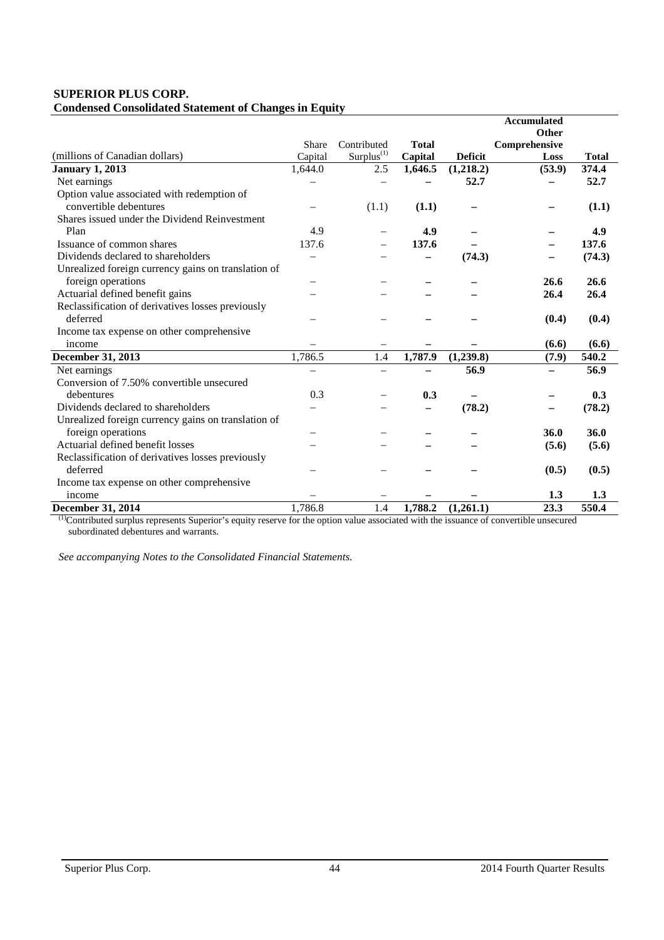### **SUPERIOR PLUS CORP. Condensed Consolidated Statement of Changes in Equity**

|                                                     |                  |                                       |                          |                | <b>Accumulated</b> |              |
|-----------------------------------------------------|------------------|---------------------------------------|--------------------------|----------------|--------------------|--------------|
|                                                     |                  |                                       |                          |                | Other              |              |
| (millions of Canadian dollars)                      | Share<br>Capital | Contributed<br>Surplus <sup>(1)</sup> | <b>Total</b>             | <b>Deficit</b> | Comprehensive      | <b>Total</b> |
|                                                     |                  |                                       | Capital                  |                | Loss               |              |
| <b>January 1, 2013</b>                              | 1,644.0          | 2.5                                   | 1,646.5                  | (1,218.2)      | (53.9)             | 374.4        |
| Net earnings                                        |                  |                                       |                          | 52.7           |                    | 52.7         |
| Option value associated with redemption of          |                  |                                       |                          |                |                    |              |
| convertible debentures                              |                  | (1.1)                                 | (1.1)                    |                |                    | (1.1)        |
| Shares issued under the Dividend Reinvestment       |                  |                                       |                          |                |                    |              |
| Plan                                                | 4.9              |                                       | 4.9                      |                |                    | 4.9          |
| Issuance of common shares                           | 137.6            |                                       | 137.6                    |                |                    | 137.6        |
| Dividends declared to shareholders                  |                  |                                       | $\overline{\phantom{0}}$ | (74.3)         |                    | (74.3)       |
| Unrealized foreign currency gains on translation of |                  |                                       |                          |                |                    |              |
| foreign operations                                  |                  |                                       |                          |                | 26.6               | 26.6         |
| Actuarial defined benefit gains                     |                  |                                       |                          |                | 26.4               | 26.4         |
| Reclassification of derivatives losses previously   |                  |                                       |                          |                |                    |              |
| deferred                                            |                  |                                       |                          |                | (0.4)              | (0.4)        |
| Income tax expense on other comprehensive           |                  |                                       |                          |                |                    |              |
| income                                              |                  |                                       |                          |                | (6.6)              | (6.6)        |
| December 31, 2013                                   | 1,786.5          | 1.4                                   | 1,787.9                  | (1,239.8)      | (7.9)              | 540.2        |
| Net earnings                                        |                  |                                       |                          | 56.9           |                    | 56.9         |
| Conversion of 7.50% convertible unsecured           |                  |                                       |                          |                |                    |              |
| debentures                                          | 0.3              |                                       | 0.3                      |                |                    | 0.3          |
| Dividends declared to shareholders                  |                  |                                       | $\overline{\phantom{0}}$ | (78.2)         |                    | (78.2)       |
| Unrealized foreign currency gains on translation of |                  |                                       |                          |                |                    |              |
| foreign operations                                  |                  |                                       |                          |                | 36.0               | 36.0         |
| Actuarial defined benefit losses                    |                  |                                       |                          |                | (5.6)              | (5.6)        |
| Reclassification of derivatives losses previously   |                  |                                       |                          |                |                    |              |
| deferred                                            |                  |                                       |                          |                | (0.5)              | (0.5)        |
| Income tax expense on other comprehensive           |                  |                                       |                          |                |                    |              |
| income                                              |                  |                                       |                          |                | 1.3                | 1.3          |
| December 31, 2014                                   | 1,786.8          | 1.4                                   | 1,788.2                  | (1,261.1)      | 23.3               | 550.4        |

 $<sup>(1)</sup>$ Contributed surplus represents Superior's equity reserve for the option value associated with the issuance of convertible unsecured</sup> subordinated debentures and warrants.

*See accompanying Notes to the Consolidated Financial Statements.*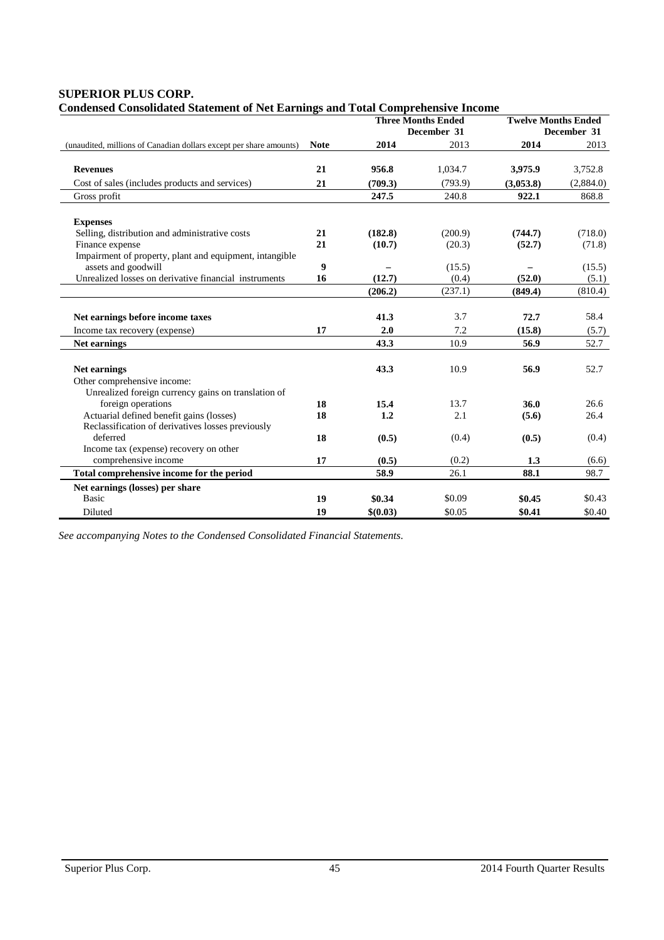# **SUPERIOR PLUS CORP.**

|                                                                                    |             |          | <b>Three Months Ended</b> | <b>Twelve Months Ended</b> |             |
|------------------------------------------------------------------------------------|-------------|----------|---------------------------|----------------------------|-------------|
|                                                                                    |             |          | December 31               |                            | December 31 |
| (unaudited, millions of Canadian dollars except per share amounts)                 | <b>Note</b> | 2014     | 2013                      | 2014                       | 2013        |
| <b>Revenues</b>                                                                    | 21          | 956.8    | 1,034.7                   | 3,975.9                    | 3,752.8     |
| Cost of sales (includes products and services)                                     | 21          | (709.3)  | (793.9)                   | (3,053.8)                  | (2,884.0)   |
| Gross profit                                                                       |             | 247.5    | 240.8                     | 922.1                      | 868.8       |
| <b>Expenses</b>                                                                    |             |          |                           |                            |             |
| Selling, distribution and administrative costs                                     | 21          | (182.8)  | (200.9)                   | (744.7)                    | (718.0)     |
| Finance expense                                                                    | 21          | (10.7)   | (20.3)                    | (52.7)                     | (71.8)      |
| Impairment of property, plant and equipment, intangible                            |             |          |                           |                            |             |
| assets and goodwill<br>Unrealized losses on derivative financial instruments       | 9           |          | (15.5)                    |                            | (15.5)      |
|                                                                                    | 16          | (12.7)   | (0.4)                     | (52.0)                     | (5.1)       |
|                                                                                    |             | (206.2)  | (237.1)                   | (849.4)                    | (810.4)     |
| Net earnings before income taxes                                                   |             | 41.3     | 3.7                       | 72.7                       | 58.4        |
| Income tax recovery (expense)                                                      | 17          | 2.0      | 7.2                       | (15.8)                     | (5.7)       |
| Net earnings                                                                       |             | 43.3     | 10.9                      | 56.9                       | 52.7        |
| Net earnings                                                                       |             | 43.3     | 10.9                      | 56.9                       | 52.7        |
| Other comprehensive income:<br>Unrealized foreign currency gains on translation of |             |          |                           |                            |             |
| foreign operations                                                                 | 18          | 15.4     | 13.7                      | 36.0                       | 26.6        |
| Actuarial defined benefit gains (losses)                                           | 18          | 1.2      | 2.1                       | (5.6)                      | 26.4        |
| Reclassification of derivatives losses previously                                  |             |          |                           |                            |             |
| deferred                                                                           | 18          | (0.5)    | (0.4)                     | (0.5)                      | (0.4)       |
| Income tax (expense) recovery on other<br>comprehensive income                     | 17          | (0.5)    | (0.2)                     | 1.3                        | (6.6)       |
| Total comprehensive income for the period                                          |             | 58.9     | 26.1                      | 88.1                       | 98.7        |
| Net earnings (losses) per share                                                    |             |          |                           |                            |             |
| <b>Basic</b>                                                                       | 19          | \$0.34   | \$0.09                    | \$0.45                     | \$0.43      |
| Diluted                                                                            | 19          | \$(0.03) | \$0.05                    | \$0.41                     | \$0.40      |

**Condensed Consolidated Statement of Net Earnings and Total Comprehensive Income** 

*See accompanying Notes to the Condensed Consolidated Financial Statements.*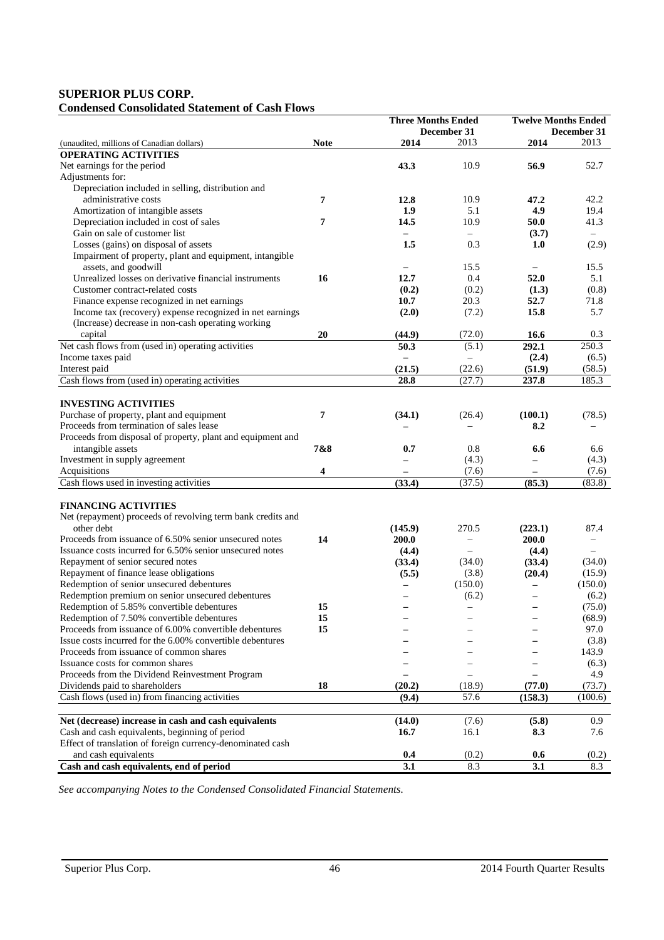## **SUPERIOR PLUS CORP. Condensed Consolidated Statement of Cash Flows**

|                                                             |             |                          | <b>Three Months Ended</b> |                          | <b>Twelve Months Ended</b> |  |
|-------------------------------------------------------------|-------------|--------------------------|---------------------------|--------------------------|----------------------------|--|
|                                                             |             |                          | December 31               |                          | December 31                |  |
| (unaudited, millions of Canadian dollars)                   | <b>Note</b> | 2014                     | 2013                      | 2014                     | 2013                       |  |
| <b>OPERATING ACTIVITIES</b>                                 |             |                          |                           |                          |                            |  |
| Net earnings for the period                                 |             | 43.3                     | 10.9                      | 56.9                     | 52.7                       |  |
| Adjustments for:                                            |             |                          |                           |                          |                            |  |
| Depreciation included in selling, distribution and          |             |                          |                           |                          |                            |  |
| administrative costs                                        | 7           | 12.8                     | 10.9                      | 47.2                     | 42.2                       |  |
| Amortization of intangible assets                           |             | 1.9                      | 5.1                       | 4.9                      | 19.4                       |  |
| Depreciation included in cost of sales                      | 7           | 14.5                     | 10.9                      | 50.0                     | 41.3                       |  |
| Gain on sale of customer list                               |             | -                        | $\overline{\phantom{0}}$  | (3.7)                    | $-$                        |  |
| Losses (gains) on disposal of assets                        |             | 1.5                      | 0.3                       | 1.0                      | (2.9)                      |  |
| Impairment of property, plant and equipment, intangible     |             |                          |                           |                          |                            |  |
| assets, and goodwill                                        |             |                          | 15.5                      |                          | 15.5                       |  |
| Unrealized losses on derivative financial instruments       | 16          | 12.7                     | 0.4                       | 52.0                     | 5.1                        |  |
| Customer contract-related costs                             |             | (0.2)                    | (0.2)                     | (1.3)                    | (0.8)                      |  |
| Finance expense recognized in net earnings                  |             | 10.7                     | 20.3                      | 52.7                     | 71.8                       |  |
| Income tax (recovery) expense recognized in net earnings    |             | (2.0)                    | (7.2)                     | 15.8                     | 5.7                        |  |
| (Increase) decrease in non-cash operating working           |             |                          |                           |                          |                            |  |
| capital                                                     | 20          | (44.9)                   | (72.0)                    | 16.6                     | 0.3                        |  |
| Net cash flows from (used in) operating activities          |             | 50.3                     | (5.1)                     | 292.1                    | 250.3                      |  |
| Income taxes paid                                           |             | $\overline{\phantom{0}}$ | $\overline{\phantom{0}}$  | (2.4)                    | (6.5)                      |  |
| Interest paid                                               |             | (21.5)                   | (22.6)                    | (51.9)                   | (58.5)                     |  |
| Cash flows from (used in) operating activities              |             | 28.8                     | (27.7)                    | 237.8                    | 185.3                      |  |
|                                                             |             |                          |                           |                          |                            |  |
| <b>INVESTING ACTIVITIES</b>                                 |             |                          |                           |                          |                            |  |
| Purchase of property, plant and equipment                   | 7           | (34.1)                   | (26.4)                    | (100.1)                  | (78.5)                     |  |
| Proceeds from termination of sales lease                    |             |                          |                           | 8.2                      |                            |  |
| Proceeds from disposal of property, plant and equipment and |             |                          |                           |                          |                            |  |
| intangible assets                                           | 7&8         | 0.7                      | 0.8                       | 6.6                      | 6.6                        |  |
| Investment in supply agreement                              |             | $\overline{\phantom{0}}$ | (4.3)                     | $\overline{\phantom{0}}$ | (4.3)                      |  |
| Acquisitions                                                | 4           | $\overline{\phantom{0}}$ | (7.6)                     |                          | (7.6)                      |  |
| Cash flows used in investing activities                     |             | (33.4)                   | (37.5)                    | (85.3)                   | (83.8)                     |  |
|                                                             |             |                          |                           |                          |                            |  |
| <b>FINANCING ACTIVITIES</b>                                 |             |                          |                           |                          |                            |  |
| Net (repayment) proceeds of revolving term bank credits and |             |                          |                           |                          |                            |  |
| other debt                                                  |             | (145.9)                  | 270.5                     | (223.1)                  | 87.4                       |  |
| Proceeds from issuance of 6.50% senior unsecured notes      | 14          | <b>200.0</b>             | $\overline{\phantom{0}}$  | 200.0                    | $\overline{\phantom{m}}$   |  |
| Issuance costs incurred for 6.50% senior unsecured notes    |             | (4.4)                    |                           | (4.4)                    |                            |  |
| Repayment of senior secured notes                           |             | (33.4)                   | (34.0)                    | (33.4)                   | (34.0)                     |  |
| Repayment of finance lease obligations                      |             | (5.5)                    | (3.8)                     | (20.4)                   | (15.9)                     |  |
| Redemption of senior unsecured debentures                   |             | -                        | (150.0)                   | $\overline{\phantom{0}}$ | (150.0)                    |  |
| Redemption premium on senior unsecured debentures           |             |                          | (6.2)                     |                          | (6.2)                      |  |
| Redemption of 5.85% convertible debentures                  | 15          |                          |                           |                          | (75.0)                     |  |
| Redemption of 7.50% convertible debentures                  | 15          |                          |                           |                          | (68.9)                     |  |
| Proceeds from issuance of 6.00% convertible debentures      | 15          |                          |                           |                          | 97.0                       |  |
| Issue costs incurred for the 6.00% convertible debentures   |             |                          |                           |                          | (3.8)                      |  |
| Proceeds from issuance of common shares                     |             |                          |                           |                          | 143.9                      |  |
| Issuance costs for common shares                            |             |                          |                           |                          | (6.3)                      |  |
| Proceeds from the Dividend Reinvestment Program             |             |                          |                           | $\overline{\phantom{0}}$ | 4.9                        |  |
| Dividends paid to shareholders                              | 18          | (20.2)                   | (18.9)                    | (77.0)                   | (73.7)                     |  |
| Cash flows (used in) from financing activities              |             | (9.4)                    | 57.6                      | (158.3)                  | (100.6)                    |  |
|                                                             |             |                          |                           |                          |                            |  |
| Net (decrease) increase in cash and cash equivalents        |             | (14.0)                   | (7.6)                     | (5.8)                    | 0.9                        |  |
| Cash and cash equivalents, beginning of period              |             | 16.7                     | 16.1                      | 8.3                      | 7.6                        |  |
| Effect of translation of foreign currency-denominated cash  |             |                          |                           |                          |                            |  |
| and cash equivalents                                        |             | 0.4                      | (0.2)                     | 0.6                      | (0.2)                      |  |
| Cash and cash equivalents, end of period                    |             | 3.1                      | 8.3                       | 3.1                      | 8.3                        |  |

*See accompanying Notes to the Condensed Consolidated Financial Statements.*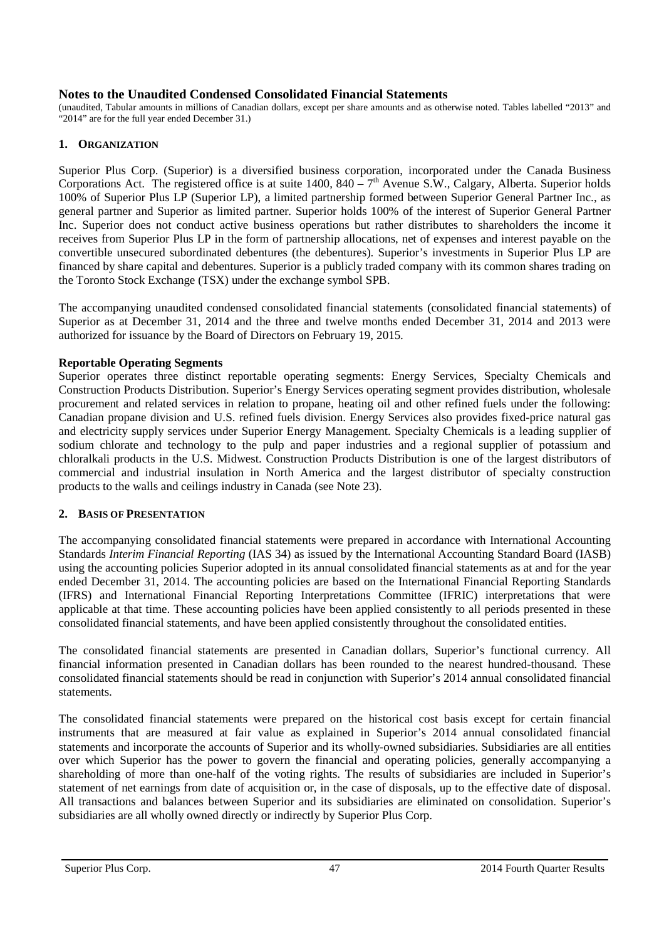## **Notes to the Unaudited Condensed Consolidated Financial Statements**

(unaudited, Tabular amounts in millions of Canadian dollars, except per share amounts and as otherwise noted. Tables labelled "2013" and "2014" are for the full year ended December 31.)

### **1. ORGANIZATION**

Superior Plus Corp. (Superior) is a diversified business corporation, incorporated under the Canada Business Corporations Act. The registered office is at suite 1400,  $840 - 7<sup>th</sup>$  Avenue S.W., Calgary, Alberta. Superior holds 100% of Superior Plus LP (Superior LP), a limited partnership formed between Superior General Partner Inc., as general partner and Superior as limited partner. Superior holds 100% of the interest of Superior General Partner Inc. Superior does not conduct active business operations but rather distributes to shareholders the income it receives from Superior Plus LP in the form of partnership allocations, net of expenses and interest payable on the convertible unsecured subordinated debentures (the debentures). Superior's investments in Superior Plus LP are financed by share capital and debentures. Superior is a publicly traded company with its common shares trading on the Toronto Stock Exchange (TSX) under the exchange symbol SPB.

The accompanying unaudited condensed consolidated financial statements (consolidated financial statements) of Superior as at December 31, 2014 and the three and twelve months ended December 31, 2014 and 2013 were authorized for issuance by the Board of Directors on February 19, 2015.

### **Reportable Operating Segments**

Superior operates three distinct reportable operating segments: Energy Services, Specialty Chemicals and Construction Products Distribution. Superior's Energy Services operating segment provides distribution, wholesale procurement and related services in relation to propane, heating oil and other refined fuels under the following: Canadian propane division and U.S. refined fuels division. Energy Services also provides fixed-price natural gas and electricity supply services under Superior Energy Management. Specialty Chemicals is a leading supplier of sodium chlorate and technology to the pulp and paper industries and a regional supplier of potassium and chloralkali products in the U.S. Midwest. Construction Products Distribution is one of the largest distributors of commercial and industrial insulation in North America and the largest distributor of specialty construction products to the walls and ceilings industry in Canada (see Note 23).

### **2. BASIS OF PRESENTATION**

The accompanying consolidated financial statements were prepared in accordance with International Accounting Standards *Interim Financial Reporting* (IAS 34) as issued by the International Accounting Standard Board (IASB) using the accounting policies Superior adopted in its annual consolidated financial statements as at and for the year ended December 31, 2014. The accounting policies are based on the International Financial Reporting Standards (IFRS) and International Financial Reporting Interpretations Committee (IFRIC) interpretations that were applicable at that time. These accounting policies have been applied consistently to all periods presented in these consolidated financial statements, and have been applied consistently throughout the consolidated entities.

The consolidated financial statements are presented in Canadian dollars, Superior's functional currency. All financial information presented in Canadian dollars has been rounded to the nearest hundred-thousand. These consolidated financial statements should be read in conjunction with Superior's 2014 annual consolidated financial statements.

The consolidated financial statements were prepared on the historical cost basis except for certain financial instruments that are measured at fair value as explained in Superior's 2014 annual consolidated financial statements and incorporate the accounts of Superior and its wholly-owned subsidiaries. Subsidiaries are all entities over which Superior has the power to govern the financial and operating policies, generally accompanying a shareholding of more than one-half of the voting rights. The results of subsidiaries are included in Superior's statement of net earnings from date of acquisition or, in the case of disposals, up to the effective date of disposal. All transactions and balances between Superior and its subsidiaries are eliminated on consolidation. Superior's subsidiaries are all wholly owned directly or indirectly by Superior Plus Corp.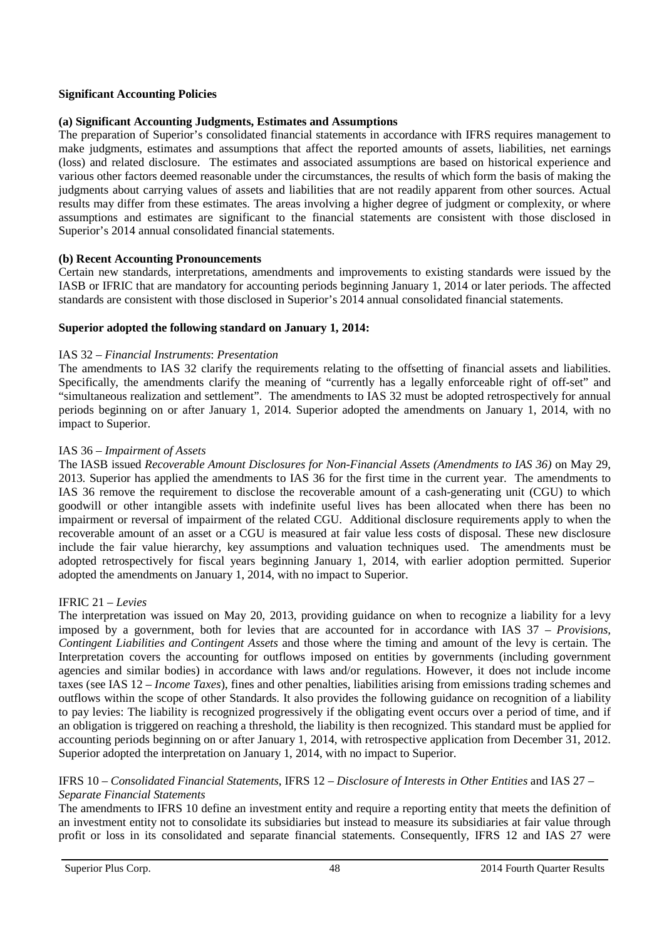## **Significant Accounting Policies**

## **(a) Significant Accounting Judgments, Estimates and Assumptions**

The preparation of Superior's consolidated financial statements in accordance with IFRS requires management to make judgments, estimates and assumptions that affect the reported amounts of assets, liabilities, net earnings (loss) and related disclosure. The estimates and associated assumptions are based on historical experience and various other factors deemed reasonable under the circumstances, the results of which form the basis of making the judgments about carrying values of assets and liabilities that are not readily apparent from other sources. Actual results may differ from these estimates. The areas involving a higher degree of judgment or complexity, or where assumptions and estimates are significant to the financial statements are consistent with those disclosed in Superior's 2014 annual consolidated financial statements.

## **(b) Recent Accounting Pronouncements**

Certain new standards, interpretations, amendments and improvements to existing standards were issued by the IASB or IFRIC that are mandatory for accounting periods beginning January 1, 2014 or later periods. The affected standards are consistent with those disclosed in Superior's 2014 annual consolidated financial statements.

## **Superior adopted the following standard on January 1, 2014:**

## IAS 32 *– Financial Instruments*: *Presentation*

The amendments to IAS 32 clarify the requirements relating to the offsetting of financial assets and liabilities. Specifically, the amendments clarify the meaning of "currently has a legally enforceable right of off-set" and "simultaneous realization and settlement". The amendments to IAS 32 must be adopted retrospectively for annual periods beginning on or after January 1, 2014. Superior adopted the amendments on January 1, 2014, with no impact to Superior.

## IAS 36 *– Impairment of Assets*

The IASB issued *Recoverable Amount Disclosures for Non-Financial Assets (Amendments to IAS 36)* on May 29, 2013. Superior has applied the amendments to IAS 36 for the first time in the current year. The amendments to IAS 36 remove the requirement to disclose the recoverable amount of a cash-generating unit (CGU) to which goodwill or other intangible assets with indefinite useful lives has been allocated when there has been no impairment or reversal of impairment of the related CGU. Additional disclosure requirements apply to when the recoverable amount of an asset or a CGU is measured at fair value less costs of disposal. These new disclosure include the fair value hierarchy, key assumptions and valuation techniques used. The amendments must be adopted retrospectively for fiscal years beginning January 1, 2014, with earlier adoption permitted. Superior adopted the amendments on January 1, 2014, with no impact to Superior.

## IFRIC 21 *– Levies*

The interpretation was issued on May 20, 2013, providing guidance on when to recognize a liability for a levy imposed by a government, both for levies that are accounted for in accordance with IAS 37 – *Provisions, Contingent Liabilities and Contingent Assets* and those where the timing and amount of the levy is certain. The Interpretation covers the accounting for outflows imposed on entities by governments (including government agencies and similar bodies) in accordance with laws and/or regulations. However, it does not include income taxes (see IAS 12 – *Income Taxes*), fines and other penalties, liabilities arising from emissions trading schemes and outflows within the scope of other Standards. It also provides the following guidance on recognition of a liability to pay levies: The liability is recognized progressively if the obligating event occurs over a period of time, and if an obligation is triggered on reaching a threshold, the liability is then recognized. This standard must be applied for accounting periods beginning on or after January 1, 2014, with retrospective application from December 31, 2012. Superior adopted the interpretation on January 1, 2014, with no impact to Superior.

### IFRS 10 – *Consolidated Financial Statements*, IFRS 12 – *Disclosure of Interests in Other Entities* and IAS 27 – *Separate Financial Statements*

The amendments to IFRS 10 define an investment entity and require a reporting entity that meets the definition of an investment entity not to consolidate its subsidiaries but instead to measure its subsidiaries at fair value through profit or loss in its consolidated and separate financial statements. Consequently, IFRS 12 and IAS 27 were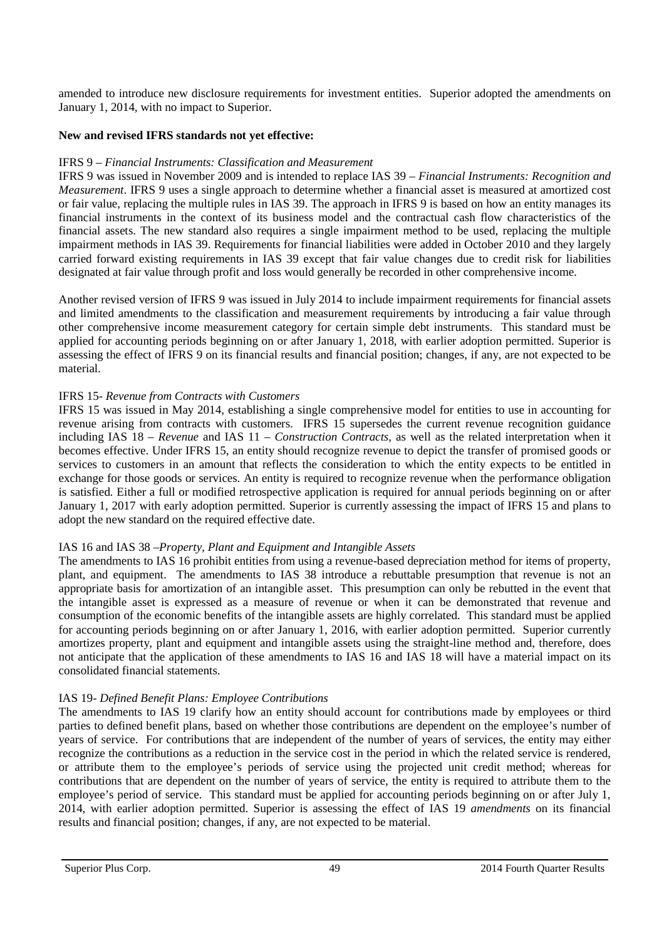amended to introduce new disclosure requirements for investment entities. Superior adopted the amendments on January 1, 2014, with no impact to Superior.

### **New and revised IFRS standards not yet effective:**

### IFRS 9 – *Financial Instruments: Classification and Measurement*

IFRS 9 was issued in November 2009 and is intended to replace IAS 39 – *Financial Instruments: Recognition and Measurement*. IFRS 9 uses a single approach to determine whether a financial asset is measured at amortized cost or fair value, replacing the multiple rules in IAS 39. The approach in IFRS 9 is based on how an entity manages its financial instruments in the context of its business model and the contractual cash flow characteristics of the financial assets. The new standard also requires a single impairment method to be used, replacing the multiple impairment methods in IAS 39. Requirements for financial liabilities were added in October 2010 and they largely carried forward existing requirements in IAS 39 except that fair value changes due to credit risk for liabilities designated at fair value through profit and loss would generally be recorded in other comprehensive income.

Another revised version of IFRS 9 was issued in July 2014 to include impairment requirements for financial assets and limited amendments to the classification and measurement requirements by introducing a fair value through other comprehensive income measurement category for certain simple debt instruments. This standard must be applied for accounting periods beginning on or after January 1, 2018, with earlier adoption permitted. Superior is assessing the effect of IFRS 9 on its financial results and financial position; changes, if any, are not expected to be material.

## IFRS 15- *Revenue from Contracts with Customers*

IFRS 15 was issued in May 2014, establishing a single comprehensive model for entities to use in accounting for revenue arising from contracts with customers. IFRS 15 supersedes the current revenue recognition guidance including IAS 18 – *Revenue* and IAS 11 – *Construction Contracts*, as well as the related interpretation when it becomes effective. Under IFRS 15, an entity should recognize revenue to depict the transfer of promised goods or services to customers in an amount that reflects the consideration to which the entity expects to be entitled in exchange for those goods or services. An entity is required to recognize revenue when the performance obligation is satisfied. Either a full or modified retrospective application is required for annual periods beginning on or after January 1, 2017 with early adoption permitted. Superior is currently assessing the impact of IFRS 15 and plans to adopt the new standard on the required effective date.

## IAS 16 and IAS 38 –*Property, Plant and Equipment and Intangible Assets*

The amendments to IAS 16 prohibit entities from using a revenue-based depreciation method for items of property, plant, and equipment. The amendments to IAS 38 introduce a rebuttable presumption that revenue is not an appropriate basis for amortization of an intangible asset. This presumption can only be rebutted in the event that the intangible asset is expressed as a measure of revenue or when it can be demonstrated that revenue and consumption of the economic benefits of the intangible assets are highly correlated. This standard must be applied for accounting periods beginning on or after January 1, 2016, with earlier adoption permitted. Superior currently amortizes property, plant and equipment and intangible assets using the straight-line method and, therefore, does not anticipate that the application of these amendments to IAS 16 and IAS 18 will have a material impact on its consolidated financial statements.

## IAS 19- *Defined Benefit Plans: Employee Contributions*

The amendments to IAS 19 clarify how an entity should account for contributions made by employees or third parties to defined benefit plans, based on whether those contributions are dependent on the employee's number of years of service. For contributions that are independent of the number of years of services, the entity may either recognize the contributions as a reduction in the service cost in the period in which the related service is rendered, or attribute them to the employee's periods of service using the projected unit credit method; whereas for contributions that are dependent on the number of years of service, the entity is required to attribute them to the employee's period of service. This standard must be applied for accounting periods beginning on or after July 1, 2014, with earlier adoption permitted. Superior is assessing the effect of IAS 19 *amendments* on its financial results and financial position; changes, if any, are not expected to be material.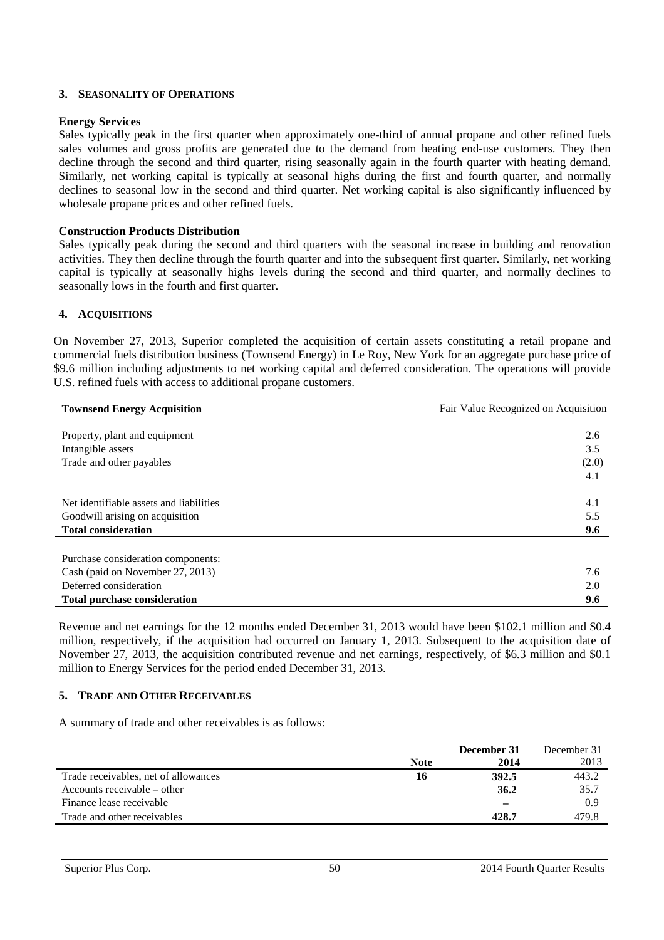### **3. SEASONALITY OF OPERATIONS**

#### **Energy Services**

Sales typically peak in the first quarter when approximately one-third of annual propane and other refined fuels sales volumes and gross profits are generated due to the demand from heating end-use customers. They then decline through the second and third quarter, rising seasonally again in the fourth quarter with heating demand. Similarly, net working capital is typically at seasonal highs during the first and fourth quarter, and normally declines to seasonal low in the second and third quarter. Net working capital is also significantly influenced by wholesale propane prices and other refined fuels.

#### **Construction Products Distribution**

Sales typically peak during the second and third quarters with the seasonal increase in building and renovation activities. They then decline through the fourth quarter and into the subsequent first quarter. Similarly, net working capital is typically at seasonally highs levels during the second and third quarter, and normally declines to seasonally lows in the fourth and first quarter.

### **4. ACQUISITIONS**

On November 27, 2013, Superior completed the acquisition of certain assets constituting a retail propane and commercial fuels distribution business (Townsend Energy) in Le Roy, New York for an aggregate purchase price of \$9.6 million including adjustments to net working capital and deferred consideration. The operations will provide U.S. refined fuels with access to additional propane customers.

| <b>Townsend Energy Acquisition</b>      | Fair Value Recognized on Acquisition |
|-----------------------------------------|--------------------------------------|
|                                         |                                      |
| Property, plant and equipment           | 2.6                                  |
| Intangible assets                       | 3.5                                  |
| Trade and other payables                | (2.0)                                |
|                                         | 4.1                                  |
|                                         |                                      |
| Net identifiable assets and liabilities | 4.1                                  |
| Goodwill arising on acquisition         | 5.5                                  |
| <b>Total consideration</b>              | 9.6                                  |
|                                         |                                      |
| Purchase consideration components:      |                                      |
| Cash (paid on November 27, 2013)        | 7.6                                  |
| Deferred consideration                  | 2.0                                  |
| <b>Total purchase consideration</b>     | 9.6                                  |

Revenue and net earnings for the 12 months ended December 31, 2013 would have been \$102.1 million and \$0.4 million, respectively, if the acquisition had occurred on January 1, 2013. Subsequent to the acquisition date of November 27, 2013, the acquisition contributed revenue and net earnings, respectively, of \$6.3 million and \$0.1 million to Energy Services for the period ended December 31, 2013.

### **5. TRADE AND OTHER RECEIVABLES**

A summary of trade and other receivables is as follows:

|                                      |             | December 31 | December 31 |
|--------------------------------------|-------------|-------------|-------------|
|                                      | <b>Note</b> | 2014        | 2013        |
| Trade receivables, net of allowances | 16          | 392.5       | 443.2       |
| Accounts receivable – other          |             | 36.2        | 35.7        |
| Finance lease receivable             |             |             | 0.9         |
| Trade and other receivables          |             | 428.7       | 479.8       |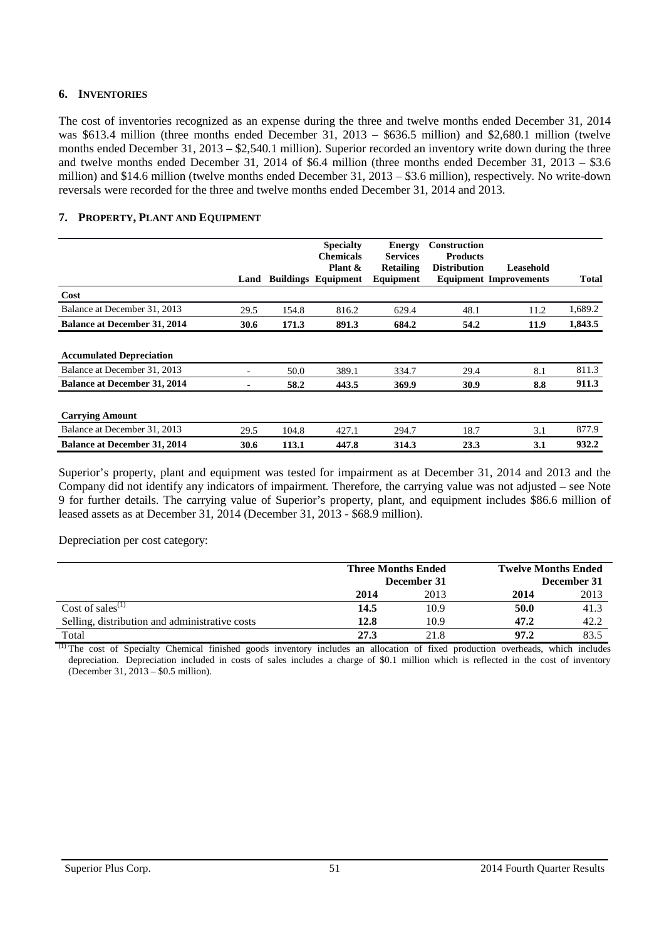### **6. INVENTORIES**

The cost of inventories recognized as an expense during the three and twelve months ended December 31, 2014 was \$613.4 million (three months ended December 31, 2013 – \$636.5 million) and \$2,680.1 million (twelve months ended December 31, 2013 – \$2,540.1 million). Superior recorded an inventory write down during the three and twelve months ended December 31, 2014 of \$6.4 million (three months ended December 31, 2013 – \$3.6 million) and \$14.6 million (twelve months ended December 31, 2013 – \$3.6 million), respectively. No write-down reversals were recorded for the three and twelve months ended December 31, 2014 and 2013.

### **7. PROPERTY, PLANT AND EQUIPMENT**

|                                     |                |       | <b>Specialty</b><br><b>Chemicals</b>  | <b>Energy</b>                                    | <b>Construction</b>                    |                                            |              |
|-------------------------------------|----------------|-------|---------------------------------------|--------------------------------------------------|----------------------------------------|--------------------------------------------|--------------|
|                                     | Land           |       | Plant &<br><b>Buildings Equipment</b> | <b>Services</b><br><b>Retailing</b><br>Equipment | <b>Products</b><br><b>Distribution</b> | Leasehold<br><b>Equipment Improvements</b> | <b>Total</b> |
| Cost                                |                |       |                                       |                                                  |                                        |                                            |              |
| Balance at December 31, 2013        | 29.5           | 154.8 | 816.2                                 | 629.4                                            | 48.1                                   | 11.2                                       | 1,689.2      |
| <b>Balance at December 31, 2014</b> | 30.6           | 171.3 | 891.3                                 | 684.2                                            | 54.2                                   | 11.9                                       | 1,843.5      |
| <b>Accumulated Depreciation</b>     |                |       |                                       |                                                  |                                        |                                            |              |
| Balance at December 31, 2013        | $\blacksquare$ | 50.0  | 389.1                                 | 334.7                                            | 29.4                                   | 8.1                                        | 811.3        |
| <b>Balance at December 31, 2014</b> |                | 58.2  | 443.5                                 | 369.9                                            | 30.9                                   | 8.8                                        | 911.3        |
| <b>Carrying Amount</b>              |                |       |                                       |                                                  |                                        |                                            |              |
| Balance at December 31, 2013        | 29.5           | 104.8 | 427.1                                 | 294.7                                            | 18.7                                   | 3.1                                        | 877.9        |
| <b>Balance at December 31, 2014</b> | 30.6           | 113.1 | 447.8                                 | 314.3                                            | 23.3                                   | 3.1                                        | 932.2        |

Superior's property, plant and equipment was tested for impairment as at December 31, 2014 and 2013 and the Company did not identify any indicators of impairment. Therefore, the carrying value was not adjusted – see Note 9 for further details. The carrying value of Superior's property, plant, and equipment includes \$86.6 million of leased assets as at December 31, 2014 (December 31, 2013 - \$68.9 million).

Depreciation per cost category:

|                                                | <b>Three Months Ended</b><br>December 31 |      | <b>Twelve Months Ended</b> | December 31 |
|------------------------------------------------|------------------------------------------|------|----------------------------|-------------|
|                                                | 2014                                     | 2013 | 2014                       | 2013        |
| Cost of sales <sup><math>(1)</math></sup>      | 14.5                                     | 10.9 | 50.0                       | 41.3        |
| Selling, distribution and administrative costs | 12.8                                     | 10.9 | 47.2                       | 42.2        |
| Total                                          | 27.3                                     | 21.8 | 97.2                       | 83.5        |

(1) The cost of Specialty Chemical finished goods inventory includes an allocation of fixed production overheads, which includes depreciation. Depreciation included in costs of sales includes a charge of \$0.1 million which is reflected in the cost of inventory (December 31, 2013 – \$0.5 million).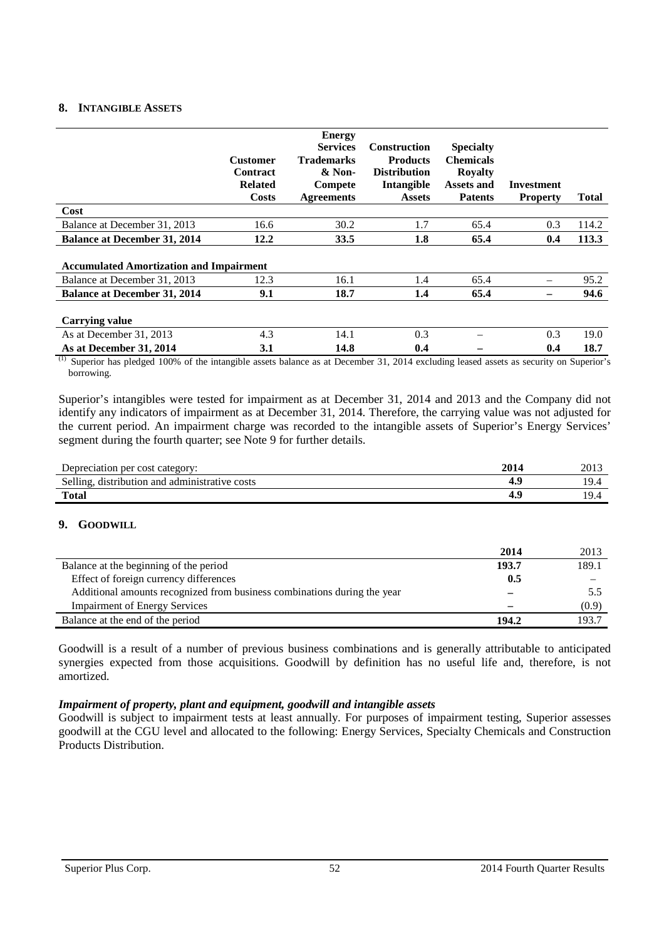### **8. INTANGIBLE ASSETS**

|                                                                                | <b>Customer</b><br>Contract<br><b>Related</b><br><b>Costs</b> | <b>Energy</b><br><b>Services</b><br><b>Trademarks</b><br>$&$ Non-<br>Compete<br><b>Agreements</b> | <b>Construction</b><br><b>Products</b><br><b>Distribution</b><br>Intangible<br><b>Assets</b> | <b>Specialty</b><br><b>Chemicals</b><br><b>Royalty</b><br><b>Assets and</b><br><b>Patents</b> | <b>Investment</b><br><b>Property</b> | Total |
|--------------------------------------------------------------------------------|---------------------------------------------------------------|---------------------------------------------------------------------------------------------------|----------------------------------------------------------------------------------------------|-----------------------------------------------------------------------------------------------|--------------------------------------|-------|
| Cost                                                                           |                                                               |                                                                                                   |                                                                                              |                                                                                               |                                      |       |
| Balance at December 31, 2013                                                   | 16.6                                                          | 30.2                                                                                              | 1.7                                                                                          | 65.4                                                                                          | 0.3                                  | 114.2 |
| <b>Balance at December 31, 2014</b>                                            | 12.2                                                          | 33.5                                                                                              | 1.8                                                                                          | 65.4                                                                                          | 0.4                                  | 113.3 |
| <b>Accumulated Amortization and Impairment</b><br>Balance at December 31, 2013 | 12.3                                                          | 16.1                                                                                              | 1.4                                                                                          | 65.4                                                                                          | $\overline{\phantom{0}}$             | 95.2  |
| <b>Balance at December 31, 2014</b>                                            | 9.1                                                           | 18.7                                                                                              | 1.4                                                                                          | 65.4                                                                                          | $\overline{\phantom{0}}$             | 94.6  |
|                                                                                |                                                               |                                                                                                   |                                                                                              |                                                                                               |                                      |       |
| <b>Carrying value</b>                                                          |                                                               |                                                                                                   |                                                                                              |                                                                                               |                                      |       |
| As at December 31, 2013                                                        | 4.3                                                           | 14.1                                                                                              | 0.3                                                                                          |                                                                                               | 0.3                                  | 19.0  |
| As at December 31, 2014                                                        | 3.1                                                           | 14.8                                                                                              | 0.4                                                                                          |                                                                                               | 0.4                                  | 18.7  |

<sup>(1)</sup> Superior has pledged 100% of the intangible assets balance as at December 31, 2014 excluding leased assets as security on Superior's borrowing.

Superior's intangibles were tested for impairment as at December 31, 2014 and 2013 and the Company did not identify any indicators of impairment as at December 31, 2014. Therefore, the carrying value was not adjusted for the current period. An impairment charge was recorded to the intangible assets of Superior's Energy Services' segment during the fourth quarter; see Note 9 for further details.

| Depreciation per cost category:                | 2014 | 2013 |
|------------------------------------------------|------|------|
| Selling, distribution and administrative costs |      | 19.4 |
| <b>Total</b>                                   |      | 19.4 |

## **9. GOODWILL**

|                                                                          | 2014  | 2013  |
|--------------------------------------------------------------------------|-------|-------|
| Balance at the beginning of the period                                   | 193.7 | 189.1 |
| Effect of foreign currency differences                                   | 0.5   |       |
| Additional amounts recognized from business combinations during the year |       | 5.5   |
| <b>Impairment of Energy Services</b>                                     |       | (0.9) |
| Balance at the end of the period                                         | 194.2 | 193.7 |

Goodwill is a result of a number of previous business combinations and is generally attributable to anticipated synergies expected from those acquisitions. Goodwill by definition has no useful life and, therefore, is not amortized.

### *Impairment of property, plant and equipment, goodwill and intangible assets*

Goodwill is subject to impairment tests at least annually. For purposes of impairment testing, Superior assesses goodwill at the CGU level and allocated to the following: Energy Services, Specialty Chemicals and Construction Products Distribution.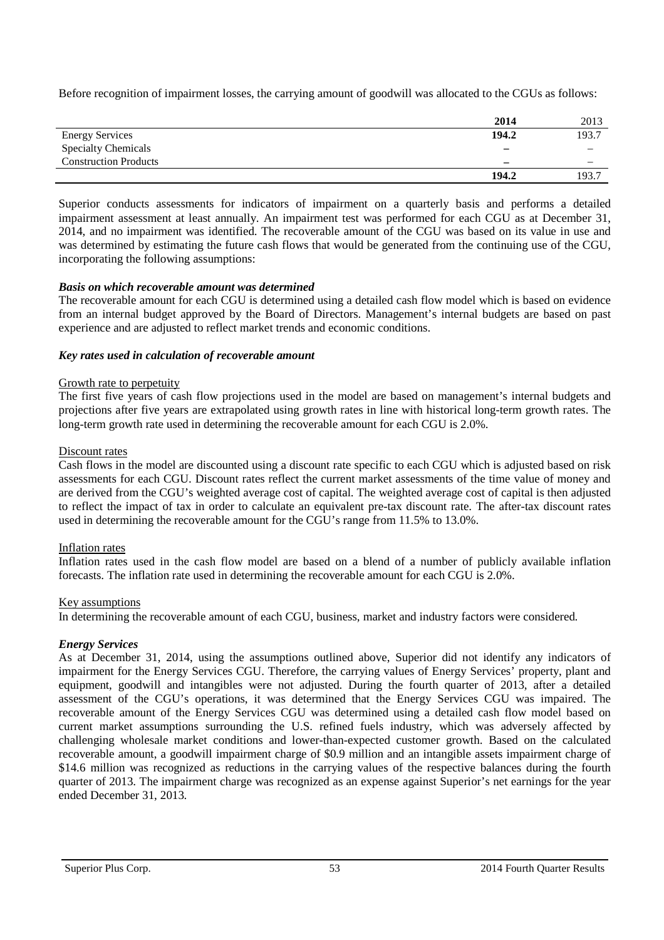Before recognition of impairment losses, the carrying amount of goodwill was allocated to the CGUs as follows:

|                              | 2014  | 2013                            |
|------------------------------|-------|---------------------------------|
| <b>Energy Services</b>       | 194.2 | 193.7                           |
| <b>Specialty Chemicals</b>   |       | $\hspace{0.1mm}-\hspace{0.1mm}$ |
| <b>Construction Products</b> | -     | $\hspace{0.05cm}$               |
|                              | 194.2 | 193.7                           |

Superior conducts assessments for indicators of impairment on a quarterly basis and performs a detailed impairment assessment at least annually. An impairment test was performed for each CGU as at December 31, 2014, and no impairment was identified. The recoverable amount of the CGU was based on its value in use and was determined by estimating the future cash flows that would be generated from the continuing use of the CGU, incorporating the following assumptions:

## *Basis on which recoverable amount was determined*

The recoverable amount for each CGU is determined using a detailed cash flow model which is based on evidence from an internal budget approved by the Board of Directors. Management's internal budgets are based on past experience and are adjusted to reflect market trends and economic conditions.

## *Key rates used in calculation of recoverable amount*

## Growth rate to perpetuity

The first five years of cash flow projections used in the model are based on management's internal budgets and projections after five years are extrapolated using growth rates in line with historical long-term growth rates. The long-term growth rate used in determining the recoverable amount for each CGU is 2.0%.

## Discount rates

Cash flows in the model are discounted using a discount rate specific to each CGU which is adjusted based on risk assessments for each CGU. Discount rates reflect the current market assessments of the time value of money and are derived from the CGU's weighted average cost of capital. The weighted average cost of capital is then adjusted to reflect the impact of tax in order to calculate an equivalent pre-tax discount rate. The after-tax discount rates used in determining the recoverable amount for the CGU's range from 11.5% to 13.0%.

## Inflation rates

Inflation rates used in the cash flow model are based on a blend of a number of publicly available inflation forecasts. The inflation rate used in determining the recoverable amount for each CGU is 2.0%.

## Key assumptions

In determining the recoverable amount of each CGU, business, market and industry factors were considered.

## *Energy Services*

As at December 31, 2014, using the assumptions outlined above, Superior did not identify any indicators of impairment for the Energy Services CGU. Therefore, the carrying values of Energy Services' property, plant and equipment, goodwill and intangibles were not adjusted. During the fourth quarter of 2013, after a detailed assessment of the CGU's operations, it was determined that the Energy Services CGU was impaired. The recoverable amount of the Energy Services CGU was determined using a detailed cash flow model based on current market assumptions surrounding the U.S. refined fuels industry, which was adversely affected by challenging wholesale market conditions and lower-than-expected customer growth. Based on the calculated recoverable amount, a goodwill impairment charge of \$0.9 million and an intangible assets impairment charge of \$14.6 million was recognized as reductions in the carrying values of the respective balances during the fourth quarter of 2013. The impairment charge was recognized as an expense against Superior's net earnings for the year ended December 31, 2013.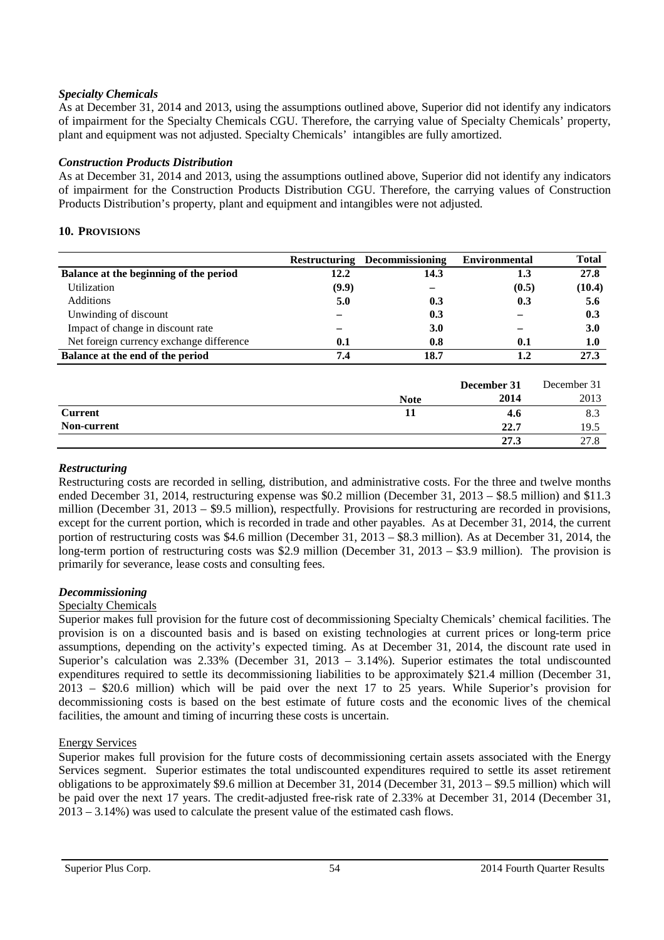## *Specialty Chemicals*

As at December 31, 2014 and 2013, using the assumptions outlined above, Superior did not identify any indicators of impairment for the Specialty Chemicals CGU. Therefore, the carrying value of Specialty Chemicals' property, plant and equipment was not adjusted. Specialty Chemicals' intangibles are fully amortized.

## *Construction Products Distribution*

As at December 31, 2014 and 2013, using the assumptions outlined above, Superior did not identify any indicators of impairment for the Construction Products Distribution CGU. Therefore, the carrying values of Construction Products Distribution's property, plant and equipment and intangibles were not adjusted.

### **10. PROVISIONS**

|                                          |       | <b>Restructuring Decommissioning</b> | <b>Environmental</b> | <b>Total</b> |
|------------------------------------------|-------|--------------------------------------|----------------------|--------------|
| Balance at the beginning of the period   | 12.2  | 14.3                                 | 1.3                  | 27.8         |
| Utilization                              | (9.9) |                                      | (0.5)                | (10.4)       |
| <b>Additions</b>                         | 5.0   | 0.3                                  | 0.3                  | 5.6          |
| Unwinding of discount                    |       | 0.3                                  |                      | 0.3          |
| Impact of change in discount rate        |       | 3.0                                  |                      | 3.0          |
| Net foreign currency exchange difference | 0.1   | 0.8                                  | 0.1                  | 1.0          |
| Balance at the end of the period         | 7.4   | 18.7                                 | 1.2                  | 27.3         |

|                |             | December 31 | December 31 |
|----------------|-------------|-------------|-------------|
|                | <b>Note</b> | 2014        | 2013        |
| <b>Current</b> | 11          | 4.6         | 8.3         |
| Non-current    |             | 22.7        | 19.5        |
|                |             | 27.3        | 27.8        |

### *Restructuring*

Restructuring costs are recorded in selling, distribution, and administrative costs. For the three and twelve months ended December 31, 2014, restructuring expense was \$0.2 million (December 31, 2013 – \$8.5 million) and \$11.3 million (December 31, 2013 – \$9.5 million), respectfully. Provisions for restructuring are recorded in provisions, except for the current portion, which is recorded in trade and other payables. As at December 31, 2014, the current portion of restructuring costs was \$4.6 million (December 31, 2013 – \$8.3 million). As at December 31, 2014, the long-term portion of restructuring costs was \$2.9 million (December 31, 2013 – \$3.9 million). The provision is primarily for severance, lease costs and consulting fees.

## *Decommissioning*

### Specialty Chemicals

Superior makes full provision for the future cost of decommissioning Specialty Chemicals' chemical facilities. The provision is on a discounted basis and is based on existing technologies at current prices or long-term price assumptions, depending on the activity's expected timing. As at December 31, 2014, the discount rate used in Superior's calculation was 2.33% (December 31, 2013 – 3.14%). Superior estimates the total undiscounted expenditures required to settle its decommissioning liabilities to be approximately \$21.4 million (December 31, 2013 – \$20.6 million) which will be paid over the next 17 to 25 years. While Superior's provision for decommissioning costs is based on the best estimate of future costs and the economic lives of the chemical facilities, the amount and timing of incurring these costs is uncertain.

## Energy Services

Superior makes full provision for the future costs of decommissioning certain assets associated with the Energy Services segment. Superior estimates the total undiscounted expenditures required to settle its asset retirement obligations to be approximately \$9.6 million at December 31, 2014 (December 31, 2013 – \$9.5 million) which will be paid over the next 17 years. The credit-adjusted free-risk rate of 2.33% at December 31, 2014 (December 31, 2013 – 3.14%) was used to calculate the present value of the estimated cash flows.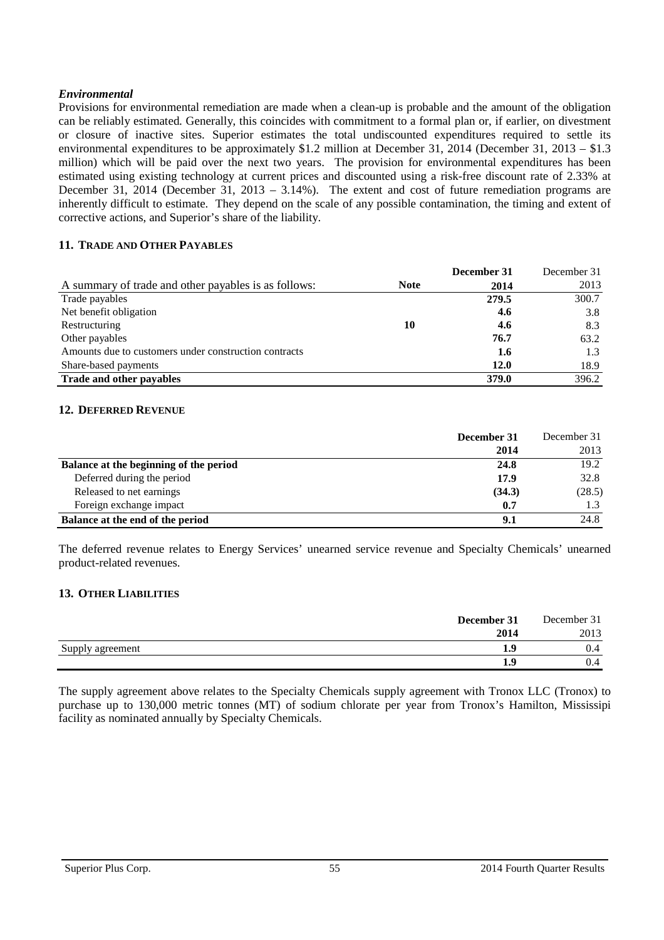## *Environmental*

Provisions for environmental remediation are made when a clean-up is probable and the amount of the obligation can be reliably estimated. Generally, this coincides with commitment to a formal plan or, if earlier, on divestment or closure of inactive sites. Superior estimates the total undiscounted expenditures required to settle its environmental expenditures to be approximately \$1.2 million at December 31, 2014 (December 31, 2013 – \$1.3 million) which will be paid over the next two years. The provision for environmental expenditures has been estimated using existing technology at current prices and discounted using a risk-free discount rate of 2.33% at December 31, 2014 (December 31, 2013 – 3.14%). The extent and cost of future remediation programs are inherently difficult to estimate. They depend on the scale of any possible contamination, the timing and extent of corrective actions, and Superior's share of the liability.

## **11. TRADE AND OTHER PAYABLES**

|                                                       |             | December 31 | December 31 |
|-------------------------------------------------------|-------------|-------------|-------------|
| A summary of trade and other payables is as follows:  | <b>Note</b> | 2014        | 2013        |
| Trade payables                                        |             | 279.5       | 300.7       |
| Net benefit obligation                                |             | 4.6         | 3.8         |
| Restructuring                                         | 10          | 4.6         | 8.3         |
| Other payables                                        |             | 76.7        | 63.2        |
| Amounts due to customers under construction contracts |             | 1.6         | 1.3         |
| Share-based payments                                  |             | 12.0        | 18.9        |
| Trade and other payables                              |             | 379.0       | 396.2       |

### **12. DEFERRED REVENUE**

|                                        | December 31 | December 31 |
|----------------------------------------|-------------|-------------|
|                                        | 2014        | 2013        |
| Balance at the beginning of the period | 24.8        | 19.2        |
| Deferred during the period             | 17.9        | 32.8        |
| Released to net earnings               | (34.3)      | (28.5)      |
| Foreign exchange impact                | 0.7         |             |
| Balance at the end of the period       | 9.1         | 24.8        |

The deferred revenue relates to Energy Services' unearned service revenue and Specialty Chemicals' unearned product-related revenues.

### **13. OTHER LIABILITIES**

|                  | December 31 | December 31 |
|------------------|-------------|-------------|
|                  | 2014        | 2013        |
| Supply agreement | 1.9         | 0.4         |
|                  | 1.9         | 0.4         |

The supply agreement above relates to the Specialty Chemicals supply agreement with Tronox LLC (Tronox) to purchase up to 130,000 metric tonnes (MT) of sodium chlorate per year from Tronox's Hamilton, Mississipi facility as nominated annually by Specialty Chemicals.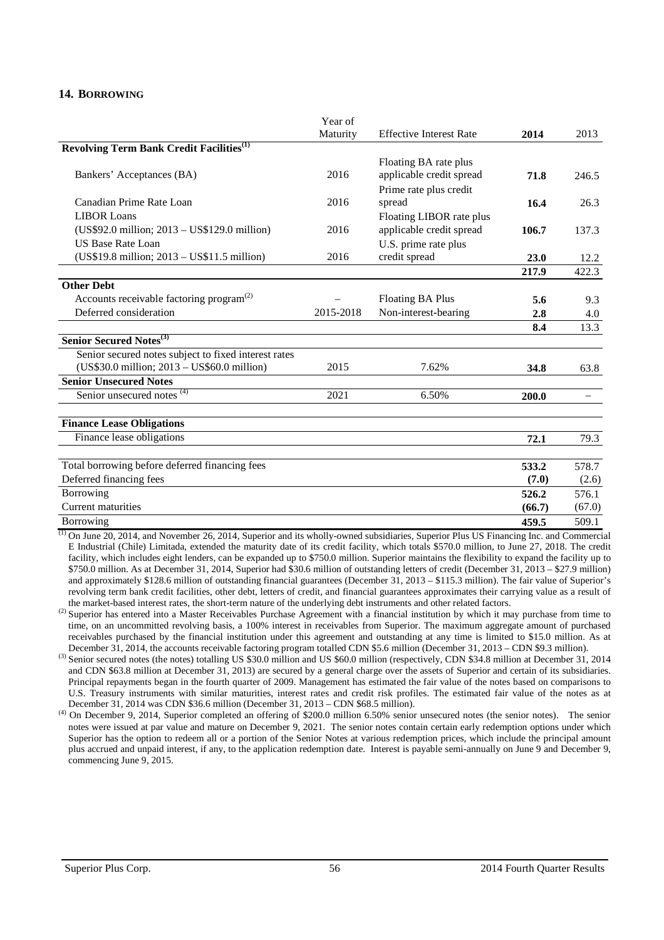### **14. BORROWING**

|                                                             | Year of   |                                |        |        |
|-------------------------------------------------------------|-----------|--------------------------------|--------|--------|
|                                                             | Maturity  | <b>Effective Interest Rate</b> | 2014   | 2013   |
| <b>Revolving Term Bank Credit Facilities</b> <sup>(1)</sup> |           |                                |        |        |
|                                                             |           | Floating BA rate plus          |        |        |
| Bankers' Acceptances (BA)                                   | 2016      | applicable credit spread       | 71.8   | 246.5  |
|                                                             |           | Prime rate plus credit         |        |        |
| Canadian Prime Rate Loan                                    | 2016      | spread                         | 16.4   | 26.3   |
| <b>LIBOR Loans</b>                                          |           | Floating LIBOR rate plus       |        |        |
| (US\$92.0 million; 2013 - US\$129.0 million)                | 2016      | applicable credit spread       | 106.7  | 137.3  |
| <b>US Base Rate Loan</b>                                    |           | U.S. prime rate plus           |        |        |
| (US\$19.8 million; 2013 - US\$11.5 million)                 | 2016      | credit spread                  | 23.0   | 12.2   |
|                                                             |           |                                | 217.9  | 422.3  |
| <b>Other Debt</b>                                           |           |                                |        |        |
| Accounts receivable factoring program $^{(2)}$              |           | Floating BA Plus               | 5.6    | 9.3    |
| Deferred consideration                                      | 2015-2018 | Non-interest-bearing           | 2.8    | 4.0    |
|                                                             |           |                                | 8.4    | 13.3   |
| <b>Senior Secured Notes</b> <sup>(3)</sup>                  |           |                                |        |        |
| Senior secured notes subject to fixed interest rates        |           |                                |        |        |
| (US\$30.0 million; 2013 - US\$60.0 million)                 | 2015      | 7.62%                          | 34.8   | 63.8   |
| <b>Senior Unsecured Notes</b>                               |           |                                |        |        |
| Senior unsecured notes <sup>(4)</sup>                       | 2021      | 6.50%                          | 200.0  |        |
| <b>Finance Lease Obligations</b>                            |           |                                |        |        |
| Finance lease obligations                                   |           |                                | 72.1   | 79.3   |
| Total borrowing before deferred financing fees              |           |                                | 533.2  | 578.7  |
| Deferred financing fees                                     |           |                                | (7.0)  | (2.6)  |
| Borrowing                                                   |           |                                | 526.2  | 576.1  |
| Current maturities                                          |           |                                | (66.7) | (67.0) |
| Borrowing                                                   |           |                                | 459.5  | 509.1  |

 $<sup>(1)</sup>$  On June 20, 2014, and November 26, 2014, Superior and its wholly-owned subsidiaries, Superior Plus US Financing Inc. and Commercial</sup> E Industrial (Chile) Limitada, extended the maturity date of its credit facility, which totals \$570.0 million, to June 27, 2018. The credit facility, which includes eight lenders, can be expanded up to \$750.0 million. Superior maintains the flexibility to expand the facility up to \$750.0 million. As at December 31, 2014, Superior had \$30.6 million of outstanding letters of credit (December 31, 2013 – \$27.9 million) and approximately \$128.6 million of outstanding financial guarantees (December 31, 2013 – \$115.3 million). The fair value of Superior's revolving term bank credit facilities, other debt, letters of credit, and financial guarantees approximates their carrying value as a result of the market-based interest rates, the short-term nature of the underlying debt instruments and other related factors.

<sup>(2)</sup> Superior has entered into a Master Receivables Purchase Agreement with a financial institution by which it may purchase from time to time, on an uncommitted revolving basis, a 100% interest in receivables from Superior. The maximum aggregate amount of purchased receivables purchased by the financial institution under this agreement and outstanding at any time is limited to \$15.0 million. As at December 31, 2014, the accounts receivable factoring program totalled CDN \$5.6 million (December 31, 2013 – CDN \$9.3 million).

<sup>(3)</sup> Senior secured notes (the notes) totalling US \$30.0 million and US \$60.0 million (respectively, CDN \$34.8 million at December 31, 2014 and CDN \$63.8 million at December 31, 2013) are secured by a general charge over the assets of Superior and certain of its subsidiaries. Principal repayments began in the fourth quarter of 2009. Management has estimated the fair value of the notes based on comparisons to U.S. Treasury instruments with similar maturities, interest rates and credit risk profiles. The estimated fair value of the notes as at December 31, 2014 was CDN \$36.6 million (December 31, 2013 – CDN \$68.5 million).

(4) On December 9, 2014, Superior completed an offering of \$200.0 million 6.50% senior unsecured notes (the senior notes). The senior notes were issued at par value and mature on December 9, 2021. The senior notes contain certain early redemption options under which Superior has the option to redeem all or a portion of the Senior Notes at various redemption prices, which include the principal amount plus accrued and unpaid interest, if any, to the application redemption date. Interest is payable semi-annually on June 9 and December 9, commencing June 9, 2015.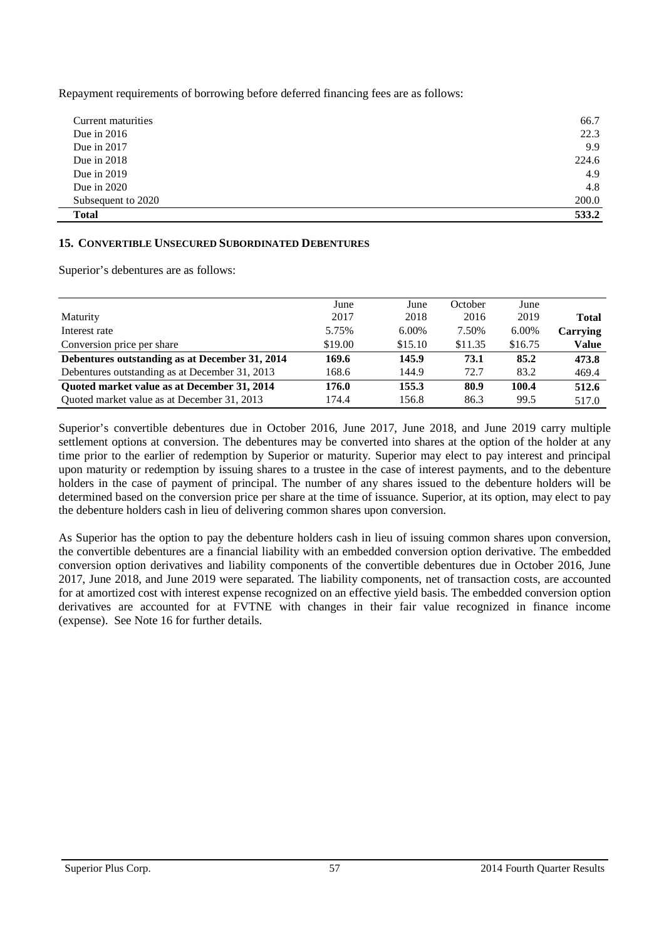Repayment requirements of borrowing before deferred financing fees are as follows:

| Current maturities | 66.7  |
|--------------------|-------|
| Due in $2016$      | 22.3  |
| Due in $2017$      | 9.9   |
| Due in $2018$      | 224.6 |
| Due in $2019$      | 4.9   |
| Due in $2020$      | 4.8   |
| Subsequent to 2020 | 200.0 |
| <b>Total</b>       | 533.2 |

## **15. CONVERTIBLE UNSECURED SUBORDINATED DEBENTURES**

Superior's debentures are as follows:

|                                                | June    | June    | October | June    |              |
|------------------------------------------------|---------|---------|---------|---------|--------------|
| Maturity                                       | 2017    | 2018    | 2016    | 2019    | <b>Total</b> |
| Interest rate                                  | 5.75%   | 6.00%   | 7.50%   | 6.00%   | Carrying     |
| Conversion price per share                     | \$19.00 | \$15.10 | \$11.35 | \$16.75 | <b>Value</b> |
| Debentures outstanding as at December 31, 2014 | 169.6   | 145.9   | 73.1    | 85.2    | 473.8        |
| Debentures outstanding as at December 31, 2013 | 168.6   | 144.9   | 72.7    | 83.2    | 469.4        |
| Quoted market value as at December 31, 2014    | 176.0   | 155.3   | 80.9    | 100.4   | 512.6        |
| Ouoted market value as at December 31, 2013    | 174.4   | 156.8   | 86.3    | 99.5    | 517.0        |

Superior's convertible debentures due in October 2016, June 2017, June 2018, and June 2019 carry multiple settlement options at conversion. The debentures may be converted into shares at the option of the holder at any time prior to the earlier of redemption by Superior or maturity. Superior may elect to pay interest and principal upon maturity or redemption by issuing shares to a trustee in the case of interest payments, and to the debenture holders in the case of payment of principal. The number of any shares issued to the debenture holders will be determined based on the conversion price per share at the time of issuance. Superior, at its option, may elect to pay the debenture holders cash in lieu of delivering common shares upon conversion.

As Superior has the option to pay the debenture holders cash in lieu of issuing common shares upon conversion, the convertible debentures are a financial liability with an embedded conversion option derivative. The embedded conversion option derivatives and liability components of the convertible debentures due in October 2016, June 2017, June 2018, and June 2019 were separated. The liability components, net of transaction costs, are accounted for at amortized cost with interest expense recognized on an effective yield basis. The embedded conversion option derivatives are accounted for at FVTNE with changes in their fair value recognized in finance income (expense). See Note 16 for further details.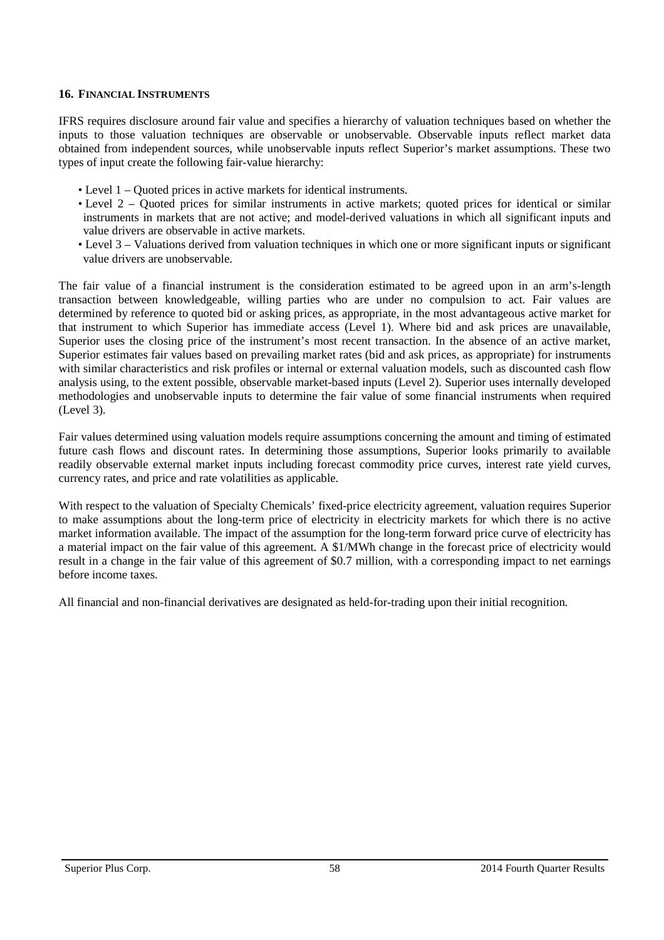### **16. FINANCIAL INSTRUMENTS**

IFRS requires disclosure around fair value and specifies a hierarchy of valuation techniques based on whether the inputs to those valuation techniques are observable or unobservable. Observable inputs reflect market data obtained from independent sources, while unobservable inputs reflect Superior's market assumptions. These two types of input create the following fair-value hierarchy:

- Level 1 Quoted prices in active markets for identical instruments.
- Level 2 Quoted prices for similar instruments in active markets; quoted prices for identical or similar instruments in markets that are not active; and model-derived valuations in which all significant inputs and value drivers are observable in active markets.
- Level 3 Valuations derived from valuation techniques in which one or more significant inputs or significant value drivers are unobservable.

The fair value of a financial instrument is the consideration estimated to be agreed upon in an arm's-length transaction between knowledgeable, willing parties who are under no compulsion to act. Fair values are determined by reference to quoted bid or asking prices, as appropriate, in the most advantageous active market for that instrument to which Superior has immediate access (Level 1). Where bid and ask prices are unavailable, Superior uses the closing price of the instrument's most recent transaction. In the absence of an active market, Superior estimates fair values based on prevailing market rates (bid and ask prices, as appropriate) for instruments with similar characteristics and risk profiles or internal or external valuation models, such as discounted cash flow analysis using, to the extent possible, observable market-based inputs (Level 2). Superior uses internally developed methodologies and unobservable inputs to determine the fair value of some financial instruments when required (Level 3).

Fair values determined using valuation models require assumptions concerning the amount and timing of estimated future cash flows and discount rates. In determining those assumptions, Superior looks primarily to available readily observable external market inputs including forecast commodity price curves, interest rate yield curves, currency rates, and price and rate volatilities as applicable.

With respect to the valuation of Specialty Chemicals' fixed-price electricity agreement, valuation requires Superior to make assumptions about the long-term price of electricity in electricity markets for which there is no active market information available. The impact of the assumption for the long-term forward price curve of electricity has a material impact on the fair value of this agreement. A \$1/MWh change in the forecast price of electricity would result in a change in the fair value of this agreement of \$0.7 million, with a corresponding impact to net earnings before income taxes.

All financial and non-financial derivatives are designated as held-for-trading upon their initial recognition.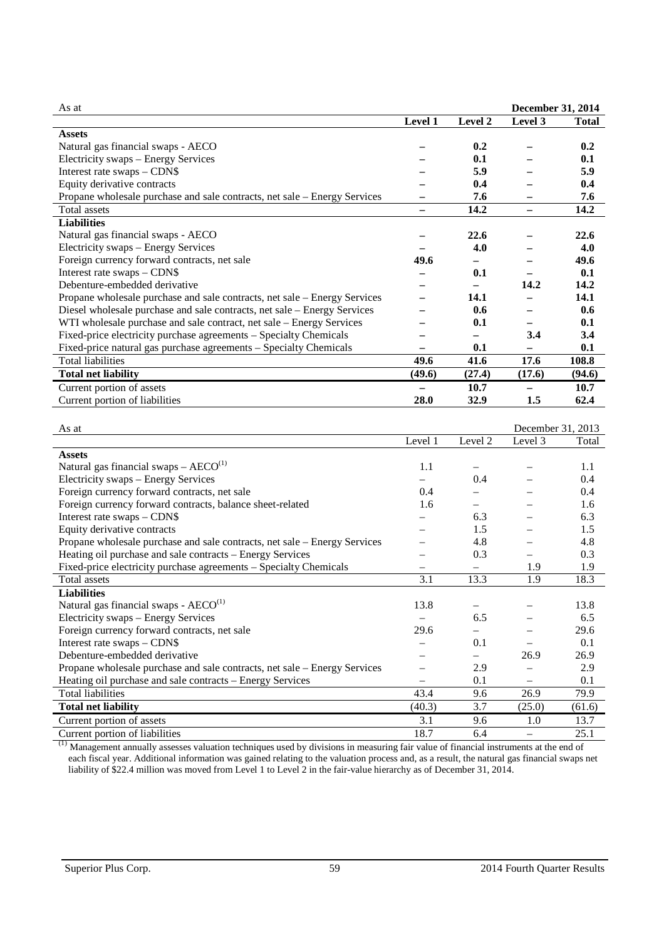| As at                                                                                                                                  |                          |                          | <b>December 31, 2014</b> |              |
|----------------------------------------------------------------------------------------------------------------------------------------|--------------------------|--------------------------|--------------------------|--------------|
|                                                                                                                                        | Level 1                  | Level 2                  | Level 3                  | <b>Total</b> |
| <b>Assets</b>                                                                                                                          |                          |                          |                          |              |
| Natural gas financial swaps - AECO                                                                                                     |                          | 0.2                      |                          | 0.2          |
| Electricity swaps - Energy Services                                                                                                    |                          | 0.1                      |                          | 0.1          |
| Interest rate swaps - CDN\$                                                                                                            |                          | 5.9                      |                          | 5.9          |
| Equity derivative contracts                                                                                                            |                          | 0.4                      |                          | 0.4          |
| Propane wholesale purchase and sale contracts, net sale - Energy Services                                                              |                          | 7.6                      |                          | 7.6          |
| Total assets                                                                                                                           | $\overline{\phantom{0}}$ | 14.2                     | $\equiv$                 | 14.2         |
| <b>Liabilities</b>                                                                                                                     |                          |                          |                          |              |
| Natural gas financial swaps - AECO                                                                                                     |                          | 22.6                     |                          | 22.6         |
| Electricity swaps - Energy Services                                                                                                    |                          | 4.0                      |                          | 4.0          |
| Foreign currency forward contracts, net sale                                                                                           | 49.6                     |                          |                          | 49.6         |
| Interest rate swaps - CDN\$                                                                                                            |                          | 0.1                      |                          | 0.1          |
| Debenture-embedded derivative                                                                                                          |                          |                          | 14.2                     | 14.2         |
| Propane wholesale purchase and sale contracts, net sale – Energy Services                                                              |                          | 14.1                     |                          | 14.1         |
| Diesel wholesale purchase and sale contracts, net sale - Energy Services                                                               |                          | 0.6                      | $\overline{\phantom{0}}$ | 0.6          |
| WTI wholesale purchase and sale contract, net sale - Energy Services                                                                   | —                        | 0.1                      |                          | 0.1          |
| Fixed-price electricity purchase agreements - Specialty Chemicals                                                                      |                          |                          | 3.4                      | 3.4          |
| Fixed-price natural gas purchase agreements - Specialty Chemicals                                                                      |                          | 0.1                      |                          | 0.1          |
| <b>Total liabilities</b>                                                                                                               | 49.6                     | 41.6                     | 17.6                     | 108.8        |
| <b>Total net liability</b>                                                                                                             | (49.6)                   | (27.4)                   | (17.6)                   | (94.6)       |
| Current portion of assets                                                                                                              |                          | 10.7                     |                          | 10.7         |
| Current portion of liabilities                                                                                                         | 28.0                     | 32.9                     | 1.5                      | 62.4         |
|                                                                                                                                        |                          |                          |                          |              |
| As at                                                                                                                                  |                          |                          | December 31, 2013        |              |
|                                                                                                                                        |                          |                          |                          |              |
|                                                                                                                                        | Level 1                  | Level 2                  | Level 3                  | Total        |
| <b>Assets</b>                                                                                                                          |                          |                          |                          |              |
| Natural gas financial swaps $-$ AECO <sup>(1)</sup>                                                                                    | 1.1                      |                          |                          | 1.1          |
|                                                                                                                                        |                          | 0.4                      |                          | 0.4          |
| Electricity swaps - Energy Services                                                                                                    | 0.4                      | $\overline{\phantom{0}}$ |                          | 0.4          |
| Foreign currency forward contracts, net sale<br>Foreign currency forward contracts, balance sheet-related                              | 1.6                      | $\equiv$                 |                          | 1.6          |
|                                                                                                                                        |                          | 6.3                      | $\overline{\phantom{0}}$ | 6.3          |
| Interest rate swaps - CDN\$                                                                                                            |                          | 1.5                      | $\overline{\phantom{0}}$ | 1.5          |
| Equity derivative contracts                                                                                                            |                          | 4.8                      | $\overline{\phantom{0}}$ | 4.8          |
| Propane wholesale purchase and sale contracts, net sale - Energy Services                                                              | $\overline{\phantom{0}}$ | 0.3                      | $\qquad \qquad -$        | 0.3          |
| Heating oil purchase and sale contracts - Energy Services                                                                              | —                        | $\overline{\phantom{0}}$ | 1.9                      | 1.9          |
| Fixed-price electricity purchase agreements - Specialty Chemicals<br>Total assets                                                      | 3.1                      | 13.3                     | 1.9                      | 18.3         |
| <b>Liabilities</b>                                                                                                                     |                          |                          |                          |              |
|                                                                                                                                        | 13.8                     | $\overline{\phantom{0}}$ |                          |              |
| Natural gas financial swaps - AECO <sup>(1)</sup>                                                                                      |                          | 6.5                      |                          | 13.8         |
| Electricity swaps - Energy Services                                                                                                    |                          | $\overline{\phantom{0}}$ |                          | 6.5<br>29.6  |
| Foreign currency forward contracts, net sale                                                                                           | 29.6                     | 0.1                      | $\overline{\phantom{0}}$ | 0.1          |
| Interest rate swaps - CDN\$<br>Debenture-embedded derivative                                                                           |                          | $\overline{\phantom{0}}$ | 26.9                     | 26.9         |
|                                                                                                                                        | $\overline{\phantom{0}}$ |                          | $\qquad \qquad -$        |              |
| Propane wholesale purchase and sale contracts, net sale - Energy Services<br>Heating oil purchase and sale contracts - Energy Services | —                        | 2.9<br>0.1               | —                        | 2.9<br>0.1   |
| <b>Total liabilities</b>                                                                                                               | 43.4                     | 9.6                      | 26.9                     | 79.9         |
| <b>Total net liability</b>                                                                                                             | (40.3)                   | 3.7                      | (25.0)                   | (61.6)       |
| Current portion of assets                                                                                                              | 3.1                      | 9.6                      | 1.0                      | 13.7         |

 $<sup>(1)</sup>$  Management annually assesses valuation techniques used by divisions in measuring fair value of financial instruments at the end of</sup> each fiscal year. Additional information was gained relating to the valuation process and, as a result, the natural gas financial swaps net liability of \$22.4 million was moved from Level 1 to Level 2 in the fair-value hierarchy as of December 31, 2014.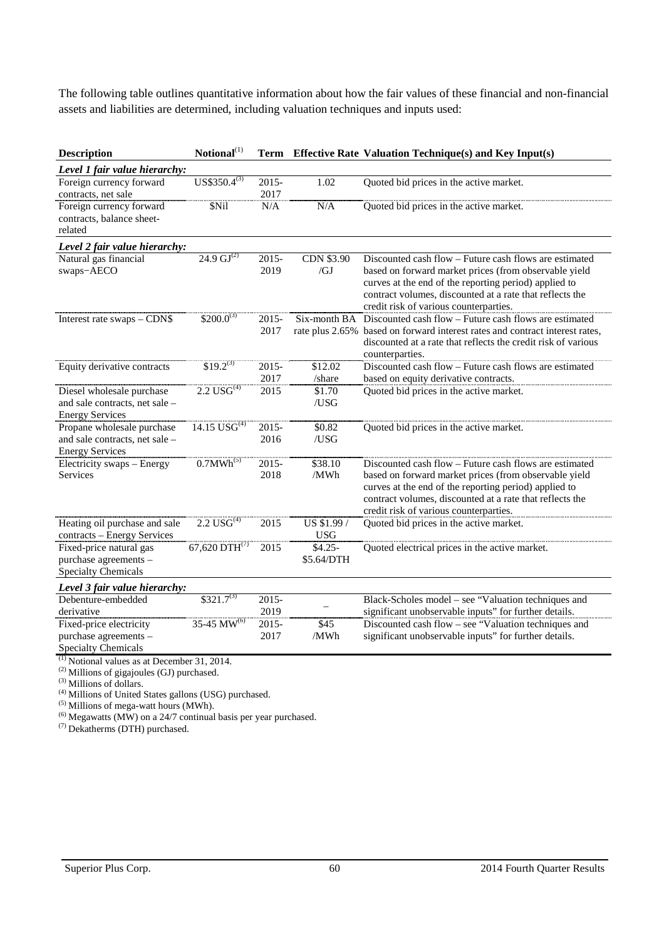The following table outlines quantitative information about how the fair values of these financial and non-financial assets and liabilities are determined, including valuation techniques and inputs used:

| <b>Description</b>                                                                     | Notional <sup>(1)</sup>      |                  |                           | Term Effective Rate Valuation Technique(s) and Key Input(s)                                                                                                                                                                                                                    |
|----------------------------------------------------------------------------------------|------------------------------|------------------|---------------------------|--------------------------------------------------------------------------------------------------------------------------------------------------------------------------------------------------------------------------------------------------------------------------------|
| Level 1 fair value hierarchy:                                                          |                              |                  |                           |                                                                                                                                                                                                                                                                                |
| Foreign currency forward<br>contracts, net sale                                        | $\overline{US\$350.4}^{(3)}$ | 2015-<br>2017    | 1.02                      | Quoted bid prices in the active market.                                                                                                                                                                                                                                        |
| Foreign currency forward<br>contracts, balance sheet-<br>related                       | \$Nil                        | N/A              | N/A                       | Quoted bid prices in the active market.                                                                                                                                                                                                                                        |
| Level 2 fair value hierarchy:                                                          |                              |                  |                           |                                                                                                                                                                                                                                                                                |
| Natural gas financial<br>swaps-AECO                                                    | $24.9 \text{ GJ}^{(2)}$      | $2015 -$<br>2019 | <b>CDN \$3.90</b><br>/GJ  | Discounted cash flow – Future cash flows are estimated<br>based on forward market prices (from observable yield<br>curves at the end of the reporting period) applied to<br>contract volumes, discounted at a rate that reflects the<br>credit risk of various counterparties. |
| Interest rate swaps - CDN\$                                                            | $$200.0^{(3)}$               | $2015 -$<br>2017 |                           | Six-month BA Discounted cash flow – Future cash flows are estimated<br>rate plus 2.65% based on forward interest rates and contract interest rates,<br>discounted at a rate that reflects the credit risk of various<br>counterparties.                                        |
| Equity derivative contracts                                                            | $$19.2^{(3)}$                | $2015 -$         | \$12.02                   | Discounted cash flow - Future cash flows are estimated                                                                                                                                                                                                                         |
|                                                                                        |                              | 2017             | /share                    | based on equity derivative contracts.                                                                                                                                                                                                                                          |
| Diesel wholesale purchase<br>and sale contracts, net sale -<br><b>Energy Services</b>  | $2.2$ USG <sup>(4)</sup>     | 2015             | \$1.70<br>/USG            | Quoted bid prices in the active market.                                                                                                                                                                                                                                        |
| Propane wholesale purchase<br>and sale contracts, net sale -<br><b>Energy Services</b> | $14.15$ USG <sup>(4)</sup>   | 2015-<br>2016    | \$0.82<br>/USG            | Quoted bid prices in the active market.                                                                                                                                                                                                                                        |
| Electricity swaps - Energy<br><b>Services</b>                                          | 0.7MWh <sup>(5)</sup>        | $2015 -$<br>2018 | \$38.10<br>/MWh           | Discounted cash flow - Future cash flows are estimated<br>based on forward market prices (from observable yield<br>curves at the end of the reporting period) applied to<br>contract volumes, discounted at a rate that reflects the<br>credit risk of various counterparties. |
| Heating oil purchase and sale<br>contracts - Energy Services                           | $2.2$ USG <sup>(4)</sup>     | 2015             | US \$1.99 /<br><b>USG</b> | Quoted bid prices in the active market.                                                                                                                                                                                                                                        |
| Fixed-price natural gas<br>purchase agreements -<br><b>Specialty Chemicals</b>         | $67,620$ DTH <sup>(7)</sup>  | 2015             | $$4.25-$<br>\$5.64/DTH    | Quoted electrical prices in the active market.                                                                                                                                                                                                                                 |
| Level 3 fair value hierarchy:                                                          |                              |                  |                           |                                                                                                                                                                                                                                                                                |
| Debenture-embedded<br>derivative                                                       | $$321.7^{(3)}$               | $2015 -$<br>2019 |                           | Black-Scholes model – see "Valuation techniques and<br>significant unobservable inputs" for further details.                                                                                                                                                                   |
| Fixed-price electricity<br>purchase agreements -<br><b>Specialty Chemicals</b>         | $35-45$ MW <sup>(6)</sup>    | $2015 -$<br>2017 | \$45<br>/MWh              | Discounted cash flow – see "Valuation techniques and<br>significant unobservable inputs" for further details.                                                                                                                                                                  |

 $(1)$  Notional values as at December 31, 2014.

 $^{(2)}$  Millions of gigajoules (GJ) purchased.

(3) Millions of dollars.

(4) Millions of United States gallons (USG) purchased.

 $<sup>(5)</sup>$  Millions of mega-watt hours (MWh).</sup>

 $^{(6)}$  Megawatts (MW) on a 24/7 continual basis per year purchased.

(7) Dekatherms (DTH) purchased.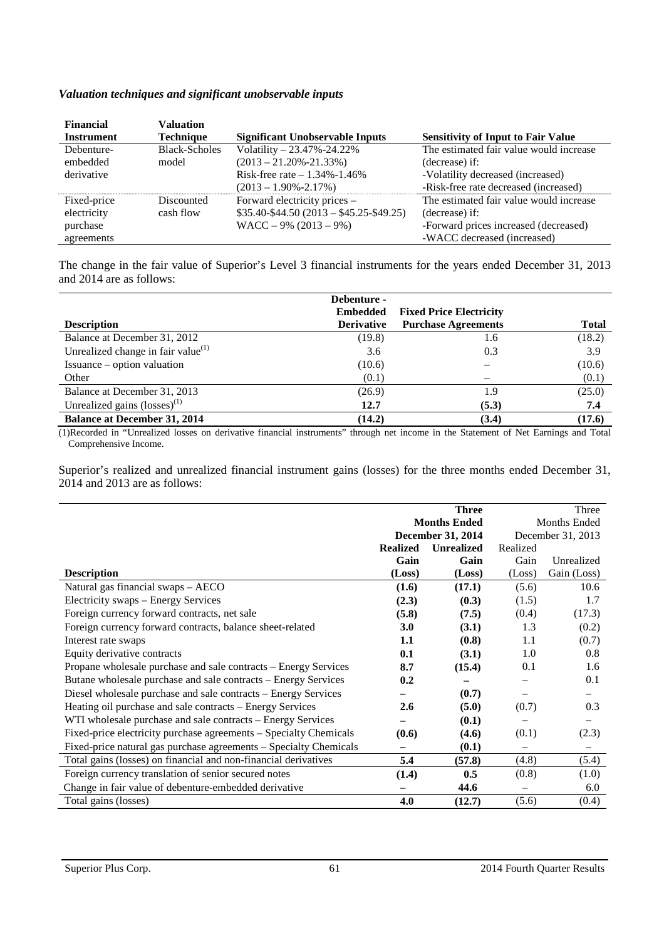### *Valuation techniques and significant unobservable inputs*

| <b>Financial</b>  | Valuation            |                                        |                                           |
|-------------------|----------------------|----------------------------------------|-------------------------------------------|
| <b>Instrument</b> | <b>Technique</b>     | <b>Significant Unobservable Inputs</b> | <b>Sensitivity of Input to Fair Value</b> |
| Debenture-        | <b>Black-Scholes</b> | Volatility $-23.47\% - 24.22\%$        | The estimated fair value would increase   |
| embedded          | model                | $(2013 - 21.20\% - 21.33\%)$           | (decrease) if:                            |
| derivative        |                      | Risk-free rate $-1.34\% - 1.46\%$      | -Volatility decreased (increased)         |
|                   |                      | $(2013 - 1.90\% - 2.17\%)$             | -Risk-free rate decreased (increased)     |
| Fixed-price       | Discounted           | Forward electricity prices –           | The estimated fair value would increase   |
| electricity       | cash flow            | $$35.40-S44.50 (2013 - $45.25-S49.25)$ | (decrease) if:                            |
| purchase          |                      | $WACC-9\% (2013-9\%)$                  | -Forward prices increased (decreased)     |
| agreements        |                      |                                        | -WACC decreased (increased)               |

The change in the fair value of Superior's Level 3 financial instruments for the years ended December 31, 2013 and 2014 are as follows:

|                                       | Debenture -       |                                |        |
|---------------------------------------|-------------------|--------------------------------|--------|
|                                       | <b>Embedded</b>   | <b>Fixed Price Electricity</b> |        |
| <b>Description</b>                    | <b>Derivative</b> | <b>Purchase Agreements</b>     | Total  |
| Balance at December 31, 2012          | (19.8)            | 1.6                            | (18.2) |
| Unrealized change in fair value $(1)$ | 3.6               | 0.3                            | 3.9    |
| Issuance – option valuation           | (10.6)            |                                | (10.6) |
| Other                                 | (0.1)             |                                | (0.1)  |
| Balance at December 31, 2013          | (26.9)            | 1.9                            | (25.0) |
| Unrealized gains $(losses)^{(1)}$     | 12.7              | (5.3)                          | 7.4    |
| <b>Balance at December 31, 2014</b>   | (14.2)            | (3.4)                          | (17.6) |

(1)Recorded in "Unrealized losses on derivative financial instruments" through net income in the Statement of Net Earnings and Total Comprehensive Income.

Superior's realized and unrealized financial instrument gains (losses) for the three months ended December 31, 2014 and 2013 are as follows:

|                                                                   | <b>Three</b>             |                   | Three                    |                   |
|-------------------------------------------------------------------|--------------------------|-------------------|--------------------------|-------------------|
|                                                                   | <b>Months Ended</b>      |                   | <b>Months Ended</b>      |                   |
|                                                                   | <b>December 31, 2014</b> |                   |                          | December 31, 2013 |
|                                                                   | <b>Realized</b>          | <b>Unrealized</b> | Realized                 |                   |
|                                                                   | Gain                     | Gain              | Gain                     | Unrealized        |
| <b>Description</b>                                                | (Loss)                   | (Loss)            | (Loss)                   | Gain (Loss)       |
| Natural gas financial swaps - AECO                                | (1.6)                    | (17.1)            | (5.6)                    | 10.6              |
| Electricity swaps – Energy Services                               | (2.3)                    | (0.3)             | (1.5)                    | 1.7               |
| Foreign currency forward contracts, net sale                      | (5.8)                    | (7.5)             | (0.4)                    | (17.3)            |
| Foreign currency forward contracts, balance sheet-related         | <b>3.0</b>               | (3.1)             | 1.3                      | (0.2)             |
| Interest rate swaps                                               | 1.1                      | (0.8)             | 1.1                      | (0.7)             |
| Equity derivative contracts                                       | 0.1                      | (3.1)             | 1.0                      | 0.8               |
| Propane wholesale purchase and sale contracts – Energy Services   | 8.7                      | (15.4)            | 0.1                      | 1.6               |
| Butane wholesale purchase and sale contracts – Energy Services    | 0.2                      |                   |                          | 0.1               |
| Diesel wholesale purchase and sale contracts – Energy Services    |                          | (0.7)             |                          |                   |
| Heating oil purchase and sale contracts – Energy Services         | 2.6                      | (5.0)             | (0.7)                    | 0.3               |
| WTI wholesale purchase and sale contracts – Energy Services       |                          | (0.1)             |                          |                   |
| Fixed-price electricity purchase agreements – Specialty Chemicals | (0.6)                    | (4.6)             | (0.1)                    | (2.3)             |
| Fixed-price natural gas purchase agreements – Specialty Chemicals |                          | (0.1)             | $\overline{\phantom{0}}$ | —                 |
| Total gains (losses) on financial and non-financial derivatives   | 5.4                      | (57.8)            | (4.8)                    | (5.4)             |
| Foreign currency translation of senior secured notes              | (1.4)                    | 0.5               | (0.8)                    | (1.0)             |
| Change in fair value of debenture-embedded derivative             |                          | 44.6              |                          | 6.0               |
| Total gains (losses)                                              | 4.0                      | (12.7)            | (5.6)                    | (0.4)             |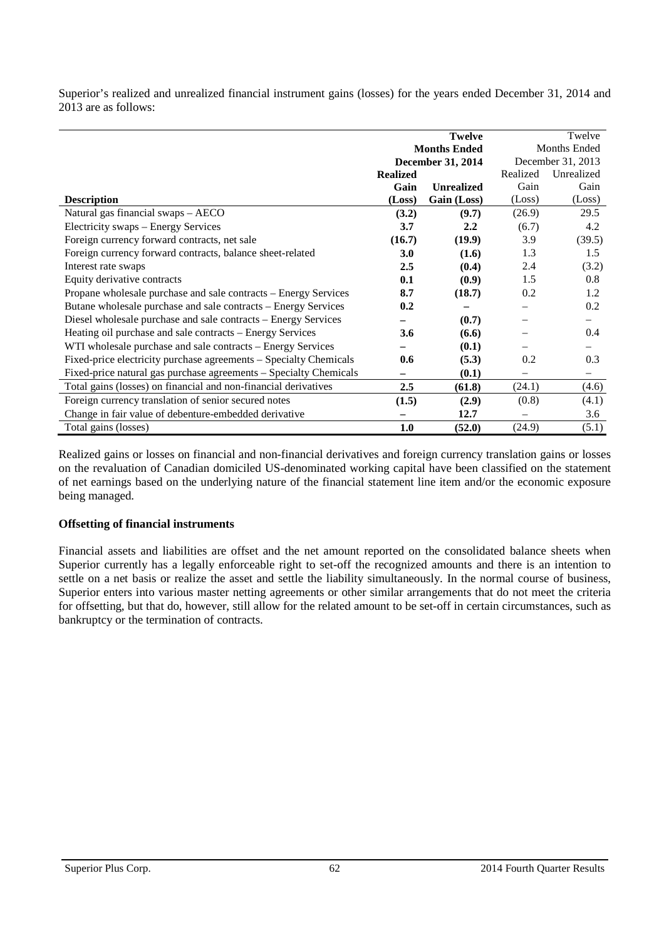Superior's realized and unrealized financial instrument gains (losses) for the years ended December 31, 2014 and 2013 are as follows:

|                                                                   |                     | <b>Twelve</b>            | Twelve       |                   |  |
|-------------------------------------------------------------------|---------------------|--------------------------|--------------|-------------------|--|
|                                                                   | <b>Months Ended</b> |                          | Months Ended |                   |  |
|                                                                   |                     | <b>December 31, 2014</b> |              | December 31, 2013 |  |
|                                                                   | <b>Realized</b>     |                          | Realized     | Unrealized        |  |
|                                                                   | Gain                | <b>Unrealized</b>        | Gain         | Gain              |  |
| <b>Description</b>                                                | (Loss)              | Gain (Loss)              | (Loss)       | (Loss)            |  |
| Natural gas financial swaps - AECO                                | (3.2)               | (9.7)                    | (26.9)       | 29.5              |  |
| Electricity swaps – Energy Services                               | 3.7                 | $2.2\phantom{0}$         | (6.7)        | 4.2               |  |
| Foreign currency forward contracts, net sale                      | (16.7)              | (19.9)                   | 3.9          | (39.5)            |  |
| Foreign currency forward contracts, balance sheet-related         | 3.0                 | (1.6)                    | 1.3          | 1.5               |  |
| Interest rate swaps                                               | 2.5                 | (0.4)                    | 2.4          | (3.2)             |  |
| Equity derivative contracts                                       | 0.1                 | (0.9)                    | 1.5          | 0.8               |  |
| Propane wholesale purchase and sale contracts – Energy Services   | 8.7                 | (18.7)                   | 0.2          | 1.2               |  |
| Butane wholesale purchase and sale contracts – Energy Services    | 0.2                 |                          |              | 0.2               |  |
| Diesel wholesale purchase and sale contracts – Energy Services    |                     | (0.7)                    |              |                   |  |
| Heating oil purchase and sale contracts – Energy Services         | 3.6                 | (6.6)                    |              | 0.4               |  |
| WTI wholesale purchase and sale contracts – Energy Services       |                     | (0.1)                    |              |                   |  |
| Fixed-price electricity purchase agreements – Specialty Chemicals | 0.6                 | (5.3)                    | 0.2          | 0.3               |  |
| Fixed-price natural gas purchase agreements – Specialty Chemicals |                     | (0.1)                    |              |                   |  |
| Total gains (losses) on financial and non-financial derivatives   | $2.5\,$             | (61.8)                   | (24.1)       | (4.6)             |  |
| Foreign currency translation of senior secured notes              | (1.5)               | (2.9)                    | (0.8)        | (4.1)             |  |
| Change in fair value of debenture-embedded derivative             |                     | 12.7                     |              | 3.6               |  |
| Total gains (losses)                                              | 1.0                 | (52.0)                   | (24.9)       | (5.1)             |  |

Realized gains or losses on financial and non-financial derivatives and foreign currency translation gains or losses on the revaluation of Canadian domiciled US-denominated working capital have been classified on the statement of net earnings based on the underlying nature of the financial statement line item and/or the economic exposure being managed.

## **Offsetting of financial instruments**

Financial assets and liabilities are offset and the net amount reported on the consolidated balance sheets when Superior currently has a legally enforceable right to set-off the recognized amounts and there is an intention to settle on a net basis or realize the asset and settle the liability simultaneously. In the normal course of business, Superior enters into various master netting agreements or other similar arrangements that do not meet the criteria for offsetting, but that do, however, still allow for the related amount to be set-off in certain circumstances, such as bankruptcy or the termination of contracts.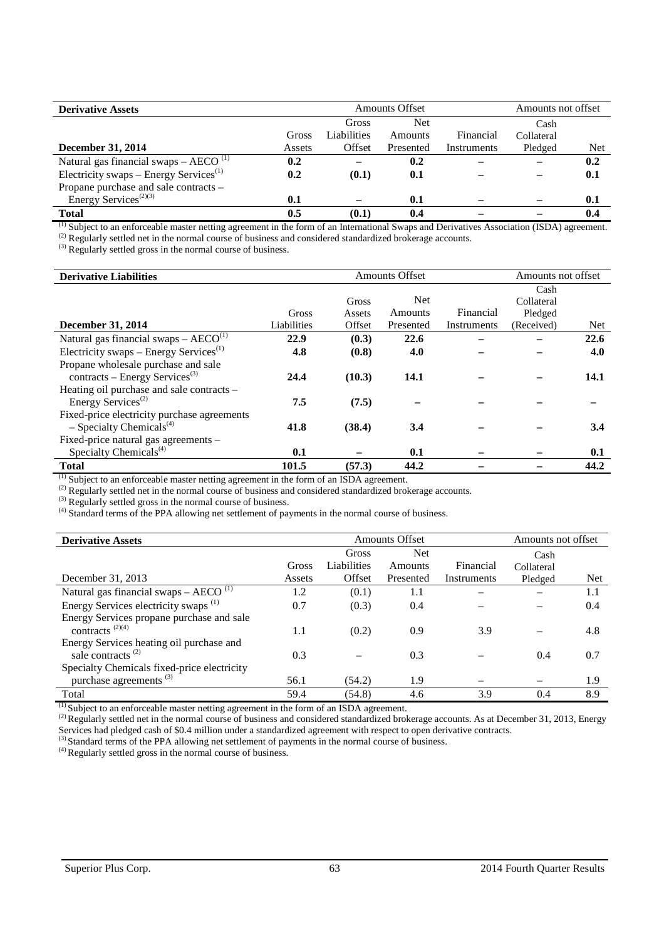| <b>Derivative Assets</b>                                         |        | <b>Amounts Offset</b> | Amounts not offset |             |            |            |
|------------------------------------------------------------------|--------|-----------------------|--------------------|-------------|------------|------------|
|                                                                  |        | Gross                 | <b>Net</b>         |             | Cash       |            |
|                                                                  | Gross  | <b>Liabilities</b>    | Amounts            | Financial   | Collateral |            |
| December 31, 2014                                                | Assets | Offset                | Presented          | Instruments | Pledged    | <b>Net</b> |
| Natural gas financial swaps $-$ AECO <sup><math>(1)</math></sup> | 0.2    |                       | 0.2                |             |            | 0.2        |
| Electricity swaps – Energy Services <sup>(1)</sup>               | 0.2    | (0.1)                 | 0.1                |             |            | 0.1        |
| Propane purchase and sale contracts -                            |        |                       |                    |             |            |            |
| Energy Services <sup><math>(2)(3)</math></sup>                   | 0.1    |                       | 0.1                |             |            | 0.1        |
| <b>Total</b>                                                     | 0.5    | (0.1)                 | 0.4                |             |            | 0.4        |

(1) Subject to an enforceable master netting agreement in the form of an International Swaps and Derivatives Association (ISDA) agreement.

<sup>(2)</sup> Regularly settled net in the normal course of business and considered standardized brokerage accounts.

(3) Regularly settled gross in the normal course of business.

| <b>Derivative Liabilities</b>                       | Amounts Offset |        |            |             | Amounts not offset |      |
|-----------------------------------------------------|----------------|--------|------------|-------------|--------------------|------|
|                                                     |                |        |            |             | Cash               |      |
|                                                     |                | Gross  | <b>Net</b> |             | Collateral         |      |
|                                                     | Gross          | Assets | Amounts    | Financial   | Pledged            |      |
| <b>December 31, 2014</b>                            | Liabilities    | Offset | Presented  | Instruments | (Received)         | Net  |
| Natural gas financial swaps $-$ AECO <sup>(1)</sup> | 22.9           | (0.3)  | 22.6       |             |                    | 22.6 |
| Electricity swaps – Energy Services <sup>(1)</sup>  | 4.8            | (0.8)  | 4.0        |             |                    | 4.0  |
| Propane wholesale purchase and sale                 |                |        |            |             |                    |      |
| $contrast - Energy Services^{(3)}$                  | 24.4           | (10.3) | 14.1       |             |                    | 14.1 |
| Heating oil purchase and sale contracts -           |                |        |            |             |                    |      |
| Energy Services <sup>(2)</sup>                      | 7.5            | (7.5)  |            |             |                    |      |
| Fixed-price electricity purchase agreements         |                |        |            |             |                    |      |
| $-$ Specialty Chemicals <sup>(4)</sup>              | 41.8           | (38.4) | 3.4        |             |                    | 3.4  |
| Fixed-price natural gas agreements -                |                |        |            |             |                    |      |
| Specialty Chemicals <sup>(4)</sup>                  | 0.1            |        | 0.1        |             |                    | 0.1  |
| <b>Total</b>                                        | 101.5          | (57.3) | 44.2       |             |                    | 44.2 |

 $<sup>(1)</sup>$  Subject to an enforceable master netting agreement in the form of an ISDA agreement.</sup>

 $^{(2)}$  Regularly settled net in the normal course of business and considered standardized brokerage accounts.

 $<sup>(3)</sup>$  Regularly settled gross in the normal course of business.</sup>

<sup>(4)</sup> Standard terms of the PPA allowing net settlement of payments in the normal course of business.

| <b>Derivative Assets</b>                                                              | <b>Amounts Offset</b><br>Amounts not offset |             |            |             |            |            |
|---------------------------------------------------------------------------------------|---------------------------------------------|-------------|------------|-------------|------------|------------|
|                                                                                       |                                             | Gross       | <b>Net</b> |             | Cash       |            |
|                                                                                       | Gross                                       | Liabilities | Amounts    | Financial   | Collateral |            |
| December 31, 2013                                                                     | Assets                                      | Offset      | Presented  | Instruments | Pledged    | <b>Net</b> |
| Natural gas financial swaps $-$ AECO <sup><math>(1)</math></sup>                      | 1.2                                         | (0.1)       | 1.1        |             |            | 1.1        |
| Energy Services electricity swaps <sup>(1)</sup>                                      | 0.7                                         | (0.3)       | 0.4        |             |            | 0.4        |
| Energy Services propane purchase and sale<br>contracts <sup><math>(2)(4)</math></sup> | 1.1                                         | (0.2)       | 0.9        | 3.9         |            | 4.8        |
| Energy Services heating oil purchase and                                              |                                             |             |            |             |            |            |
| sale contracts <sup><math>(2)</math></sup>                                            | 0.3                                         |             | 0.3        |             | 0.4        | 0.7        |
| Specialty Chemicals fixed-price electricity                                           |                                             |             |            |             |            |            |
| purchase agreements <sup>(3)</sup>                                                    | 56.1                                        | (54.2)      | 1.9        |             |            | 1.9        |
| Total                                                                                 | 59.4                                        | (54.8)      | 4.6        | 3.9         | 0.4        | 8.9        |

(1) Subject to an enforceable master netting agreement in the form of an ISDA agreement.

<sup>(2)</sup> Regularly settled net in the normal course of business and considered standardized brokerage accounts. As at December 31, 2013, Energy Services had pledged cash of \$0.4 million under a standardized agreement with respect to open derivative contracts.

<sup>(3)</sup> Standard terms of the PPA allowing net settlement of payments in the normal course of business.

(4) Regularly settled gross in the normal course of business.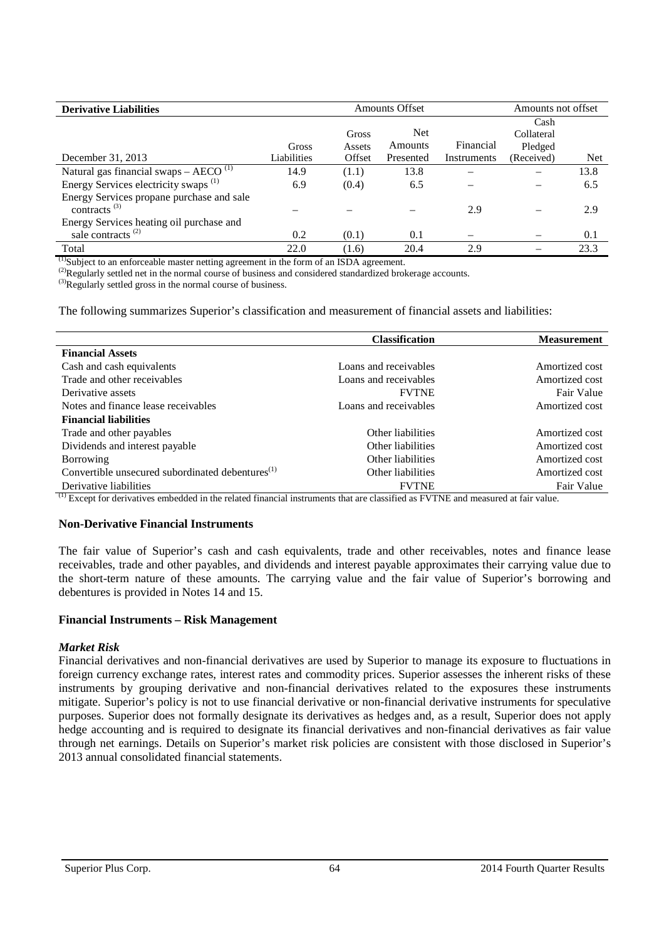| <b>Derivative Liabilities</b>                                    | <b>Amounts Offset</b> |        |            | Amounts not offset |            |            |
|------------------------------------------------------------------|-----------------------|--------|------------|--------------------|------------|------------|
|                                                                  |                       |        |            |                    | Cash       |            |
|                                                                  |                       | Gross  | <b>Net</b> |                    | Collateral |            |
|                                                                  | Gross                 | Assets | Amounts    | Financial          | Pledged    |            |
| December 31, 2013                                                | Liabilities           | Offset | Presented  | Instruments        | (Received) | <b>Net</b> |
| Natural gas financial swaps $-$ AECO <sup><math>(1)</math></sup> | 14.9                  | (1.1)  | 13.8       |                    |            | 13.8       |
| Energy Services electricity swaps <sup>(1)</sup>                 | 6.9                   | (0.4)  | 6.5        |                    |            | 6.5        |
| Energy Services propane purchase and sale                        |                       |        |            |                    |            |            |
| contracts <sup><math>(3)</math></sup>                            |                       |        |            | 2.9                |            | 2.9        |
| Energy Services heating oil purchase and                         |                       |        |            |                    |            |            |
| sale contracts <sup><math>(2)</math></sup>                       | 0.2                   | (0.1)  | 0.1        |                    |            | 0.1        |
| Total                                                            | 22.0                  | (1.6)  | 20.4       | 2.9                |            | 23.3       |

(1)Subject to an enforceable master netting agreement in the form of an ISDA agreement.

<sup>(2)</sup>Regularly settled net in the normal course of business and considered standardized brokerage accounts.

(3)Regularly settled gross in the normal course of business.

The following summarizes Superior's classification and measurement of financial assets and liabilities:

|                                                              | <b>Classification</b> | <b>Measurement</b> |
|--------------------------------------------------------------|-----------------------|--------------------|
| <b>Financial Assets</b>                                      |                       |                    |
| Cash and cash equivalents                                    | Loans and receivables | Amortized cost     |
| Trade and other receivables                                  | Loans and receivables | Amortized cost     |
| Derivative assets                                            | <b>FVTNE</b>          | Fair Value         |
| Notes and finance lease receivables                          | Loans and receivables | Amortized cost     |
| <b>Financial liabilities</b>                                 |                       |                    |
| Trade and other payables                                     | Other liabilities     | Amortized cost     |
| Dividends and interest payable                               | Other liabilities     | Amortized cost     |
| Borrowing                                                    | Other liabilities     | Amortized cost     |
| Convertible unsecured subordinated debentures <sup>(1)</sup> | Other liabilities     | Amortized cost     |
| Derivative liabilities<br>(1)                                | <b>FVTNE</b>          | Fair Value         |

<sup>(1)</sup> Except for derivatives embedded in the related financial instruments that are classified as FVTNE and measured at fair value.

#### **Non-Derivative Financial Instruments**

The fair value of Superior's cash and cash equivalents, trade and other receivables, notes and finance lease receivables, trade and other payables, and dividends and interest payable approximates their carrying value due to the short-term nature of these amounts. The carrying value and the fair value of Superior's borrowing and debentures is provided in Notes 14 and 15.

#### **Financial Instruments – Risk Management**

### *Market Risk*

Financial derivatives and non-financial derivatives are used by Superior to manage its exposure to fluctuations in foreign currency exchange rates, interest rates and commodity prices. Superior assesses the inherent risks of these instruments by grouping derivative and non-financial derivatives related to the exposures these instruments mitigate. Superior's policy is not to use financial derivative or non-financial derivative instruments for speculative purposes. Superior does not formally designate its derivatives as hedges and, as a result, Superior does not apply hedge accounting and is required to designate its financial derivatives and non-financial derivatives as fair value through net earnings. Details on Superior's market risk policies are consistent with those disclosed in Superior's 2013 annual consolidated financial statements.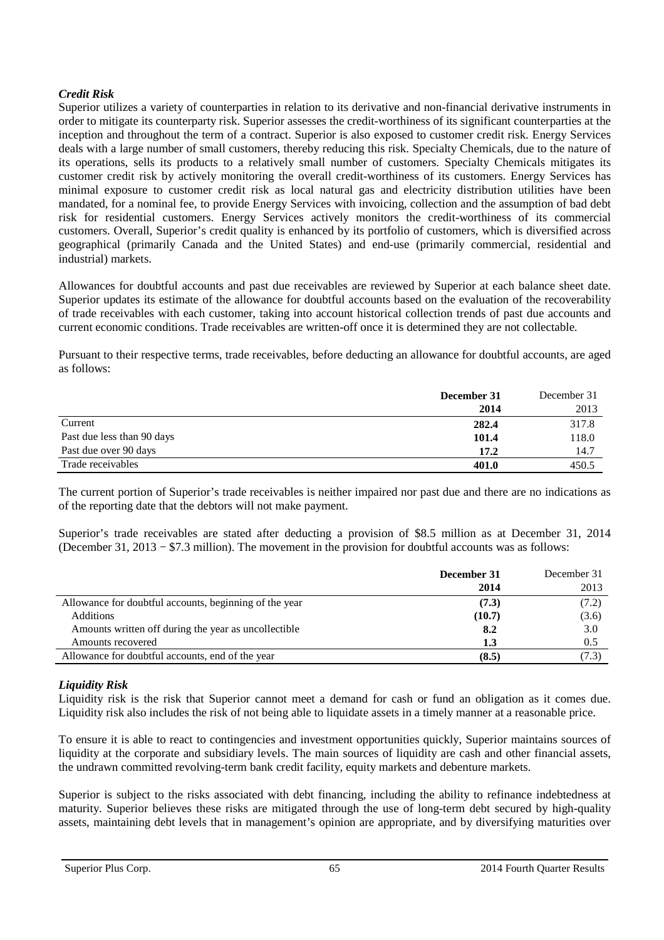## *Credit Risk*

Superior utilizes a variety of counterparties in relation to its derivative and non-financial derivative instruments in order to mitigate its counterparty risk. Superior assesses the credit-worthiness of its significant counterparties at the inception and throughout the term of a contract. Superior is also exposed to customer credit risk. Energy Services deals with a large number of small customers, thereby reducing this risk. Specialty Chemicals, due to the nature of its operations, sells its products to a relatively small number of customers. Specialty Chemicals mitigates its customer credit risk by actively monitoring the overall credit-worthiness of its customers. Energy Services has minimal exposure to customer credit risk as local natural gas and electricity distribution utilities have been mandated, for a nominal fee, to provide Energy Services with invoicing, collection and the assumption of bad debt risk for residential customers. Energy Services actively monitors the credit-worthiness of its commercial customers. Overall, Superior's credit quality is enhanced by its portfolio of customers, which is diversified across geographical (primarily Canada and the United States) and end-use (primarily commercial, residential and industrial) markets.

Allowances for doubtful accounts and past due receivables are reviewed by Superior at each balance sheet date. Superior updates its estimate of the allowance for doubtful accounts based on the evaluation of the recoverability of trade receivables with each customer, taking into account historical collection trends of past due accounts and current economic conditions. Trade receivables are written-off once it is determined they are not collectable.

Pursuant to their respective terms, trade receivables, before deducting an allowance for doubtful accounts, are aged as follows:

|                            | December 31 | December 31 |
|----------------------------|-------------|-------------|
|                            | 2014        | 2013        |
| Current                    | 282.4       | 317.8       |
| Past due less than 90 days | 101.4       | 118.0       |
| Past due over 90 days      | 17.2        | 14.7        |
| Trade receivables          | 401.0       | 450.5       |

The current portion of Superior's trade receivables is neither impaired nor past due and there are no indications as of the reporting date that the debtors will not make payment.

Superior's trade receivables are stated after deducting a provision of \$8.5 million as at December 31, 2014 (December 31, 2013 − \$7.3 million). The movement in the provision for doubtful accounts was as follows:

|                                                        | December 31 | December 31 |
|--------------------------------------------------------|-------------|-------------|
|                                                        | 2014        | 2013        |
| Allowance for doubtful accounts, beginning of the year | (7.3)       | (7.2)       |
| <b>Additions</b>                                       | (10.7)      | (3.6)       |
| Amounts written off during the year as uncollectible   | 8.2         | 3.0         |
| Amounts recovered                                      | 1.3         | 0.5         |
| Allowance for doubtful accounts, end of the year       | (8.5)       | (7.3)       |

## *Liquidity Risk*

Liquidity risk is the risk that Superior cannot meet a demand for cash or fund an obligation as it comes due. Liquidity risk also includes the risk of not being able to liquidate assets in a timely manner at a reasonable price.

To ensure it is able to react to contingencies and investment opportunities quickly, Superior maintains sources of liquidity at the corporate and subsidiary levels. The main sources of liquidity are cash and other financial assets, the undrawn committed revolving-term bank credit facility, equity markets and debenture markets.

Superior is subject to the risks associated with debt financing, including the ability to refinance indebtedness at maturity. Superior believes these risks are mitigated through the use of long-term debt secured by high-quality assets, maintaining debt levels that in management's opinion are appropriate, and by diversifying maturities over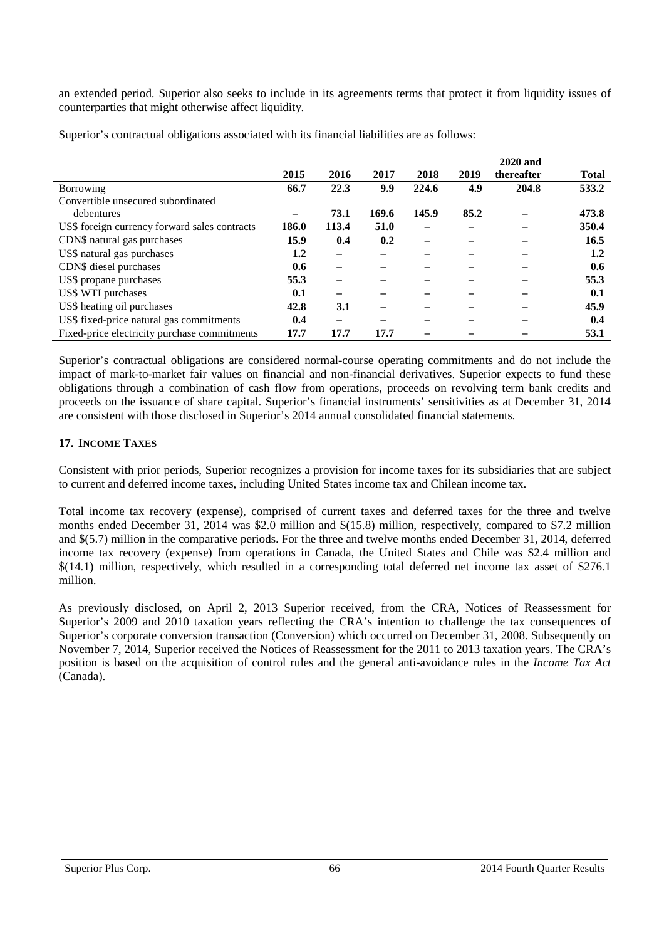an extended period. Superior also seeks to include in its agreements terms that protect it from liquidity issues of counterparties that might otherwise affect liquidity.

|                                               |         |       |       |       |      | 2020 and   |              |
|-----------------------------------------------|---------|-------|-------|-------|------|------------|--------------|
|                                               | 2015    | 2016  | 2017  | 2018  | 2019 | thereafter | <b>Total</b> |
| Borrowing                                     | 66.7    | 22.3  | 9.9   | 224.6 | 4.9  | 204.8      | 533.2        |
| Convertible unsecured subordinated            |         |       |       |       |      |            |              |
| debentures                                    |         | 73.1  | 169.6 | 145.9 | 85.2 |            | 473.8        |
| US\$ foreign currency forward sales contracts | 186.0   | 113.4 | 51.0  |       |      |            | 350.4        |
| CDN\$ natural gas purchases                   | 15.9    | 0.4   | 0.2   |       |      |            | 16.5         |
| US\$ natural gas purchases                    | $1.2\,$ | —     |       |       |      |            | 1.2          |
| CDN\$ diesel purchases                        | 0.6     |       |       |       |      |            | 0.6          |
| US\$ propane purchases                        | 55.3    |       |       |       |      |            | 55.3         |
| US\$ WTI purchases                            | 0.1     | —     |       |       |      |            | 0.1          |
| US\$ heating oil purchases                    | 42.8    | 3.1   |       |       |      |            | 45.9         |
| US\$ fixed-price natural gas commitments      | 0.4     | —     |       |       |      |            | 0.4          |
| Fixed-price electricity purchase commitments  | 17.7    | 17.7  | 17.7  |       |      |            | 53.1         |

Superior's contractual obligations associated with its financial liabilities are as follows:

Superior's contractual obligations are considered normal-course operating commitments and do not include the impact of mark-to-market fair values on financial and non-financial derivatives. Superior expects to fund these obligations through a combination of cash flow from operations, proceeds on revolving term bank credits and proceeds on the issuance of share capital. Superior's financial instruments' sensitivities as at December 31, 2014 are consistent with those disclosed in Superior's 2014 annual consolidated financial statements.

## **17. INCOME TAXES**

Consistent with prior periods, Superior recognizes a provision for income taxes for its subsidiaries that are subject to current and deferred income taxes, including United States income tax and Chilean income tax.

Total income tax recovery (expense), comprised of current taxes and deferred taxes for the three and twelve months ended December 31, 2014 was \$2.0 million and \$(15.8) million, respectively, compared to \$7.2 million and \$(5.7) million in the comparative periods. For the three and twelve months ended December 31, 2014, deferred income tax recovery (expense) from operations in Canada, the United States and Chile was \$2.4 million and \$(14.1) million, respectively, which resulted in a corresponding total deferred net income tax asset of \$276.1 million.

As previously disclosed, on April 2, 2013 Superior received, from the CRA, Notices of Reassessment for Superior's 2009 and 2010 taxation years reflecting the CRA's intention to challenge the tax consequences of Superior's corporate conversion transaction (Conversion) which occurred on December 31, 2008. Subsequently on November 7, 2014, Superior received the Notices of Reassessment for the 2011 to 2013 taxation years. The CRA's position is based on the acquisition of control rules and the general anti-avoidance rules in the *Income Tax Act* (Canada).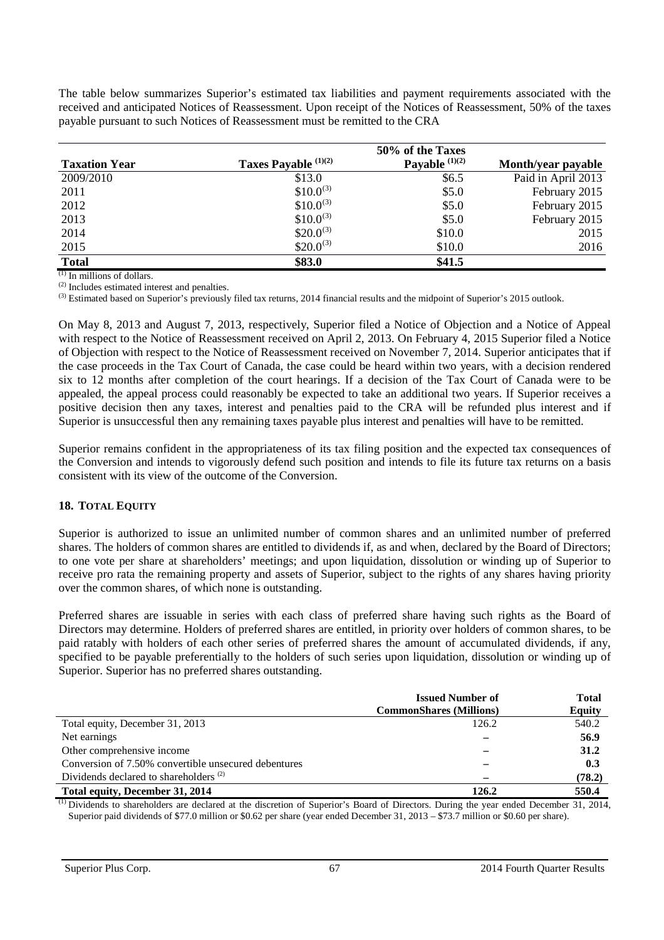The table below summarizes Superior's estimated tax liabilities and payment requirements associated with the received and anticipated Notices of Reassessment. Upon receipt of the Notices of Reassessment, 50% of the taxes payable pursuant to such Notices of Reassessment must be remitted to the CRA

|                      |                      | 50% of the Taxes    |                    |
|----------------------|----------------------|---------------------|--------------------|
| <b>Taxation Year</b> | Taxes Payable (1)(2) | Payable $^{(1)(2)}$ | Month/year payable |
| 2009/2010            | \$13.0               | \$6.5               | Paid in April 2013 |
| 2011                 | $$10.0^{(3)}$        | \$5.0               | February 2015      |
| 2012                 | $$10.0^{(3)}$        | \$5.0               | February 2015      |
| 2013                 | $$10.0^{(3)}$        | \$5.0               | February 2015      |
| 2014                 | $$20.0^{(3)}$        | \$10.0              | 2015               |
| 2015                 | $$20.0^{(3)}$        | \$10.0              | 2016               |
| <b>Total</b>         | \$83.0               | \$41.5              |                    |

(1) In millions of dollars.

(2) Includes estimated interest and penalties.

<sup>(3)</sup> Estimated based on Superior's previously filed tax returns, 2014 financial results and the midpoint of Superior's 2015 outlook.

On May 8, 2013 and August 7, 2013, respectively, Superior filed a Notice of Objection and a Notice of Appeal with respect to the Notice of Reassessment received on April 2, 2013. On February 4, 2015 Superior filed a Notice of Objection with respect to the Notice of Reassessment received on November 7, 2014. Superior anticipates that if the case proceeds in the Tax Court of Canada, the case could be heard within two years, with a decision rendered six to 12 months after completion of the court hearings. If a decision of the Tax Court of Canada were to be appealed, the appeal process could reasonably be expected to take an additional two years. If Superior receives a positive decision then any taxes, interest and penalties paid to the CRA will be refunded plus interest and if Superior is unsuccessful then any remaining taxes payable plus interest and penalties will have to be remitted.

Superior remains confident in the appropriateness of its tax filing position and the expected tax consequences of the Conversion and intends to vigorously defend such position and intends to file its future tax returns on a basis consistent with its view of the outcome of the Conversion.

### **18. TOTAL EQUITY**

Superior is authorized to issue an unlimited number of common shares and an unlimited number of preferred shares. The holders of common shares are entitled to dividends if, as and when, declared by the Board of Directors; to one vote per share at shareholders' meetings; and upon liquidation, dissolution or winding up of Superior to receive pro rata the remaining property and assets of Superior, subject to the rights of any shares having priority over the common shares, of which none is outstanding.

Preferred shares are issuable in series with each class of preferred share having such rights as the Board of Directors may determine. Holders of preferred shares are entitled, in priority over holders of common shares, to be paid ratably with holders of each other series of preferred shares the amount of accumulated dividends, if any, specified to be payable preferentially to the holders of such series upon liquidation, dissolution or winding up of Superior. Superior has no preferred shares outstanding.

|                                                      | <b>Issued Number of</b><br><b>CommonShares</b> (Millions) | Total<br><b>Equity</b> |
|------------------------------------------------------|-----------------------------------------------------------|------------------------|
| Total equity, December 31, 2013                      | 126.2                                                     | 540.2                  |
| Net earnings                                         |                                                           | 56.9                   |
| Other comprehensive income                           |                                                           | 31.2                   |
| Conversion of 7.50% convertible unsecured debentures |                                                           | 0.3                    |
| Dividends declared to shareholders <sup>(2)</sup>    |                                                           | (78.2)                 |
| Total equity, December 31, 2014                      | 126.2                                                     | 550.4                  |

 $<sup>(1)</sup>$  Dividends to shareholders are declared at the discretion of Superior's Board of Directors. During the year ended December 31, 2014,</sup> Superior paid dividends of \$77.0 million or \$0.62 per share (year ended December 31, 2013 – \$73.7 million or \$0.60 per share).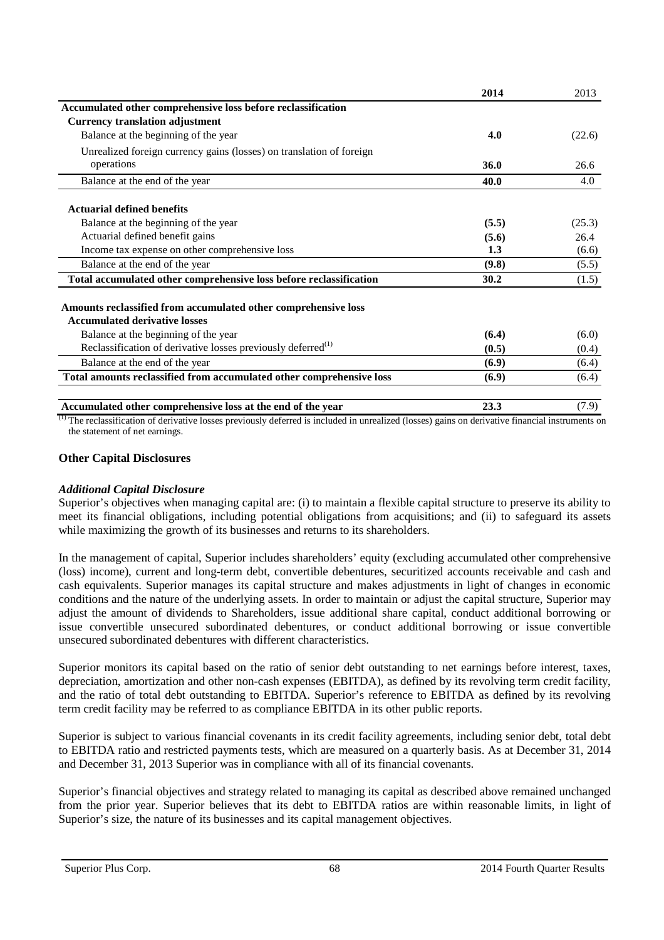|                                                                          | 2014  | 2013   |
|--------------------------------------------------------------------------|-------|--------|
| Accumulated other comprehensive loss before reclassification             |       |        |
| <b>Currency translation adjustment</b>                                   |       |        |
| Balance at the beginning of the year                                     | 4.0   | (22.6) |
| Unrealized foreign currency gains (losses) on translation of foreign     |       |        |
| operations                                                               | 36.0  | 26.6   |
| Balance at the end of the year                                           | 40.0  | 4.0    |
| <b>Actuarial defined benefits</b>                                        |       |        |
| Balance at the beginning of the year                                     | (5.5) | (25.3) |
| Actuarial defined benefit gains                                          | (5.6) | 26.4   |
| Income tax expense on other comprehensive loss                           | 1.3   | (6.6)  |
| Balance at the end of the year                                           | (9.8) | (5.5)  |
| Total accumulated other comprehensive loss before reclassification       | 30.2  | (1.5)  |
| Amounts reclassified from accumulated other comprehensive loss           |       |        |
| <b>Accumulated derivative losses</b>                                     |       |        |
| Balance at the beginning of the year                                     | (6.4) | (6.0)  |
| Reclassification of derivative losses previously deferred <sup>(1)</sup> | (0.5) | (0.4)  |
| Balance at the end of the year                                           | (6.9) | (6.4)  |
| Total amounts reclassified from accumulated other comprehensive loss     | (6.9) | (6.4)  |
| Accumulated other comprehensive loss at the end of the year              | 23.3  | (7.9)  |

 $<sup>(1)</sup>$  The reclassification of derivative losses previously deferred is included in unrealized (losses) gains on derivative financial instruments on</sup> the statement of net earnings.

## **Other Capital Disclosures**

### *Additional Capital Disclosure*

Superior's objectives when managing capital are: (i) to maintain a flexible capital structure to preserve its ability to meet its financial obligations, including potential obligations from acquisitions; and (ii) to safeguard its assets while maximizing the growth of its businesses and returns to its shareholders.

In the management of capital, Superior includes shareholders' equity (excluding accumulated other comprehensive (loss) income), current and long-term debt, convertible debentures, securitized accounts receivable and cash and cash equivalents. Superior manages its capital structure and makes adjustments in light of changes in economic conditions and the nature of the underlying assets. In order to maintain or adjust the capital structure, Superior may adjust the amount of dividends to Shareholders, issue additional share capital, conduct additional borrowing or issue convertible unsecured subordinated debentures, or conduct additional borrowing or issue convertible unsecured subordinated debentures with different characteristics.

Superior monitors its capital based on the ratio of senior debt outstanding to net earnings before interest, taxes, depreciation, amortization and other non-cash expenses (EBITDA), as defined by its revolving term credit facility, and the ratio of total debt outstanding to EBITDA. Superior's reference to EBITDA as defined by its revolving term credit facility may be referred to as compliance EBITDA in its other public reports.

Superior is subject to various financial covenants in its credit facility agreements, including senior debt, total debt to EBITDA ratio and restricted payments tests, which are measured on a quarterly basis. As at December 31, 2014 and December 31, 2013 Superior was in compliance with all of its financial covenants.

Superior's financial objectives and strategy related to managing its capital as described above remained unchanged from the prior year. Superior believes that its debt to EBITDA ratios are within reasonable limits, in light of Superior's size, the nature of its businesses and its capital management objectives.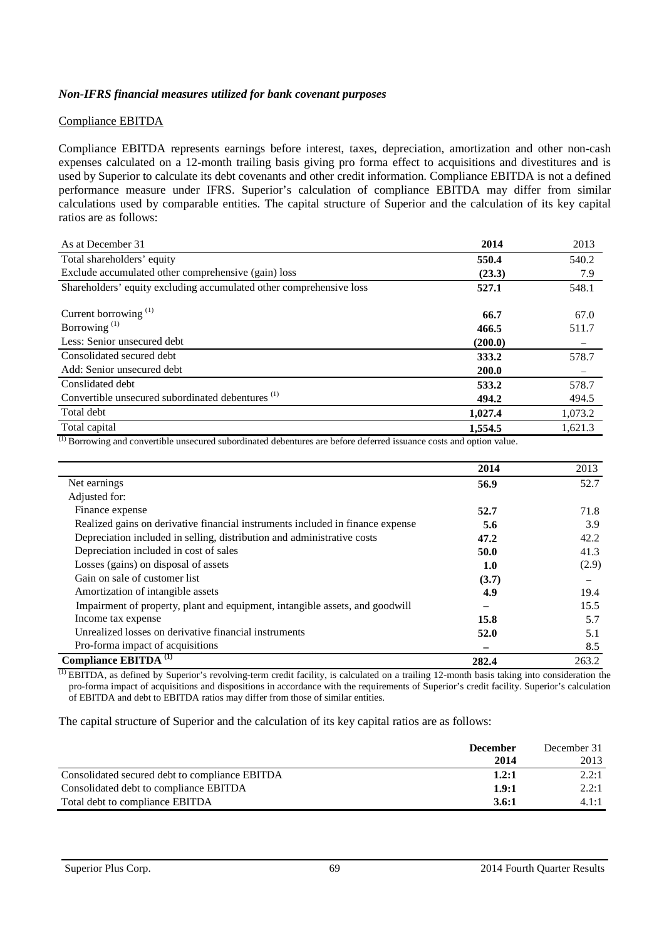### *Non-IFRS financial measures utilized for bank covenant purposes*

### Compliance EBITDA

Compliance EBITDA represents earnings before interest, taxes, depreciation, amortization and other non-cash expenses calculated on a 12-month trailing basis giving pro forma effect to acquisitions and divestitures and is used by Superior to calculate its debt covenants and other credit information. Compliance EBITDA is not a defined performance measure under IFRS. Superior's calculation of compliance EBITDA may differ from similar calculations used by comparable entities. The capital structure of Superior and the calculation of its key capital ratios are as follows:

| As at December 31                                                   | 2014         | 2013    |
|---------------------------------------------------------------------|--------------|---------|
| Total shareholders' equity                                          | 550.4        | 540.2   |
| Exclude accumulated other comprehensive (gain) loss                 | (23.3)       | 7.9     |
| Shareholders' equity excluding accumulated other comprehensive loss | 527.1        | 548.1   |
|                                                                     |              |         |
| Current borrowing $^{(1)}$                                          | 66.7         | 67.0    |
| Borrowing <sup>(1)</sup>                                            | 466.5        | 511.7   |
| Less: Senior unsecured debt                                         | (200.0)      |         |
| Consolidated secured debt                                           | 333.2        | 578.7   |
| Add: Senior unsecured debt                                          | <b>200.0</b> |         |
| Conslidated debt                                                    | 533.2        | 578.7   |
| Convertible unsecured subordinated debentures <sup>(1)</sup>        | 494.2        | 494.5   |
| Total debt                                                          | 1,027.4      | 1,073.2 |
| Total capital                                                       | 1,554.5      | 1,621.3 |

 $<sup>(1)</sup>$  Borrowing and convertible unsecured subordinated debentures are before deferred issuance costs and option value.</sup>

|                                                                                | 2014  | 2013  |
|--------------------------------------------------------------------------------|-------|-------|
| Net earnings                                                                   | 56.9  | 52.7  |
| Adjusted for:                                                                  |       |       |
| Finance expense                                                                | 52.7  | 71.8  |
| Realized gains on derivative financial instruments included in finance expense | 5.6   | 3.9   |
| Depreciation included in selling, distribution and administrative costs        | 47.2  | 42.2  |
| Depreciation included in cost of sales                                         | 50.0  | 41.3  |
| Losses (gains) on disposal of assets                                           | 1.0   | (2.9) |
| Gain on sale of customer list                                                  | (3.7) |       |
| Amortization of intangible assets                                              | 4.9   | 19.4  |
| Impairment of property, plant and equipment, intangible assets, and goodwill   |       | 15.5  |
| Income tax expense                                                             | 15.8  | 5.7   |
| Unrealized losses on derivative financial instruments                          | 52.0  | 5.1   |
| Pro-forma impact of acquisitions                                               |       | 8.5   |
| Compliance EBITDA <sup>(1)</sup>                                               | 282.4 | 263.2 |

<sup>(1)</sup> EBITDA, as defined by Superior's revolving-term credit facility, is calculated on a trailing 12-month basis taking into consideration the pro-forma impact of acquisitions and dispositions in accordance with the requirements of Superior's credit facility. Superior's calculation of EBITDA and debt to EBITDA ratios may differ from those of similar entities.

The capital structure of Superior and the calculation of its key capital ratios are as follows:

|                                                | <b>December</b> | December 31 |
|------------------------------------------------|-----------------|-------------|
|                                                | 2014            | 2013        |
| Consolidated secured debt to compliance EBITDA | 1.2:1           | 2.2:1       |
| Consolidated debt to compliance EBITDA         | 1.9:1           | 2.2:1       |
| Total debt to compliance EBITDA                | 3.6:1           | 4.1:1       |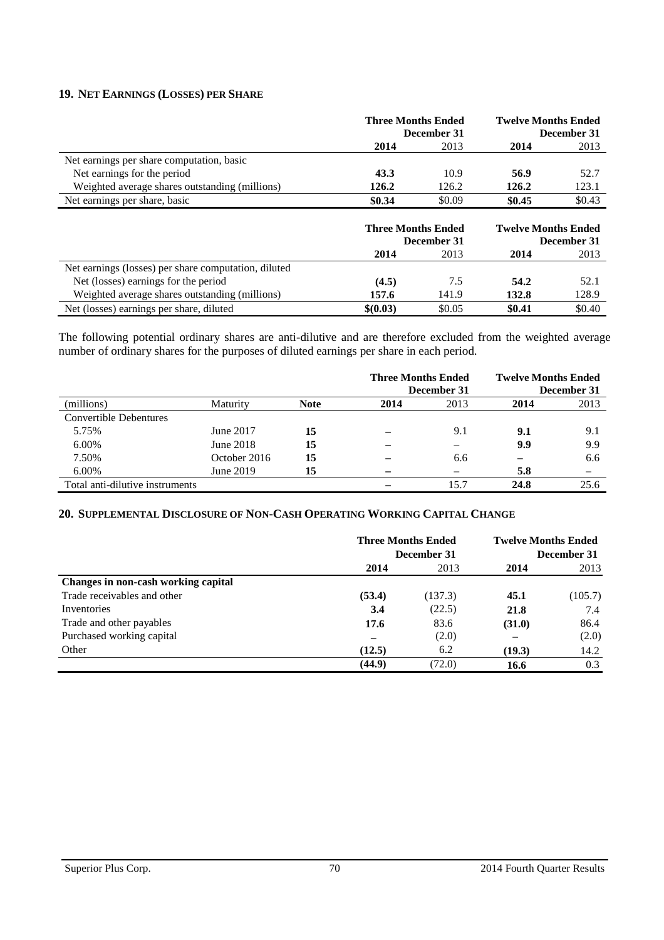### **19. NET EARNINGS (LOSSES) PER SHARE**

|                                                | <b>Three Months Ended</b><br>December 31 |        | <b>Twelve Months Ended</b><br>December 31 |        |
|------------------------------------------------|------------------------------------------|--------|-------------------------------------------|--------|
|                                                | 2014                                     | 2013   | 2014                                      | 2013   |
| Net earnings per share computation, basic      |                                          |        |                                           |        |
| Net earnings for the period                    | 43.3                                     | 10.9   | 56.9                                      | 52.7   |
| Weighted average shares outstanding (millions) | 126.2                                    | 126.2  | 126.2                                     | 123.1  |
| Net earnings per share, basic                  | \$0.34                                   | \$0.09 | \$0.45                                    | \$0.43 |

|                                                      | <b>Three Months Ended</b><br>December 31 |        | <b>Twelve Months Ended</b><br>December 31 |        |
|------------------------------------------------------|------------------------------------------|--------|-------------------------------------------|--------|
|                                                      | 2014                                     | 2013   | 2014                                      | 2013   |
| Net earnings (losses) per share computation, diluted |                                          |        |                                           |        |
| Net (losses) earnings for the period                 | (4.5)                                    | 7.5    | 54.2                                      | 52.1   |
| Weighted average shares outstanding (millions)       | 157.6                                    | 141.9  | 132.8                                     | 128.9  |
| Net (losses) earnings per share, diluted             | \$(0.03)                                 | \$0.05 | \$0.41                                    | \$0.40 |

The following potential ordinary shares are anti-dilutive and are therefore excluded from the weighted average number of ordinary shares for the purposes of diluted earnings per share in each period.

|                                 |              |             | <b>Three Months Ended</b><br>December 31 |      | <b>Twelve Months Ended</b> | December 31 |
|---------------------------------|--------------|-------------|------------------------------------------|------|----------------------------|-------------|
| (millions)                      | Maturity     | <b>Note</b> | 2014                                     | 2013 | 2014                       | 2013        |
| Convertible Debentures          |              |             |                                          |      |                            |             |
| 5.75%                           | June 2017    | 15          |                                          | 9.1  | 9.1                        | 9.1         |
| 6.00%                           | June 2018    | 15          |                                          |      | 9.9                        | 9.9         |
| 7.50%                           | October 2016 | 15          |                                          | 6.6  |                            | 6.6         |
| 6.00%                           | June 2019    | 15          |                                          |      | 5.8                        |             |
| Total anti-dilutive instruments |              |             |                                          | 15.7 | 24.8                       | 25.6        |

### **20. SUPPLEMENTAL DISCLOSURE OF NON-CASH OPERATING WORKING CAPITAL CHANGE**

|                                     | <b>Three Months Ended</b><br>December 31 |         | <b>Twelve Months Ended</b><br>December 31 |         |
|-------------------------------------|------------------------------------------|---------|-------------------------------------------|---------|
|                                     | 2014                                     | 2013    | 2014                                      | 2013    |
| Changes in non-cash working capital |                                          |         |                                           |         |
| Trade receivables and other         | (53.4)                                   | (137.3) | 45.1                                      | (105.7) |
| <b>Inventories</b>                  | 3.4                                      | (22.5)  | 21.8                                      | 7.4     |
| Trade and other payables            | 17.6                                     | 83.6    | (31.0)                                    | 86.4    |
| Purchased working capital           |                                          | (2.0)   |                                           | (2.0)   |
| Other                               | (12.5)                                   | 6.2     | (19.3)                                    | 14.2    |
|                                     | (44.9)                                   | (72.0)  | 16.6                                      | 0.3     |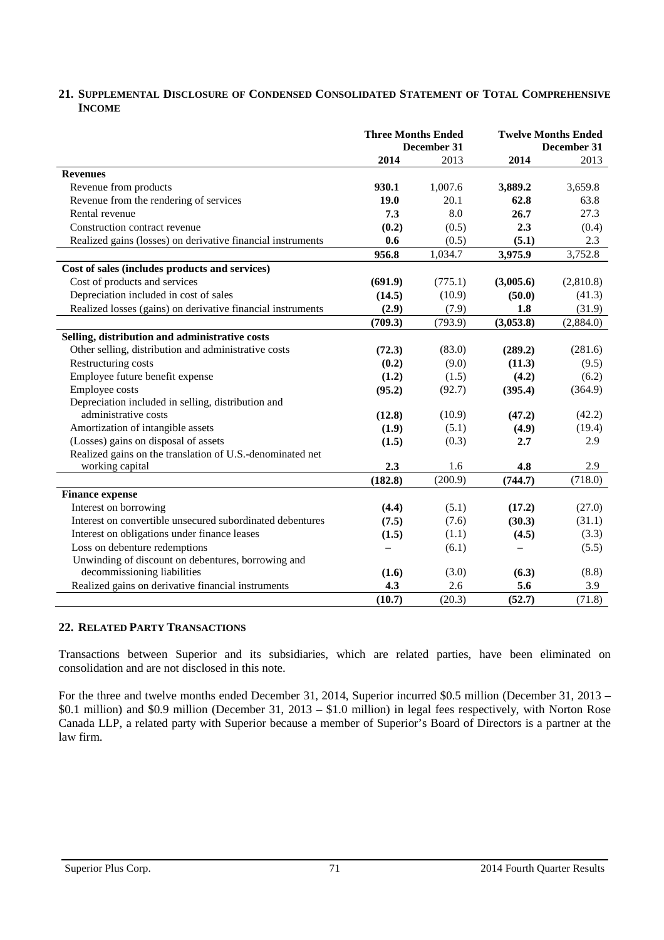## **21. SUPPLEMENTAL DISCLOSURE OF CONDENSED CONSOLIDATED STATEMENT OF TOTAL COMPREHENSIVE INCOME**

|                                                             | <b>Three Months Ended</b><br>December 31 |         |           | <b>Twelve Months Ended</b><br>December 31 |
|-------------------------------------------------------------|------------------------------------------|---------|-----------|-------------------------------------------|
|                                                             | 2014                                     | 2013    | 2014      | 2013                                      |
| <b>Revenues</b>                                             |                                          |         |           |                                           |
| Revenue from products                                       | 930.1                                    | 1,007.6 | 3,889.2   | 3,659.8                                   |
| Revenue from the rendering of services                      | 19.0                                     | 20.1    | 62.8      | 63.8                                      |
| Rental revenue                                              | 7.3                                      | 8.0     | 26.7      | 27.3                                      |
| Construction contract revenue                               | (0.2)                                    | (0.5)   | 2.3       | (0.4)                                     |
| Realized gains (losses) on derivative financial instruments | 0.6                                      | (0.5)   | (5.1)     | 2.3                                       |
|                                                             | 956.8                                    | 1,034.7 | 3,975.9   | 3,752.8                                   |
| Cost of sales (includes products and services)              |                                          |         |           |                                           |
| Cost of products and services                               | (691.9)                                  | (775.1) | (3,005.6) | (2,810.8)                                 |
| Depreciation included in cost of sales                      | (14.5)                                   | (10.9)  | (50.0)    | (41.3)                                    |
| Realized losses (gains) on derivative financial instruments | (2.9)                                    | (7.9)   | 1.8       | (31.9)                                    |
|                                                             | (709.3)                                  | (793.9) | (3,053.8) | (2,884.0)                                 |
| Selling, distribution and administrative costs              |                                          |         |           |                                           |
| Other selling, distribution and administrative costs        | (72.3)                                   | (83.0)  | (289.2)   | (281.6)                                   |
| Restructuring costs                                         | (0.2)                                    | (9.0)   | (11.3)    | (9.5)                                     |
| Employee future benefit expense                             | (1.2)                                    | (1.5)   | (4.2)     | (6.2)                                     |
| Employee costs                                              | (95.2)                                   | (92.7)  | (395.4)   | (364.9)                                   |
| Depreciation included in selling, distribution and          |                                          |         |           |                                           |
| administrative costs                                        | (12.8)                                   | (10.9)  | (47.2)    | (42.2)                                    |
| Amortization of intangible assets                           | (1.9)                                    | (5.1)   | (4.9)     | (19.4)                                    |
| (Losses) gains on disposal of assets                        | (1.5)                                    | (0.3)   | 2.7       | 2.9                                       |
| Realized gains on the translation of U.S.-denominated net   |                                          |         |           |                                           |
| working capital                                             | 2.3                                      | 1.6     | 4.8       | 2.9                                       |
|                                                             | (182.8)                                  | (200.9) | (744.7)   | (718.0)                                   |
| <b>Finance expense</b>                                      |                                          |         |           |                                           |
| Interest on borrowing                                       | (4.4)                                    | (5.1)   | (17.2)    | (27.0)                                    |
| Interest on convertible unsecured subordinated debentures   | (7.5)                                    | (7.6)   | (30.3)    | (31.1)                                    |
| Interest on obligations under finance leases                | (1.5)                                    | (1.1)   | (4.5)     | (3.3)                                     |
| Loss on debenture redemptions                               |                                          | (6.1)   |           | (5.5)                                     |
| Unwinding of discount on debentures, borrowing and          |                                          |         |           |                                           |
| decommissioning liabilities                                 | (1.6)                                    | (3.0)   | (6.3)     | (8.8)                                     |
| Realized gains on derivative financial instruments          | 4.3                                      | 2.6     | 5.6       | 3.9                                       |
|                                                             | (10.7)                                   | (20.3)  | (52.7)    | (71.8)                                    |

## **22. RELATED PARTY TRANSACTIONS**

Transactions between Superior and its subsidiaries, which are related parties, have been eliminated on consolidation and are not disclosed in this note.

For the three and twelve months ended December 31, 2014, Superior incurred \$0.5 million (December 31, 2013 – \$0.1 million) and \$0.9 million (December 31, 2013 – \$1.0 million) in legal fees respectively, with Norton Rose Canada LLP, a related party with Superior because a member of Superior's Board of Directors is a partner at the law firm.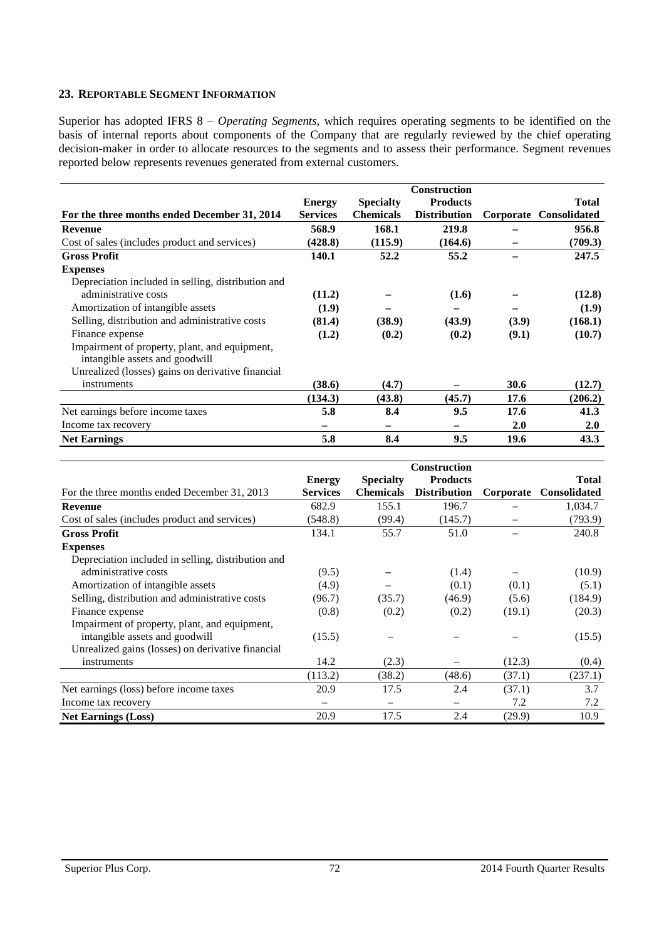### **23. REPORTABLE SEGMENT INFORMATION**

Superior has adopted IFRS 8 – *Operating Segments*, which requires operating segments to be identified on the basis of internal reports about components of the Company that are regularly reviewed by the chief operating decision-maker in order to allocate resources to the segments and to assess their performance. Segment revenues reported below represents revenues generated from external customers.

|                                                                                 |                              |                  | <b>Construction</b> |       |                        |
|---------------------------------------------------------------------------------|------------------------------|------------------|---------------------|-------|------------------------|
|                                                                                 | <b>Energy</b>                | <b>Specialty</b> | <b>Products</b>     |       | <b>Total</b>           |
| For the three months ended December 31, 2014                                    | <b>Services</b>              | <b>Chemicals</b> | <b>Distribution</b> |       | Corporate Consolidated |
| <b>Revenue</b>                                                                  | 568.9                        | 168.1            | 219.8               |       | 956.8                  |
| Cost of sales (includes product and services)                                   | (428.8)                      | (115.9)          | (164.6)             |       | (709.3)                |
| <b>Gross Profit</b>                                                             | 140.1                        | 52.2             | 55.2                |       | 247.5                  |
| <b>Expenses</b>                                                                 |                              |                  |                     |       |                        |
| Depreciation included in selling, distribution and                              |                              |                  |                     |       |                        |
| administrative costs                                                            | (11.2)                       |                  | (1.6)               |       | (12.8)                 |
| Amortization of intangible assets                                               | (1.9)                        |                  |                     |       | (1.9)                  |
| Selling, distribution and administrative costs                                  | (81.4)                       | (38.9)           | (43.9)              | (3.9) | (168.1)                |
| Finance expense                                                                 | (1.2)                        | (0.2)            | (0.2)               | (9.1) | (10.7)                 |
| Impairment of property, plant, and equipment,<br>intangible assets and goodwill |                              |                  |                     |       |                        |
| Unrealized (losses) gains on derivative financial                               |                              |                  |                     |       |                        |
| instruments                                                                     | (38.6)                       | (4.7)            |                     | 30.6  | (12.7)                 |
|                                                                                 | (134.3)                      | (43.8)           | (45.7)              | 17.6  | (206.2)                |
| Net earnings before income taxes                                                | 5.8                          | 8.4              | 9.5                 | 17.6  | 41.3                   |
| Income tax recovery                                                             | $\qquad \qquad \blacksquare$ | —                | $\qquad \qquad$     | 2.0   | 2.0                    |
| <b>Net Earnings</b>                                                             | 5.8                          | 8.4              | 9.5                 | 19.6  | 43.3                   |

|                                                    | <b>Construction</b> |                  |                          |           |              |
|----------------------------------------------------|---------------------|------------------|--------------------------|-----------|--------------|
|                                                    | <b>Energy</b>       | <b>Specialty</b> | <b>Products</b>          |           | <b>Total</b> |
| For the three months ended December 31, 2013       | <b>Services</b>     | <b>Chemicals</b> | <b>Distribution</b>      | Corporate | Consolidated |
| Revenue                                            | 682.9               | 155.1            | 196.7                    |           | 1,034.7      |
| Cost of sales (includes product and services)      | (548.8)             | (99.4)           | (145.7)                  |           | (793.9)      |
| <b>Gross Profit</b>                                | 134.1               | 55.7             | 51.0                     |           | 240.8        |
| <b>Expenses</b>                                    |                     |                  |                          |           |              |
| Depreciation included in selling, distribution and |                     |                  |                          |           |              |
| administrative costs                               | (9.5)               |                  | (1.4)                    |           | (10.9)       |
| Amortization of intangible assets                  | (4.9)               |                  | (0.1)                    | (0.1)     | (5.1)        |
| Selling, distribution and administrative costs     | (96.7)              | (35.7)           | (46.9)                   | (5.6)     | (184.9)      |
| Finance expense                                    | (0.8)               | (0.2)            | (0.2)                    | (19.1)    | (20.3)       |
| Impairment of property, plant, and equipment,      |                     |                  |                          |           |              |
| intangible assets and goodwill                     | (15.5)              |                  |                          |           | (15.5)       |
| Unrealized gains (losses) on derivative financial  |                     |                  |                          |           |              |
| instruments                                        | 14.2                | (2.3)            |                          | (12.3)    | (0.4)        |
|                                                    | (113.2)             | (38.2)           | (48.6)                   | (37.1)    | (237.1)      |
| Net earnings (loss) before income taxes            | 20.9                | 17.5             | 2.4                      | (37.1)    | 3.7          |
| Income tax recovery                                |                     |                  | $\overline{\phantom{0}}$ | 7.2       | 7.2          |
| <b>Net Earnings (Loss)</b>                         | 20.9                | 17.5             | 2.4                      | (29.9)    | 10.9         |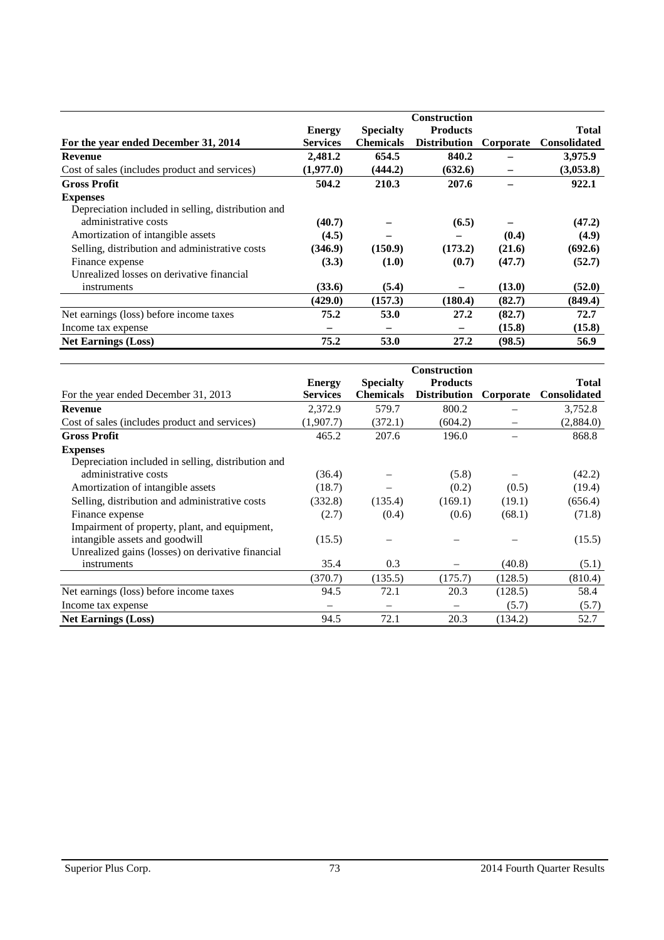|                                                    | <b>Construction</b> |                  |                     |           |                     |
|----------------------------------------------------|---------------------|------------------|---------------------|-----------|---------------------|
|                                                    | <b>Energy</b>       | <b>Specialty</b> | <b>Products</b>     |           | <b>Total</b>        |
| For the year ended December 31, 2014               | <b>Services</b>     | <b>Chemicals</b> | <b>Distribution</b> | Corporate | <b>Consolidated</b> |
| <b>Revenue</b>                                     | 2,481.2             | 654.5            | 840.2               |           | 3,975.9             |
| Cost of sales (includes product and services)      | (1,977.0)           | (444.2)          | (632.6)             |           | (3,053.8)           |
| <b>Gross Profit</b>                                | 504.2               | 210.3            | 207.6               |           | 922.1               |
| <b>Expenses</b>                                    |                     |                  |                     |           |                     |
| Depreciation included in selling, distribution and |                     |                  |                     |           |                     |
| administrative costs                               | (40.7)              |                  | (6.5)               |           | (47.2)              |
| Amortization of intangible assets                  | (4.5)               |                  |                     | (0.4)     | (4.9)               |
| Selling, distribution and administrative costs     | (346.9)             | (150.9)          | (173.2)             | (21.6)    | (692.6)             |
| Finance expense                                    | (3.3)               | (1.0)            | (0.7)               | (47.7)    | (52.7)              |
| Unrealized losses on derivative financial          |                     |                  |                     |           |                     |
| instruments                                        | (33.6)              | (5.4)            |                     | (13.0)    | (52.0)              |
|                                                    | (429.0)             | (157.3)          | (180.4)             | (82.7)    | (849.4)             |
| Net earnings (loss) before income taxes            | 75.2                | 53.0             | 27.2                | (82.7)    | 72.7                |
| Income tax expense                                 |                     | —                |                     | (15.8)    | (15.8)              |
| <b>Net Earnings (Loss)</b>                         | 75.2                | 53.0             | 27.2                | (98.5)    | 56.9                |

|                                                    | <b>Construction</b> |                  |                     |           |                     |
|----------------------------------------------------|---------------------|------------------|---------------------|-----------|---------------------|
|                                                    | <b>Energy</b>       | <b>Specialty</b> | <b>Products</b>     |           | <b>Total</b>        |
| For the year ended December 31, 2013               | <b>Services</b>     | <b>Chemicals</b> | <b>Distribution</b> | Corporate | <b>Consolidated</b> |
| <b>Revenue</b>                                     | 2,372.9             | 579.7            | 800.2               |           | 3,752.8             |
| Cost of sales (includes product and services)      | (1,907.7)           | (372.1)          | (604.2)             |           | (2,884.0)           |
| <b>Gross Profit</b>                                | 465.2               | 207.6            | 196.0               |           | 868.8               |
| <b>Expenses</b>                                    |                     |                  |                     |           |                     |
| Depreciation included in selling, distribution and |                     |                  |                     |           |                     |
| administrative costs                               | (36.4)              |                  | (5.8)               |           | (42.2)              |
| Amortization of intangible assets                  | (18.7)              |                  | (0.2)               | (0.5)     | (19.4)              |
| Selling, distribution and administrative costs     | (332.8)             | (135.4)          | (169.1)             | (19.1)    | (656.4)             |
| Finance expense                                    | (2.7)               | (0.4)            | (0.6)               | (68.1)    | (71.8)              |
| Impairment of property, plant, and equipment,      |                     |                  |                     |           |                     |
| intangible assets and goodwill                     | (15.5)              |                  |                     |           | (15.5)              |
| Unrealized gains (losses) on derivative financial  |                     |                  |                     |           |                     |
| instruments                                        | 35.4                | 0.3              |                     | (40.8)    | (5.1)               |
|                                                    | (370.7)             | (135.5)          | (175.7)             | (128.5)   | (810.4)             |
| Net earnings (loss) before income taxes            | 94.5                | 72.1             | 20.3                | (128.5)   | 58.4                |
| Income tax expense                                 |                     |                  |                     | (5.7)     | (5.7)               |
| <b>Net Earnings (Loss)</b>                         | 94.5                | 72.1             | 20.3                | (134.2)   | 52.7                |